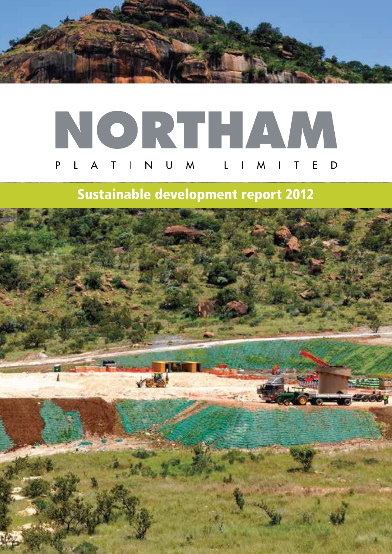

## NORTHAM A T I N U M P L I M I T  $E$  D

## **Sustainable development report 2012**

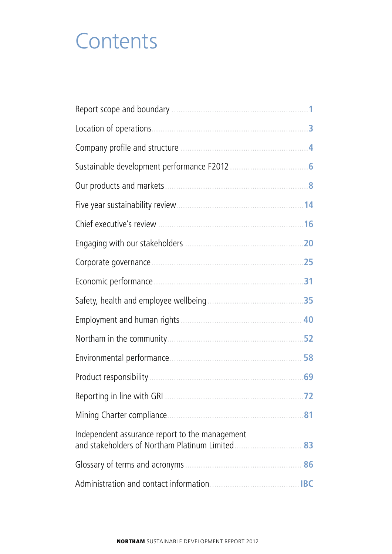## **Contents**

|                                                                                                 | 1   |
|-------------------------------------------------------------------------------------------------|-----|
| Location of operations.                                                                         | 3   |
|                                                                                                 |     |
| Sustainable development performance F2012                                                       |     |
| Our products and markets                                                                        |     |
|                                                                                                 |     |
|                                                                                                 |     |
|                                                                                                 | .20 |
|                                                                                                 | 25  |
|                                                                                                 | .31 |
|                                                                                                 |     |
|                                                                                                 |     |
|                                                                                                 | 52  |
|                                                                                                 | 58  |
|                                                                                                 | 69  |
|                                                                                                 | .72 |
|                                                                                                 | .81 |
| Independent assurance report to the management<br>and stakeholders of Northam Platinum Limited. | 83  |
|                                                                                                 | 86  |
|                                                                                                 |     |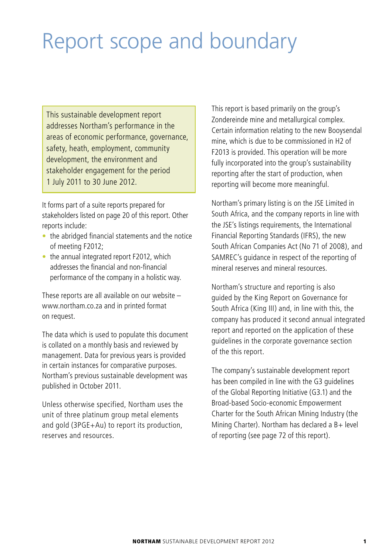# Report scope and boundary

This sustainable development report addresses Northam's performance in the areas of economic performance, governance, safety, heath, employment, community development, the environment and stakeholder engagement for the period 1 July 2011 to 30 June 2012.

It forms part of a suite reports prepared for stakeholders listed on page 20 of this report. Other reports include:

- $\bullet$  the abridged financial statements and the notice of meeting F2012;
- $\bullet$  the annual integrated report F2012, which addresses the financial and non-financial performance of the company in a holistic way.

These reports are all available on our website – www.northam.co.za and in printed format on request.

The data which is used to populate this document is collated on a monthly basis and reviewed by management. Data for previous years is provided in certain instances for comparative purposes. Northam's previous sustainable development was published in October 2011.

Unless otherwise specified, Northam uses the unit of three platinum group metal elements and gold (3PGE+Au) to report its production, reserves and resources.

This report is based primarily on the group's Zondereinde mine and metallurgical complex. Certain information relating to the new Booysendal mine, which is due to be commissioned in H2 of F2013 is provided. This operation will be more fully incorporated into the group's sustainability reporting after the start of production, when reporting will become more meaningful.

Northam's primary listing is on the JSE Limited in South Africa, and the company reports in line with the JSE's listings requirements, the International Financial Reporting Standards (IFRS), the new South African Companies Act (No 71 of 2008), and SAMREC's guidance in respect of the reporting of mineral reserves and mineral resources.

Northam's structure and reporting is also guided by the King Report on Governance for South Africa (King III) and, in line with this, the company has produced it second annual integrated report and reported on the application of these guidelines in the corporate governance section of the this report.

The company's sustainable development report has been compiled in line with the G3 guidelines of the Global Reporting Initiative (G3.1) and the Broad-based Socio-economic Empowerment Charter for the South African Mining Industry (the Mining Charter). Northam has declared a B+ level of reporting (see page 72 of this report).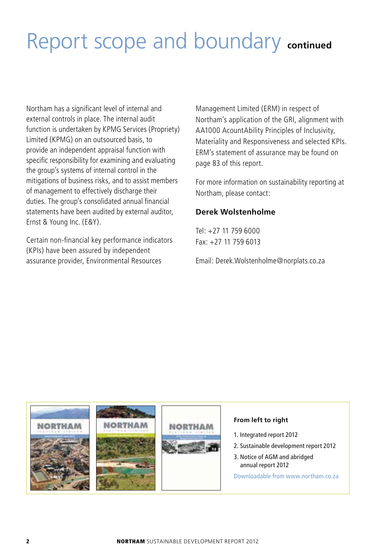# Report scope and boundary **continued**

Northam has a significant level of internal and external controls in place. The internal audit function is undertaken by KPMG Services (Propriety) Limited (KPMG) on an outsourced basis, to provide an independent appraisal function with specific responsibility for examining and evaluating the group's systems of internal control in the mitigations of business risks, and to assist members of management to effectively discharge their duties. The group's consolidated annual financial statements have been audited by external auditor, Ernst & Young Inc. (E&Y).

Certain non-financial key performance indicators (KPIs) have been assured by independent assurance provider, Environmental Resources

Management Limited (ERM) in respect of Northam's application of the GRI, alignment with AA1000 AcountAbility Principles of Inclusivity, Materiality and Responsiveness and selected KPIs. ERM's statement of assurance may be found on page 83 of this report.

For more information on sustainability reporting at Northam, please contact:

#### **Derek Wolstenholme**

 $Tel· + 27 11 759 6000$ Fax: +27 11 759 6013

Email: Derek.Wolstenholme@norplats.co.za

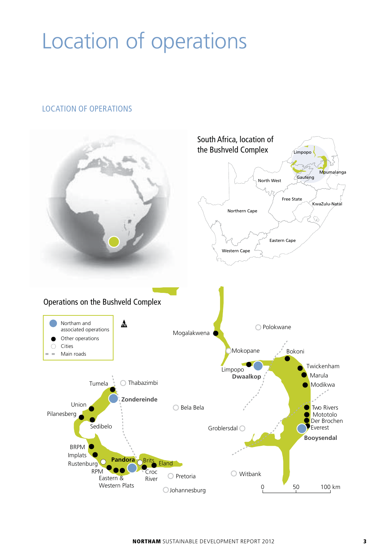# Location of operations

#### LOCATION OF OPERATIONS

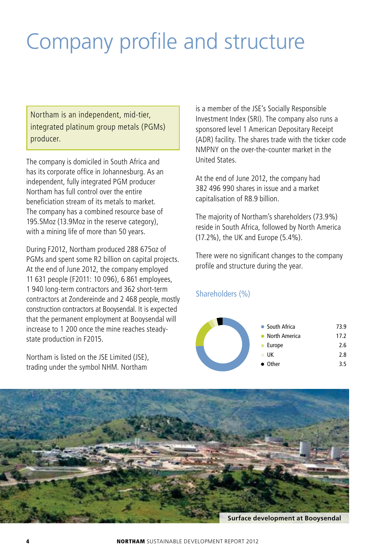# Company profile and structure

Northam is an independent, mid-tier, integrated platinum group metals (PGMs) producer.

The company is domiciled in South Africa and has its corporate office in Johannesburg. As an independent, fully integrated PGM producer Northam has full control over the entire beneficiation stream of its metals to market. The company has a combined resource base of 195.5Moz (13.9Moz in the reserve category), with a mining life of more than 50 years.

During F2012, Northam produced 288 675oz of PGMs and spent some R2 billion on capital projects. At the end of June 2012, the company employed 11 631 people (F2011: 10 096), 6 861 employees, 1 940 long-term contractors and 362 short-term contractors at Zondereinde and 2 468 people, mostly construction contractors at Booysendal. It is expected that the permanent employment at Booysendal will increase to 1 200 once the mine reaches steadystate production in F2015.

Northam is listed on the JSE Limited (JSE), trading under the symbol NHM. Northam

is a member of the JSE's Socially Responsible Investment Index (SRI). The company also runs a sponsored level 1 American Depositary Receipt (ADR) facility. The shares trade with the ticker code NMPNY on the over-the-counter market in the United States.

At the end of June 2012, the company had 382 496 990 shares in issue and a market capitalisation of R8.9 billion.

The majority of Northam's shareholders (73.9%) reside in South Africa, followed by North America (17.2%), the UK and Europe (5.4%).

There were no significant changes to the company profile and structure during the year.

Shareholders (%)





**Surface development at Booysendal**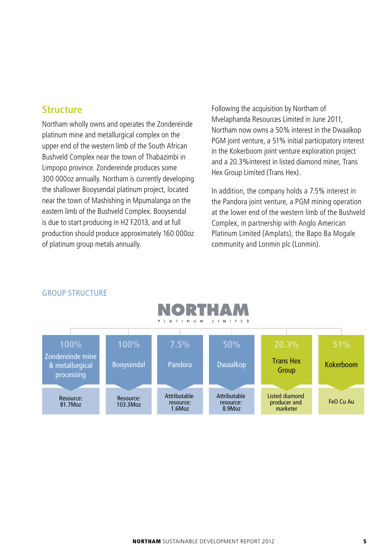#### **Structure**

Northam wholly owns and operates the Zondereinde platinum mine and metallurgical complex on the upper end of the western limb of the South African Bushveld Complex near the town of Thabazimbi in Limpopo province. Zondereinde produces some 300 000oz annually. Northam is currently developing the shallower Booysendal platinum project, located near the town of Mashishing in Mpumalanga on the eastern limb of the Bushveld Complex. Booysendal is due to start producing in H2 F2013, and at full production should produce approximately 160 000oz of platinum group metals annually.

Following the acquisition by Northam of Mvelaphanda Resources Limited in June 2011, Northam now owns a 50% interest in the Dwaalkop PGM joint venture, a 51% initial participatory interest in the Kokerboom joint venture exploration project and a 20.3%interest in listed diamond miner, Trans Hex Group Limited (Trans Hex).

In addition, the company holds a 7.5% interest in the Pandora joint venture, a PGM mining operation at the lower end of the western limb of the Bushveld Complex, in partnership with Anglo American Platinum Limited (Amplats), the Bapo Ba Mogale community and Lonmin plc (Lonmin).



#### GROUP STRUCTURE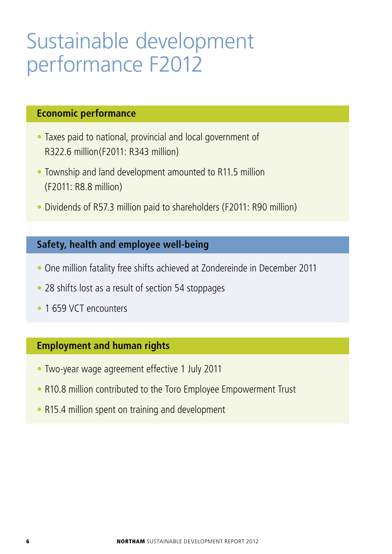## Sustainable development performance F2012

## **Economic performance**

- Taxes paid to national, provincial and local government of R322.6 million(F2011: R343 million)
- Township and land development amounted to R11.5 million (F2011: R8.8 million)
- Dividends of R57.3 million paid to shareholders (F2011: R90 million)

## **Safety, health and employee well-being**

- One million fatality free shifts achieved at Zondereinde in December 2011
- 28 shifts lost as a result of section 54 stoppages
- 1 659 VCT encounters

## **Employment and human rights**

- Two-year wage agreement effective 1 July 2011
- R10.8 million contributed to the Toro Employee Empowerment Trust
- R15.4 million spent on training and development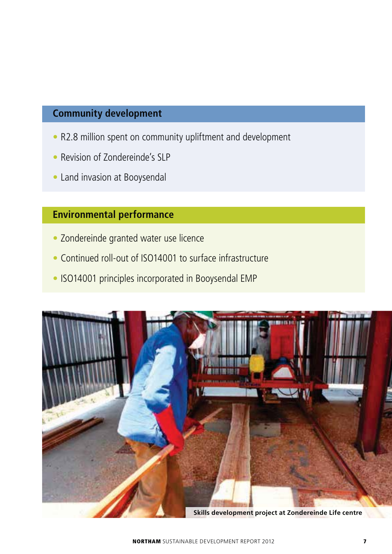## **Community development**

- R2.8 million spent on community upliftment and development
- Revision of Zondereinde's SLP
- Land invasion at Booysendal

## **Environmental performance**

- Zondereinde granted water use licence
- Continued roll-out of ISO14001 to surface infrastructure
- ISO14001 principles incorporated in Booysendal EMP

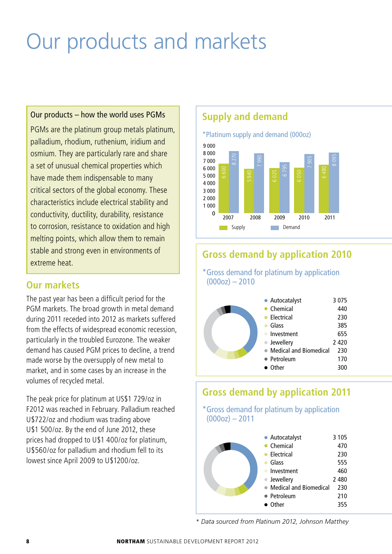# Our products and markets

#### Our products – how the world uses PGMs

PGMs are the platinum group metals platinum, palladium, rhodium, ruthenium, iridium and osmium. They are particularly rare and share a set of unusual chemical properties which have made them indispensable to many critical sectors of the global economy. These characteristics include electrical stability and conductivity, ductility, durability, resistance to corrosion, resistance to oxidation and high melting points, which allow them to remain stable and strong even in environments of extreme heat.

#### **Our markets**

The past year has been a difficult period for the PGM markets. The broad growth in metal demand during 2011 receded into 2012 as markets suffered from the effects of widespread economic recession, particularly in the troubled Eurozone. The weaker demand has caused PGM prices to decline, a trend made worse by the oversupply of new metal to market, and in some cases by an increase in the volumes of recycled metal.

The peak price for platinum at US\$1 729/oz in F2012 was reached in February. Palladium reached U\$722/oz and rhodium was trading above U\$1 500/oz. By the end of June 2012, these prices had dropped to U\$1 400/oz for platinum, U\$560/oz for palladium and rhodium fell to its lowest since April 2009 to U\$1200/oz.



## **Gross demand by application 2010**

\*Gross demand for platinum by application  $(000oz) - 2010$ 

| • Autocatalyst           | 3075    |
|--------------------------|---------|
| Chemical                 | 440     |
| Electrical               | 230     |
| Glass                    | 385     |
| Investment               | 655     |
| • Jewellery              | 2 4 2 0 |
| • Medical and Biomedical | 230     |
| • Petroleum              | 170     |
| • Other                  | 300     |
|                          |         |

## **Gross demand by application 2011**

\*Gross demand for platinum by application  $(000oz) - 2011$ 

| • Autocatalyst                | 3 1 0 5 |
|-------------------------------|---------|
| $\bullet$ Chemical            | 470     |
| Electrical                    | 230     |
| Glass                         | 555     |
| Investment                    | 460     |
| Jewellery                     | 2 4 8 0 |
| <b>Medical and Biomedical</b> | 230     |
| • Petroleum                   | 210     |
| Other                         | 355     |

*\* Data sourced from Platinum 2012, Johnson Matthey*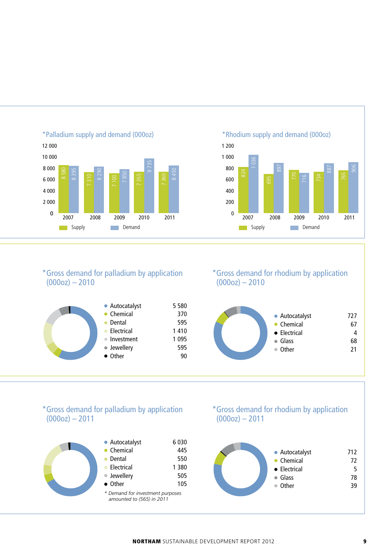

\*Palladium supply and demand (000oz)

#### \*Rhodium supply and demand (000oz)



#### \*Gross demand for palladium by application  $(000oz) - 2010$



\*Gross demand for rhodium by application  $(000oz) - 2010$ 



#### \*Gross demand for palladium by application  $(000oz) - 2011$



#### \*Gross demand for rhodium by application  $(000oz) - 2011$

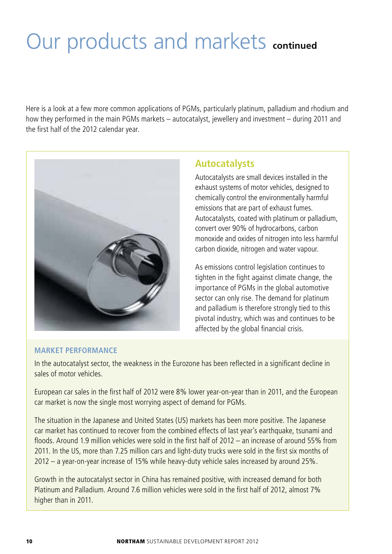# Our products and markets **continued**

Here is a look at a few more common applications of PGMs, particularly platinum, palladium and rhodium and how they performed in the main PGMs markets – autocatalyst, jewellery and investment – during 2011 and the first half of the 2012 calendar year.



### **Autocatalysts**

Autocatalysts are small devices installed in the exhaust systems of motor vehicles, designed to chemically control the environmentally harmful emissions that are part of exhaust fumes. Autocatalysts, coated with platinum or palladium, convert over 90% of hydrocarbons, carbon monoxide and oxides of nitrogen into less harmful carbon dioxide, nitrogen and water vapour.

As emissions control legislation continues to tighten in the fight against climate change, the importance of PGMs in the global automotive sector can only rise. The demand for platinum and palladium is therefore strongly tied to this pivotal industry, which was and continues to be affected by the global financial crisis.

#### **MARKET PERFORMANCE**

In the autocatalyst sector, the weakness in the Eurozone has been reflected in a significant decline in sales of motor vehicles.

European car sales in the first half of 2012 were 8% lower year-on-year than in 2011, and the European car market is now the single most worrying aspect of demand for PGMs.

The situation in the Japanese and United States (US) markets has been more positive. The Japanese car market has continued to recover from the combined effects of last year's earthquake, tsunami and floods. Around 1.9 million vehicles were sold in the first half of 2012 – an increase of around 55% from 2011. In the US, more than 7.25 million cars and light-duty trucks were sold in the first six months of 2012 – a year-on-year increase of 15% while heavy-duty vehicle sales increased by around 25%.

Growth in the autocatalyst sector in China has remained positive, with increased demand for both Platinum and Palladium. Around 7.6 million vehicles were sold in the first half of 2012, almost 7% higher than in 2011.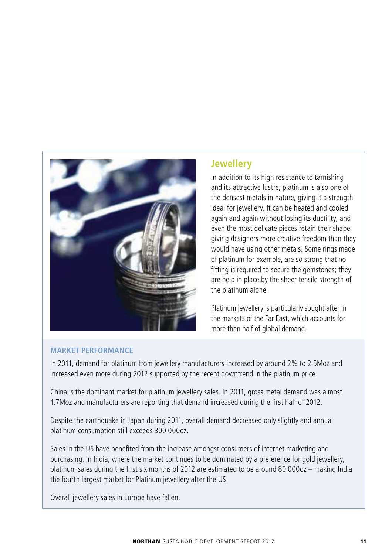

## **Jewellery**

In addition to its high resistance to tarnishing and its attractive lustre, platinum is also one of the densest metals in nature, giving it a strength ideal for jewellery. It can be heated and cooled again and again without losing its ductility, and even the most delicate pieces retain their shape, giving designers more creative freedom than they would have using other metals. Some rings made of platinum for example, are so strong that no fitting is required to secure the gemstones; they are held in place by the sheer tensile strength of the platinum alone.

Platinum jewellery is particularly sought after in the markets of the Far East, which accounts for more than half of global demand.

#### **MARKET PERFORMANCE**

In 2011, demand for platinum from jewellery manufacturers increased by around 2% to 2.5Moz and increased even more during 2012 supported by the recent downtrend in the platinum price.

China is the dominant market for platinum jewellery sales. In 2011, gross metal demand was almost 1.7Moz and manufacturers are reporting that demand increased during the first half of 2012.

Despite the earthquake in Japan during 2011, overall demand decreased only slightly and annual platinum consumption still exceeds 300 000oz.

Sales in the US have benefited from the increase amongst consumers of internet marketing and purchasing. In India, where the market continues to be dominated by a preference for gold jewellery, platinum sales during the first six months of 2012 are estimated to be around 80 000oz – making India the fourth largest market for Platinum jewellery after the US.

Overall jewellery sales in Europe have fallen.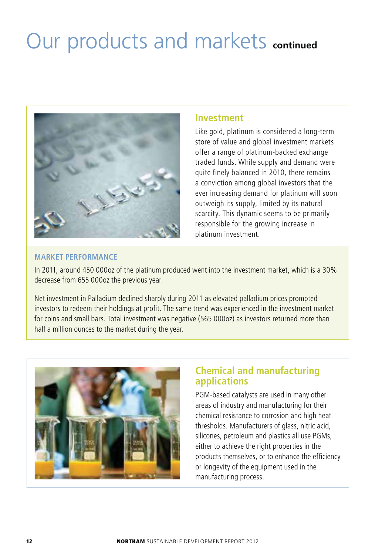# Our products and markets **continued**



#### **Investment**

Like gold, platinum is considered a long-term store of value and global investment markets offer a range of platinum-backed exchange traded funds. While supply and demand were quite finely balanced in 2010, there remains a conviction among global investors that the ever increasing demand for platinum will soon outweigh its supply, limited by its natural scarcity. This dynamic seems to be primarily responsible for the growing increase in platinum investment.

#### **MARKET PERFORMANCE**

In 2011, around 450 000oz of the platinum produced went into the investment market, which is a 30% decrease from 655 000oz the previous year.

Net investment in Palladium declined sharply during 2011 as elevated palladium prices prompted investors to redeem their holdings at profit. The same trend was experienced in the investment market for coins and small bars. Total investment was negative (565 000oz) as investors returned more than half a million ounces to the market during the year.



### **Chemical and manufacturing applications**

PGM-based catalysts are used in many other areas of industry and manufacturing for their chemical resistance to corrosion and high heat thresholds. Manufacturers of glass, nitric acid, silicones, petroleum and plastics all use PGMs, either to achieve the right properties in the products themselves, or to enhance the efficiency or longevity of the equipment used in the manufacturing process.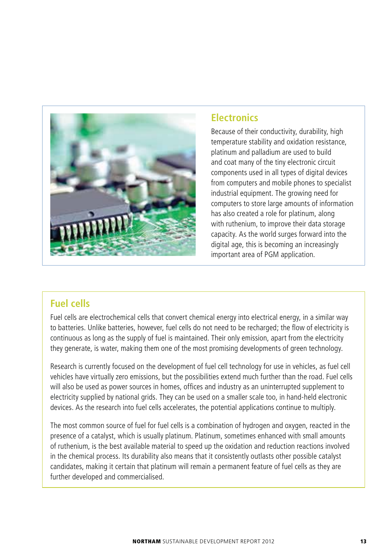

#### **Electronics**

Because of their conductivity, durability, high temperature stability and oxidation resistance, platinum and palladium are used to build and coat many of the tiny electronic circuit components used in all types of digital devices from computers and mobile phones to specialist industrial equipment. The growing need for computers to store large amounts of information has also created a role for platinum, along with ruthenium, to improve their data storage capacity. As the world surges forward into the digital age, this is becoming an increasingly important area of PGM application.

### **Fuel cells**

Fuel cells are electrochemical cells that convert chemical energy into electrical energy, in a similar way to batteries. Unlike batteries, however, fuel cells do not need to be recharged; the flow of electricity is continuous as long as the supply of fuel is maintained. Their only emission, apart from the electricity they generate, is water, making them one of the most promising developments of green technology.

Research is currently focused on the development of fuel cell technology for use in vehicles, as fuel cell vehicles have virtually zero emissions, but the possibilities extend much further than the road. Fuel cells will also be used as power sources in homes, offices and industry as an uninterrupted supplement to electricity supplied by national grids. They can be used on a smaller scale too, in hand-held electronic devices. As the research into fuel cells accelerates, the potential applications continue to multiply.

The most common source of fuel for fuel cells is a combination of hydrogen and oxygen, reacted in the presence of a catalyst, which is usually platinum. Platinum, sometimes enhanced with small amounts of ruthenium, is the best available material to speed up the oxidation and reduction reactions involved in the chemical process. Its durability also means that it consistently outlasts other possible catalyst candidates, making it certain that platinum will remain a permanent feature of fuel cells as they are further developed and commercialised.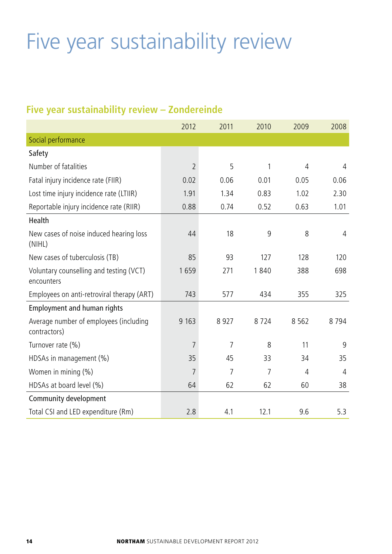# Five year sustainability review

## **Five year sustainability review – Zondereinde**

|                                                        | 2012           | 2011 | 2010 | 2009    | 2008           |
|--------------------------------------------------------|----------------|------|------|---------|----------------|
| Social performance                                     |                |      |      |         |                |
| Safety                                                 |                |      |      |         |                |
| Number of fatalities                                   | $\overline{2}$ | 5    | 1    | 4       | $\overline{4}$ |
| Fatal injury incidence rate (FIIR)                     | 0.02           | 0.06 | 0.01 | 0.05    | 0.06           |
| Lost time injury incidence rate (LTIIR)                | 1.91           | 1.34 | 0.83 | 1.02    | 2.30           |
| Reportable injury incidence rate (RIIR)                | 0.88           | 0.74 | 0.52 | 0.63    | 1.01           |
| Health                                                 |                |      |      |         |                |
| New cases of noise induced hearing loss<br>(NIHL)      | 44             | 18   | 9    | 8       | $\overline{4}$ |
| New cases of tuberculosis (TB)                         | 85             | 93   | 127  | 128     | 120            |
| Voluntary counselling and testing (VCT)<br>encounters  | 1659           | 271  | 1840 | 388     | 698            |
| Employees on anti-retroviral therapy (ART)             | 743            | 577  | 434  | 355     | 325            |
| Employment and human rights                            |                |      |      |         |                |
| Average number of employees (including<br>contractors) | 9 1 6 3        | 8927 | 8724 | 8 5 6 2 | 8794           |
| Turnover rate (%)                                      | 7              | 7    | 8    | 11      | 9              |
| HDSAs in management (%)                                | 35             | 45   | 33   | 34      | 35             |
| Women in mining (%)                                    | 7              | 7    | 7    | 4       | $\overline{4}$ |
| HDSAs at board level (%)                               | 64             | 62   | 62   | 60      | 38             |
| Community development                                  |                |      |      |         |                |
| Total CSI and LED expenditure (Rm)                     | 2.8            | 4.1  | 12.1 | 9.6     | 5.3            |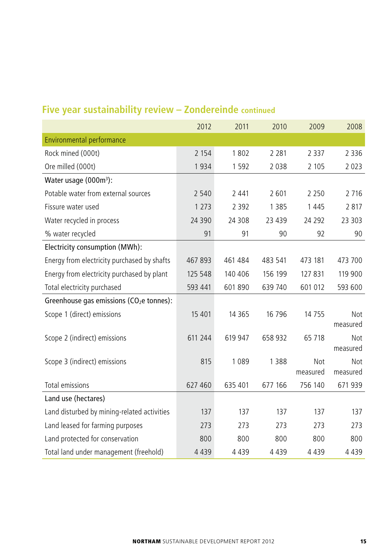|                                             | 2012     | 2011     | 2010    | 2009            | 2008            |
|---------------------------------------------|----------|----------|---------|-----------------|-----------------|
| Environmental performance                   |          |          |         |                 |                 |
| Rock mined (000t)                           | 2 1 5 4  | 1802     | 2 2 8 1 | 2 3 3 7         | 2 3 3 6         |
| Ore milled (000t)                           | 1934     | 1 5 9 2  | 2038    | 2 1 0 5         | 2 0 2 3         |
| Water usage (000m <sup>3</sup> ):           |          |          |         |                 |                 |
| Potable water from external sources         | 2 5 4 0  | 2 4 4 1  | 2601    | 2 2 5 0         | 2 7 1 6         |
| Fissure water used                          | 1 2 7 3  | 2 3 9 2  | 1 3 8 5 | 1445            | 2817            |
| Water recycled in process                   | 24 3 9 0 | 24 308   | 23 439  | 24 292          | 23 303          |
| % water recycled                            | 91       | 91       | 90      | 92              | 90              |
| Electricity consumption (MWh):              |          |          |         |                 |                 |
| Energy from electricity purchased by shafts | 467893   | 461 484  | 483 541 | 473 181         | 473 700         |
| Energy from electricity purchased by plant  | 125 548  | 140 406  | 156 199 | 127 831         | 119 900         |
| Total electricity purchased                 | 593 441  | 601890   | 639 740 | 601 012         | 593 600         |
| Greenhouse gas emissions ( $CO2e$ tonnes):  |          |          |         |                 |                 |
| Scope 1 (direct) emissions                  | 15 4 01  | 14 3 6 5 | 16 796  | 14 7 5 5        | Not<br>measured |
| Scope 2 (indirect) emissions                | 611 244  | 619 947  | 658 932 | 65 718          | Not<br>measured |
| Scope 3 (indirect) emissions                | 815      | 1089     | 1388    | Not<br>measured | Not<br>measured |
| Total emissions                             | 627 460  | 635 401  | 677 166 | 756 140         | 671939          |
| Land use (hectares)                         |          |          |         |                 |                 |
| Land disturbed by mining-related activities | 137      | 137      | 137     | 137             | 137             |
| Land leased for farming purposes            | 273      | 273      | 273     | 273             | 273             |
| Land protected for conservation             | 800      | 800      | 800     | 800             | 800             |
| Total land under management (freehold)      | 4 4 3 9  | 4 4 3 9  | 4 4 3 9 | 4 4 3 9         | 4 4 3 9         |

## **Five year sustainability review – Zondereinde continued**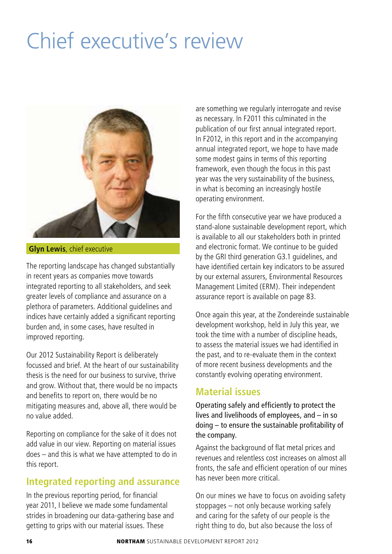# Chief executive's review



**Glyn Lewis**, chief executive

The reporting landscape has changed substantially in recent years as companies move towards integrated reporting to all stakeholders, and seek greater levels of compliance and assurance on a plethora of parameters. Additional guidelines and indices have certainly added a significant reporting burden and, in some cases, have resulted in improved reporting.

Our 2012 Sustainability Report is deliberately focussed and brief. At the heart of our sustainability thesis is the need for our business to survive, thrive and grow. Without that, there would be no impacts and benefits to report on, there would be no mitigating measures and, above all, there would be no value added.

Reporting on compliance for the sake of it does not add value in our view. Reporting on material issues does – and this is what we have attempted to do in this report.

## **Integrated reporting and assurance**

In the previous reporting period, for financial year 2011, I believe we made some fundamental strides in broadening our data-gathering base and getting to grips with our material issues. These

are something we regularly interrogate and revise as necessary. In F2011 this culminated in the publication of our first annual integrated report. In F2012, in this report and in the accompanying annual integrated report, we hope to have made some modest gains in terms of this reporting framework, even though the focus in this past year was the very sustainability of the business, in what is becoming an increasingly hostile operating environment.

For the fifth consecutive year we have produced a stand-alone sustainable development report, which is available to all our stakeholders both in printed and electronic format. We continue to be guided by the GRI third generation G3.1 guidelines, and have identified certain key indicators to be assured by our external assurers, Environmental Resources Management Limited (ERM). Their independent assurance report is available on page 83.

Once again this year, at the Zondereinde sustainable development workshop, held in July this year, we took the time with a number of discipline heads, to assess the material issues we had identified in the past, and to re-evaluate them in the context of more recent business developments and the constantly evolving operating environment.

#### **Material issues**

Operating safely and efficiently to protect the lives and livelihoods of employees, and – in so doing – to ensure the sustainable profitability of the company.

Against the background of flat metal prices and revenues and relentless cost increases on almost all fronts, the safe and efficient operation of our mines has never been more critical.

On our mines we have to focus on avoiding safety stoppages – not only because working safely and caring for the safety of our people is the right thing to do, but also because the loss of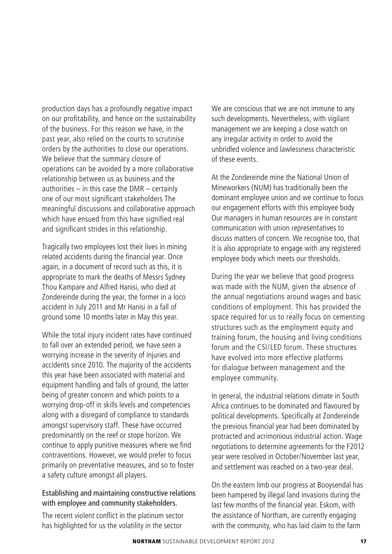production days has a profoundly negative impact on our profitability, and hence on the sustainability of the business. For this reason we have, in the past year, also relied on the courts to scrutinise orders by the authorities to close our operations. We believe that the summary closure of operations can be avoided by a more collaborative relationship between us as business and the authorities – in this case the DMR – certainly one of our most significant stakeholders The meaningful discussions and collaborative approach which have ensued from this have signified real and significant strides in this relationship.

Tragically two employees lost their lives in mining related accidents during the financial year. Once again, in a document of record such as this, it is appropriate to mark the deaths of Messrs Sydney Thou Kampare and Alfred Hanisi, who died at Zondereinde during the year, the former in a loco accident in July 2011 and Mr Hanisi in a fall of ground some 10 months later in May this year.

While the total injury incident rates have continued to fall over an extended period, we have seen a worrying increase in the severity of injuries and accidents since 2010. The majority of the accidents this year have been associated with material and equipment handling and falls of ground, the latter being of greater concern and which points to a worrying drop-off in skills levels and competencies along with a disregard of compliance to standards amongst supervisory staff. These have occurred predominantly on the reef or stope horizon. We continue to apply punitive measures where we find contraventions. However, we would prefer to focus primarily on preventative measures, and so to foster a safety culture amongst all players.

#### Establishing and maintaining constructive relations with employee and community stakeholders.

The recent violent conflict in the platinum sector has highlighted for us the volatility in the sector

We are conscious that we are not immune to any such developments. Nevertheless, with vigilant management we are keeping a close watch on any irregular activity in order to avoid the unbridled violence and lawlessness characteristic of these events.

At the Zondereinde mine the National Union of Mineworkers (NUM) has traditionally been the dominant employee union and we continue to focus our engagement efforts with this employee body Our managers in human resources are in constant communication with union representatives to discuss matters of concern. We recognise too, that it is also appropriate to engage with any registered employee body which meets our thresholds.

During the year we believe that good progress was made with the NUM, given the absence of the annual negotiations around wages and basic conditions of employment. This has provided the space required for us to really focus on cementing structures such as the employment equity and training forum, the housing and living conditions forum and the CSI/LED forum. These structures have evolved into more effective platforms for dialogue between management and the employee community.

In general, the industrial relations climate in South Africa continues to be dominated and flavoured by political developments. Specifically at Zondereinde the previous financial year had been dominated by protracted and acrimonious industrial action. Wage negotiations to determine agreements for the F2012 year were resolved in October/November last year, and settlement was reached on a two-year deal.

On the eastern limb our progress at Booysendal has been hampered by illegal land invasions during the last few months of the financial year. Eskom, with the assistance of Northam, are currently engaging with the community, who has laid claim to the farm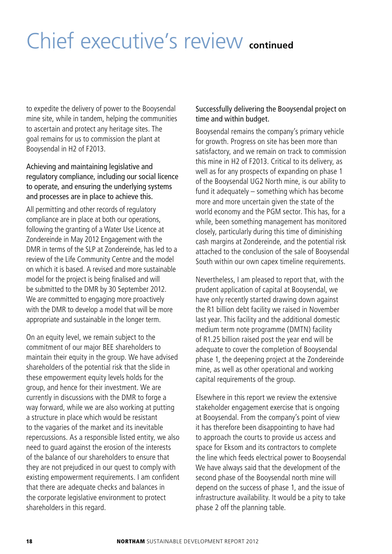# Chief executive's review **continued**

to expedite the delivery of power to the Booysendal mine site, while in tandem, helping the communities to ascertain and protect any heritage sites. The goal remains for us to commission the plant at Booysendal in H2 of F2013.

Achieving and maintaining legislative and regulatory compliance, including our social licence to operate, and ensuring the underlying systems and processes are in place to achieve this.

All permitting and other records of regulatory compliance are in place at both our operations, following the granting of a Water Use Licence at Zondereinde in May 2012 Engagement with the DMR in terms of the SLP at Zondereinde, has led to a review of the Life Community Centre and the model on which it is based. A revised and more sustainable model for the project is being finalised and will be submitted to the DMR by 30 September 2012. We are committed to engaging more proactively with the DMR to develop a model that will be more appropriate and sustainable in the longer term.

On an equity level, we remain subject to the commitment of our major BEE shareholders to maintain their equity in the group. We have advised shareholders of the potential risk that the slide in these empowerment equity levels holds for the group, and hence for their investment. We are currently in discussions with the DMR to forge a way forward, while we are also working at putting a structure in place which would be resistant to the vagaries of the market and its inevitable repercussions. As a responsible listed entity, we also need to guard against the erosion of the interests of the balance of our shareholders to ensure that they are not prejudiced in our quest to comply with existing empowerment requirements. I am confident that there are adequate checks and balances in the corporate legislative environment to protect shareholders in this regard.

#### Successfully delivering the Booysendal project on time and within budget.

Booysendal remains the company's primary vehicle for growth. Progress on site has been more than satisfactory, and we remain on track to commission this mine in H2 of F2013. Critical to its delivery, as well as for any prospects of expanding on phase 1 of the Booysendal UG2 North mine, is our ability to fund it adequately – something which has become more and more uncertain given the state of the world economy and the PGM sector. This has, for a while, been something management has monitored closely, particularly during this time of diminishing cash margins at Zondereinde, and the potential risk attached to the conclusion of the sale of Booysendal South within our own capex timeline requirements.

Nevertheless, I am pleased to report that, with the prudent application of capital at Booysendal, we have only recently started drawing down against the R1 billion debt facility we raised in November last year. This facility and the additional domestic medium term note programme (DMTN) facility of R1.25 billion raised post the year end will be adequate to cover the completion of Booysendal phase 1, the deepening project at the Zondereinde mine, as well as other operational and working capital requirements of the group.

Elsewhere in this report we review the extensive stakeholder engagement exercise that is ongoing at Booysendal. From the company's point of view it has therefore been disappointing to have had to approach the courts to provide us access and space for Eksom and its contractors to complete the line which feeds electrical power to Booysendal We have always said that the development of the second phase of the Booysendal north mine will depend on the success of phase 1, and the issue of infrastructure availability. It would be a pity to take phase 2 off the planning table.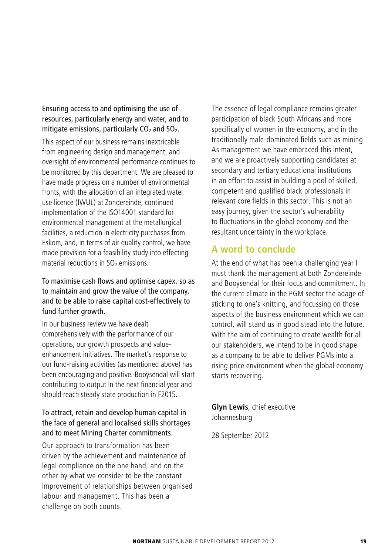Ensuring access to and optimising the use of resources, particularly energy and water, and to mitigate emissions, particularly  $CO<sub>2</sub>$  and  $SO<sub>2</sub>$ .

This aspect of our business remains inextricable from engineering design and management, and oversight of environmental performance continues to be monitored by this department. We are pleased to have made progress on a number of environmental fronts, with the allocation of an integrated water use licence (IWUL) at Zondereinde, continued implementation of the ISO14001 standard for environmental management at the metallurgical facilities, a reduction in electricity purchases from Eskom, and, in terms of air quality control, we have made provision for a feasibility study into effecting material reductions in  $SO<sub>2</sub>$  emissions.

To maximise cash flows and optimise capex, so as to maintain and grow the value of the company, and to be able to raise capital cost-effectively to fund further growth.

In our business review we have dealt comprehensively with the performance of our operations, our growth prospects and valueenhancement initiatives. The market's response to our fund-raising activities (as mentioned above) has been encouraging and positive. Booysendal will start contributing to output in the next financial year and should reach steady state production in F2015.

#### To attract, retain and develop human capital in the face of general and localised skills shortages and to meet Mining Charter commitments.

Our approach to transformation has been driven by the achievement and maintenance of legal compliance on the one hand, and on the other by what we consider to be the constant improvement of relationships between organised labour and management. This has been a challenge on both counts.

The essence of legal compliance remains greater participation of black South Africans and more specifically of women in the economy, and in the traditionally male-dominated fields such as mining As management we have embraced this intent, and we are proactively supporting candidates at secondary and tertiary educational institutions in an effort to assist in building a pool of skilled, competent and qualified black professionals in relevant core fields in this sector. This is not an easy journey, given the sector's vulnerability to fluctuations in the global economy and the resultant uncertainty in the workplace.

#### **A word to conclude**

At the end of what has been a challenging year I must thank the management at both Zondereinde and Booysendal for their focus and commitment. In the current climate in the PGM sector the adage of sticking to one's knitting, and focussing on those aspects of the business environment which we can control, will stand us in good stead into the future. With the aim of continuing to create wealth for all our stakeholders, we intend to be in good shape as a company to be able to deliver PGMs into a rising price environment when the global economy starts recovering.

**Glyn Lewis**, chief executive Johannesburg

28 September 2012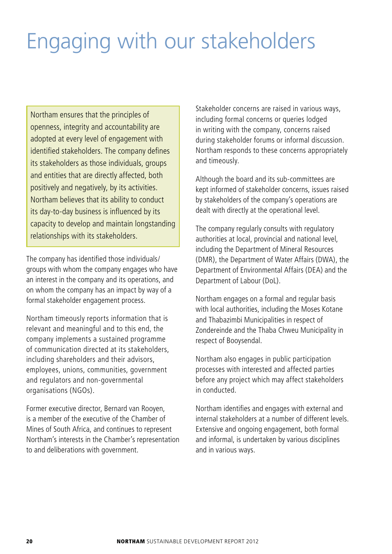# Engaging with our stakeholders

Northam ensures that the principles of openness, integrity and accountability are adopted at every level of engagement with identified stakeholders. The company defines its stakeholders as those individuals, groups and entities that are directly affected, both positively and negatively, by its activities. Northam believes that its ability to conduct its day-to-day business is influenced by its capacity to develop and maintain longstanding relationships with its stakeholders.

The company has identified those individuals/ groups with whom the company engages who have an interest in the company and its operations, and on whom the company has an impact by way of a formal stakeholder engagement process.

Northam timeously reports information that is relevant and meaningful and to this end, the company implements a sustained programme of communication directed at its stakeholders, including shareholders and their advisors, employees, unions, communities, government and regulators and non-governmental organisations (NGOs).

Former executive director, Bernard van Rooyen, is a member of the executive of the Chamber of Mines of South Africa, and continues to represent Northam's interests in the Chamber's representation to and deliberations with government.

Stakeholder concerns are raised in various ways, including formal concerns or queries lodged in writing with the company, concerns raised during stakeholder forums or informal discussion. Northam responds to these concerns appropriately and timeously.

Although the board and its sub-committees are kept informed of stakeholder concerns, issues raised by stakeholders of the company's operations are dealt with directly at the operational level.

The company regularly consults with regulatory authorities at local, provincial and national level, including the Department of Mineral Resources (DMR), the Department of Water Affairs (DWA), the Department of Environmental Affairs (DEA) and the Department of Labour (DoL).

Northam engages on a formal and regular basis with local authorities, including the Moses Kotane and Thabazimbi Municipalities in respect of Zondereinde and the Thaba Chweu Municipality in respect of Booysendal.

Northam also engages in public participation processes with interested and affected parties before any project which may affect stakeholders in conducted.

Northam identifies and engages with external and internal stakeholders at a number of different levels. Extensive and ongoing engagement, both formal and informal, is undertaken by various disciplines and in various ways.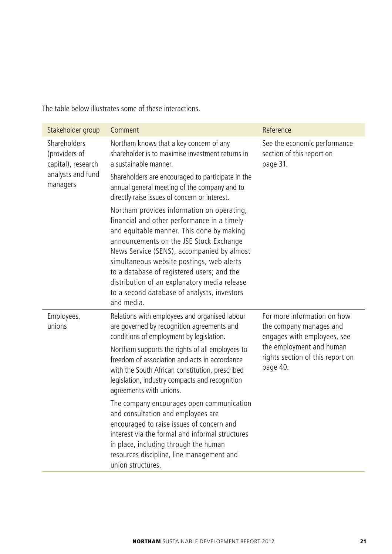The table below illustrates some of these interactions.

| Stakeholder group                                                                    | Comment                                                                                                                                                                                                                                                                                                                                                                                                                                 | Reference                                                                             |  |
|--------------------------------------------------------------------------------------|-----------------------------------------------------------------------------------------------------------------------------------------------------------------------------------------------------------------------------------------------------------------------------------------------------------------------------------------------------------------------------------------------------------------------------------------|---------------------------------------------------------------------------------------|--|
| Shareholders<br>(providers of<br>capital), research<br>analysts and fund<br>managers | Northam knows that a key concern of any<br>shareholder is to maximise investment returns in<br>a sustainable manner.<br>Shareholders are encouraged to participate in the                                                                                                                                                                                                                                                               | See the economic performance<br>section of this report on<br>page 31.                 |  |
|                                                                                      | annual general meeting of the company and to<br>directly raise issues of concern or interest.                                                                                                                                                                                                                                                                                                                                           |                                                                                       |  |
|                                                                                      | Northam provides information on operating,<br>financial and other performance in a timely<br>and equitable manner. This done by making<br>announcements on the JSE Stock Exchange<br>News Service (SENS), accompanied by almost<br>simultaneous website postings, web alerts<br>to a database of registered users; and the<br>distribution of an explanatory media release<br>to a second database of analysts, investors<br>and media. |                                                                                       |  |
| Employees,<br>unions                                                                 | Relations with employees and organised labour<br>are governed by recognition agreements and<br>conditions of employment by legislation.                                                                                                                                                                                                                                                                                                 | For more information on how<br>the company manages and<br>engages with employees, see |  |
|                                                                                      | Northam supports the rights of all employees to<br>freedom of association and acts in accordance<br>with the South African constitution, prescribed<br>legislation, industry compacts and recognition<br>agreements with unions.                                                                                                                                                                                                        | the employment and human<br>rights section of this report on<br>page 40.              |  |
|                                                                                      | The company encourages open communication<br>and consultation and employees are<br>encouraged to raise issues of concern and<br>interest via the formal and informal structures<br>in place, including through the human<br>resources discipline, line management and<br>union structures.                                                                                                                                              |                                                                                       |  |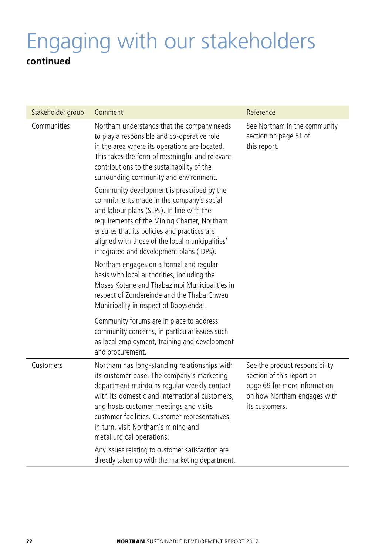## Engaging with our stakeholders **continued**

| Stakeholder group | Comment                                                                                                                                                                                                                                                                                                                                                     | Reference                                                                                                                                    |
|-------------------|-------------------------------------------------------------------------------------------------------------------------------------------------------------------------------------------------------------------------------------------------------------------------------------------------------------------------------------------------------------|----------------------------------------------------------------------------------------------------------------------------------------------|
| Communities       | Northam understands that the company needs<br>to play a responsible and co-operative role<br>in the area where its operations are located.<br>This takes the form of meaningful and relevant<br>contributions to the sustainability of the<br>surrounding community and environment.                                                                        | See Northam in the community<br>section on page 51 of<br>this report.                                                                        |
|                   | Community development is prescribed by the<br>commitments made in the company's social<br>and labour plans (SLPs). In line with the<br>requirements of the Mining Charter, Northam<br>ensures that its policies and practices are<br>aligned with those of the local municipalities'<br>integrated and development plans (IDPs).                            |                                                                                                                                              |
|                   | Northam engages on a formal and regular<br>basis with local authorities, including the<br>Moses Kotane and Thabazimbi Municipalities in<br>respect of Zondereinde and the Thaba Chweu<br>Municipality in respect of Booysendal.                                                                                                                             |                                                                                                                                              |
|                   | Community forums are in place to address<br>community concerns, in particular issues such<br>as local employment, training and development<br>and procurement.                                                                                                                                                                                              |                                                                                                                                              |
| Customers         | Northam has long-standing relationships with<br>its customer base. The company's marketing<br>department maintains regular weekly contact<br>with its domestic and international customers,<br>and hosts customer meetings and visits<br>customer facilities. Customer representatives,<br>in turn, visit Northam's mining and<br>metallurgical operations. | See the product responsibility<br>section of this report on<br>page 69 for more information<br>on how Northam engages with<br>its customers. |
|                   | Any issues relating to customer satisfaction are<br>directly taken up with the marketing department.                                                                                                                                                                                                                                                        |                                                                                                                                              |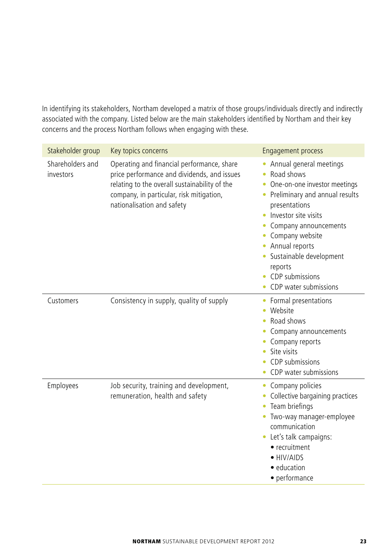In identifying its stakeholders, Northam developed a matrix of those groups/individuals directly and indirectly associated with the company. Listed below are the main stakeholders identified by Northam and their key concerns and the process Northam follows when engaging with these.

| Stakeholder group             | Key topics concerns                                                                                                                                                                                                  | <b>Engagement process</b>                                                                                                                                                                                                                                                                                                                                  |
|-------------------------------|----------------------------------------------------------------------------------------------------------------------------------------------------------------------------------------------------------------------|------------------------------------------------------------------------------------------------------------------------------------------------------------------------------------------------------------------------------------------------------------------------------------------------------------------------------------------------------------|
| Shareholders and<br>investors | Operating and financial performance, share<br>price performance and dividends, and issues<br>relating to the overall sustainability of the<br>company, in particular, risk mitigation,<br>nationalisation and safety | • Annual general meetings<br>Road shows<br>۰<br>One-on-one investor meetings<br>$\bullet$<br>Preliminary and annual results<br>$\bullet$<br>presentations<br>Investor site visits<br>Company announcements<br>٠<br>Company website<br>• Annual reports<br>Sustainable development<br>٠<br>reports<br>CDP submissions<br>CDP water submissions<br>$\bullet$ |
| Customers                     | Consistency in supply, quality of supply                                                                                                                                                                             | • Formal presentations<br>Website<br>Road shows<br>Company announcements<br>Company reports<br>Site visits<br>٠<br>CDP submissions<br>CDP water submissions<br>$\bullet$                                                                                                                                                                                   |
| Employees                     | Job security, training and development,<br>remuneration, health and safety                                                                                                                                           | Company policies<br>۰<br>Collective bargaining practices<br>Team briefings<br>۰<br>Two-way manager-employee<br>communication<br>• Let's talk campaigns:<br>• recruitment<br>• HIV/AIDS<br>• education<br>• performance                                                                                                                                     |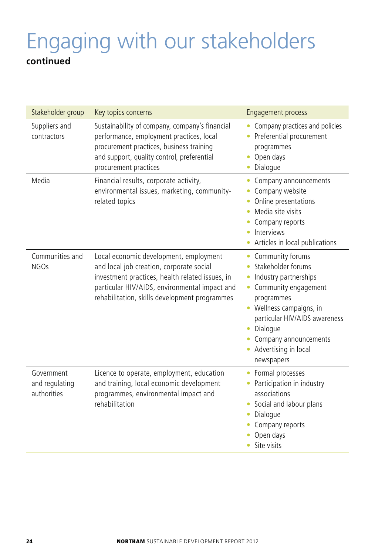## Engaging with our stakeholders **continued**

| Stakeholder group                           | Key topics concerns                                                                                                                                                                                                                     | <b>Engagement process</b>                                                                                                                                                                                                                            |
|---------------------------------------------|-----------------------------------------------------------------------------------------------------------------------------------------------------------------------------------------------------------------------------------------|------------------------------------------------------------------------------------------------------------------------------------------------------------------------------------------------------------------------------------------------------|
| Suppliers and<br>contractors                | Sustainability of company, company's financial<br>performance, employment practices, local<br>procurement practices, business training<br>and support, quality control, preferential<br>procurement practices                           | Company practices and policies<br>Preferential procurement<br>programmes<br>Open days<br>Dialogue                                                                                                                                                    |
| Media                                       | Financial results, corporate activity,<br>environmental issues, marketing, community-<br>related topics                                                                                                                                 | Company announcements<br>Company website<br>Online presentations<br>Media site visits<br>Company reports<br>Interviews<br>Articles in local publications<br>٠                                                                                        |
| Communities and<br>NGO <sub>S</sub>         | Local economic development, employment<br>and local job creation, corporate social<br>investment practices, health related issues, in<br>particular HIV/AIDS, environmental impact and<br>rehabilitation, skills development programmes | Community forums<br>٠<br>Stakeholder forums<br>Industry partnerships<br>Community engagement<br>programmes<br>• Wellness campaigns, in<br>particular HIV/AIDS awareness<br>Dialogue<br>Company announcements<br>• Advertising in local<br>newspapers |
| Government<br>and regulating<br>authorities | Licence to operate, employment, education<br>and training, local economic development<br>programmes, environmental impact and<br>rehabilitation                                                                                         | Formal processes<br>Participation in industry<br>associations<br>Social and labour plans<br>Dialogue<br>۰<br>Company reports<br>Open days<br>Site visits                                                                                             |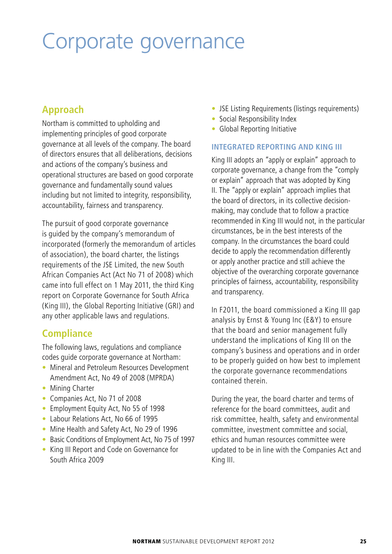## Corporate governance

## **Approach**

Northam is committed to upholding and implementing principles of good corporate governance at all levels of the company. The board of directors ensures that all deliberations, decisions and actions of the company's business and operational structures are based on good corporate governance and fundamentally sound values including but not limited to integrity, responsibility, accountability, fairness and transparency.

The pursuit of good corporate governance is guided by the company's memorandum of incorporated (formerly the memorandum of articles of association), the board charter, the listings requirements of the JSE Limited, the new South African Companies Act (Act No 71 of 2008) which came into full effect on 1 May 2011, the third King report on Corporate Governance for South Africa (King III), the Global Reporting Initiative (GRI) and any other applicable laws and regulations.

### **Compliance**

The following laws, regulations and compliance codes guide corporate governance at Northam:

- Mineral and Petroleum Resources Development Amendment Act, No 49 of 2008 (MPRDA)
- Mining Charter
- s Companies Act, No 71 of 2008
- Employment Equity Act, No 55 of 1998
- Labour Relations Act, No 66 of 1995
- Mine Health and Safety Act, No 29 of 1996
- Basic Conditions of Employment Act, No 75 of 1997
- King III Report and Code on Governance for South Africa 2009
- JSE Listing Requirements (listings requirements)
- Social Responsibility Index
- Global Reporting Initiative

#### **INTEGRATED REPORTING AND KING III**

King III adopts an "apply or explain" approach to corporate governance, a change from the "comply or explain" approach that was adopted by King II. The "apply or explain" approach implies that the board of directors, in its collective decisionmaking, may conclude that to follow a practice recommended in King III would not, in the particular circumstances, be in the best interests of the company. In the circumstances the board could decide to apply the recommendation differently or apply another practice and still achieve the objective of the overarching corporate governance principles of fairness, accountability, responsibility and transparency.

In F2011, the board commissioned a King III gap analysis by Ernst & Young Inc (E&Y) to ensure that the board and senior management fully understand the implications of King III on the company's business and operations and in order to be properly guided on how best to implement the corporate governance recommendations contained therein.

During the year, the board charter and terms of reference for the board committees, audit and risk committee, health, safety and environmental committee, investment committee and social, ethics and human resources committee were updated to be in line with the Companies Act and King III.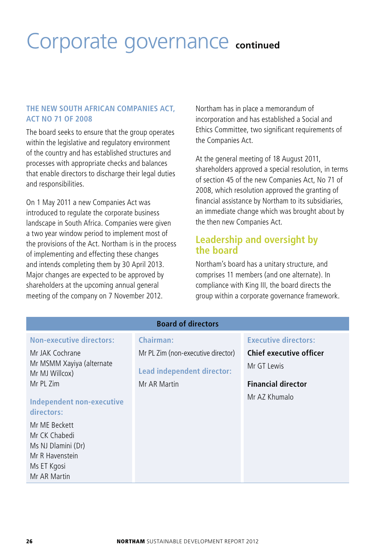## Corporate governance **continued**

#### **THE NEW SOUTH AFRICAN COMPANIES ACT, ACT NO 71 OF 2008**

The board seeks to ensure that the group operates within the legislative and regulatory environment of the country and has established structures and processes with appropriate checks and balances that enable directors to discharge their legal duties and responsibilities.

On 1 May 2011 a new Companies Act was introduced to regulate the corporate business landscape in South Africa. Companies were given a two year window period to implement most of the provisions of the Act. Northam is in the process of implementing and effecting these changes and intends completing them by 30 April 2013. Major changes are expected to be approved by shareholders at the upcoming annual general meeting of the company on 7 November 2012.

Northam has in place a memorandum of incorporation and has established a Social and Ethics Committee, two significant requirements of the Companies Act.

At the general meeting of 18 August 2011, shareholders approved a special resolution, in terms of section 45 of the new Companies Act, No 71 of 2008, which resolution approved the granting of financial assistance by Northam to its subsidiaries, an immediate change which was brought about by the then new Companies Act.

#### **Leadership and oversight by the board**

Northam's board has a unitary structure, and comprises 11 members (and one alternate). In compliance with King III, the board directs the group within a corporate governance framework.

| <b>Board of directors</b>                                                                                              |                                                                                  |                                                                                      |  |  |  |
|------------------------------------------------------------------------------------------------------------------------|----------------------------------------------------------------------------------|--------------------------------------------------------------------------------------|--|--|--|
| <b>Non-executive directors:</b>                                                                                        | Chairman:                                                                        | <b>Executive directors:</b>                                                          |  |  |  |
| Mr JAK Cochrane<br>Mr MSMM Xayiya (alternate<br>Mr MJ Willcox)<br>Mr PL Zim<br>Independent non-executive<br>directors: | Mr PL Zim (non-executive director)<br>Lead independent director:<br>Mr AR Martin | Chief executive officer<br>Mr GT Lewis<br><b>Financial director</b><br>Mr AZ Khumalo |  |  |  |
| Mr ME Beckett<br>Mr CK Chabedi<br>Ms NJ Dlamini (Dr)<br>Mr R Havenstein<br>Ms ET Kgosi<br>Mr AR Martin                 |                                                                                  |                                                                                      |  |  |  |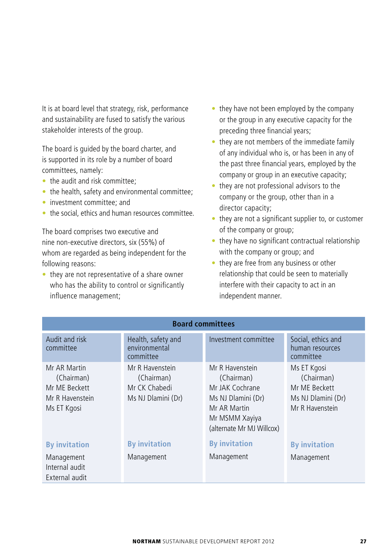It is at board level that strategy, risk, performance and sustainability are fused to satisfy the various stakeholder interests of the group.

The board is guided by the board charter, and is supported in its role by a number of board committees, namely:

- $\bullet$  the audit and risk committee:
- $\bullet$  the health, safety and environmental committee;
- investment committee; and
- the social, ethics and human resources committee.

The board comprises two executive and nine non-executive directors, six (55%) of whom are regarded as being independent for the following reasons:

 $\bullet$  they are not representative of a share owner who has the ability to control or significantly influence management;

- $\bullet$  they have not been employed by the company or the group in any executive capacity for the preceding three financial years;
- $\bullet$  they are not members of the immediate family of any individual who is, or has been in any of the past three financial years, employed by the company or group in an executive capacity;
- they are not professional advisors to the company or the group, other than in a director capacity;
- $\bullet$  they are not a significant supplier to, or customer of the company or group;
- $\bullet$  they have no significant contractual relationship with the company or group; and
- $\bullet$  they are free from any business or other relationship that could be seen to materially interfere with their capacity to act in an independent manner.

| <b>Board committees</b>                                                       |                                                                      |                                                                                                                                       |                                                                                     |  |  |
|-------------------------------------------------------------------------------|----------------------------------------------------------------------|---------------------------------------------------------------------------------------------------------------------------------------|-------------------------------------------------------------------------------------|--|--|
| Audit and risk<br>committee                                                   | Health, safety and<br>environmental<br>committee                     | Investment committee                                                                                                                  | Social, ethics and<br>human resources<br>committee                                  |  |  |
| Mr AR Martin<br>(Chairman)<br>Mr ME Beckett<br>Mr R Havenstein<br>Ms ET Kgosi | Mr R Havenstein<br>(Chairman)<br>Mr CK Chabedi<br>Ms NJ Dlamini (Dr) | Mr R Havenstein<br>(Chairman)<br>Mr JAK Cochrane<br>Ms NJ Dlamini (Dr)<br>Mr AR Martin<br>Mr MSMM Xayiya<br>(alternate Mr MJ Willcox) | Ms ET Kgosi<br>(Chairman)<br>Mr MF Beckett<br>Ms NJ Dlamini (Dr)<br>Mr R Havenstein |  |  |
| <b>By invitation</b>                                                          | <b>By invitation</b>                                                 | <b>By invitation</b>                                                                                                                  | <b>By invitation</b>                                                                |  |  |
| Management<br>Internal audit<br>External audit                                | Management                                                           | Management                                                                                                                            | Management                                                                          |  |  |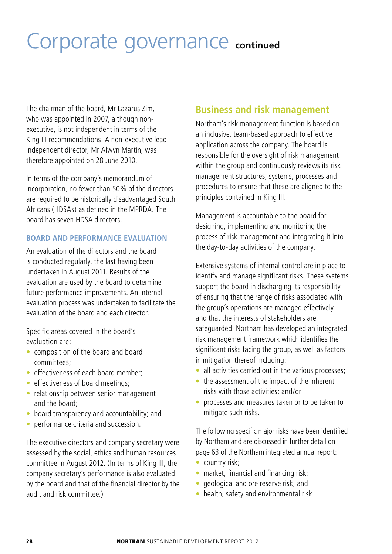## Corporate governance **continued**

The chairman of the board, Mr Lazarus Zim, who was appointed in 2007, although nonexecutive, is not independent in terms of the King III recommendations. A non-executive lead independent director, Mr Alwyn Martin, was therefore appointed on 28 June 2010.

In terms of the company's memorandum of incorporation, no fewer than 50% of the directors are required to be historically disadvantaged South Africans (HDSAs) as defined in the MPRDA. The board has seven HDSA directors.

#### **BOARD AND PERFORMANCE EVALUATION**

An evaluation of the directors and the board is conducted regularly, the last having been undertaken in August 2011. Results of the evaluation are used by the board to determine future performance improvements. An internal evaluation process was undertaken to facilitate the evaluation of the board and each director.

Specific areas covered in the board's evaluation are:

- composition of the board and board committees;
- $\bullet$  effectiveness of each board member:
- effectiveness of board meetings;
- relationship between senior management and the board;
- $\bullet$  board transparency and accountability; and
- performance criteria and succession.

The executive directors and company secretary were assessed by the social, ethics and human resources committee in August 2012. (In terms of King III, the company secretary's performance is also evaluated by the board and that of the financial director by the audit and risk committee.)

### **Business and risk management**

Northam's risk management function is based on an inclusive, team-based approach to effective application across the company. The board is responsible for the oversight of risk management within the group and continuously reviews its risk management structures, systems, processes and procedures to ensure that these are aligned to the principles contained in King III.

Management is accountable to the board for designing, implementing and monitoring the process of risk management and integrating it into the day-to-day activities of the company.

Extensive systems of internal control are in place to identify and manage significant risks. These systems support the board in discharging its responsibility of ensuring that the range of risks associated with the group's operations are managed effectively and that the interests of stakeholders are safeguarded. Northam has developed an integrated risk management framework which identifies the significant risks facing the group, as well as factors in mitigation thereof including:

- all activities carried out in the various processes:
- $\bullet$  the assessment of the impact of the inherent risks with those activities; and/or
- processes and measures taken or to be taken to mitigate such risks.

The following specific major risks have been identified by Northam and are discussed in further detail on page 63 of the Northam integrated annual report:

- $\bullet$  country risk;
- market, financial and financing risk;
- geological and ore reserve risk; and
- health, safety and environmental risk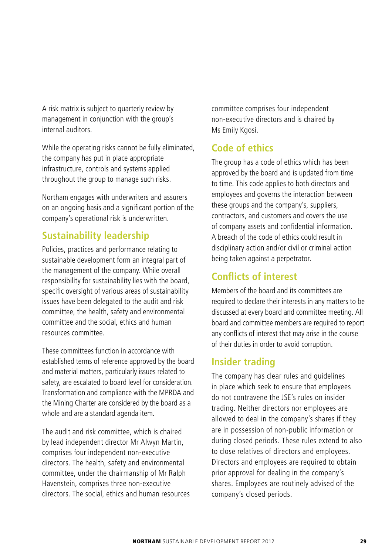A risk matrix is subject to quarterly review by management in conjunction with the group's internal auditors.

While the operating risks cannot be fully eliminated, the company has put in place appropriate infrastructure, controls and systems applied throughout the group to manage such risks.

Northam engages with underwriters and assurers on an ongoing basis and a significant portion of the company's operational risk is underwritten.

## **Sustainability leadership**

Policies, practices and performance relating to sustainable development form an integral part of the management of the company. While overall responsibility for sustainability lies with the board, specific oversight of various areas of sustainability issues have been delegated to the audit and risk committee, the health, safety and environmental committee and the social, ethics and human resources committee.

These committees function in accordance with established terms of reference approved by the board and material matters, particularly issues related to safety, are escalated to board level for consideration. Transformation and compliance with the MPRDA and the Mining Charter are considered by the board as a whole and are a standard agenda item.

The audit and risk committee, which is chaired by lead independent director Mr Alwyn Martin, comprises four independent non-executive directors. The health, safety and environmental committee, under the chairmanship of Mr Ralph Havenstein, comprises three non-executive directors. The social, ethics and human resources committee comprises four independent non-executive directors and is chaired by Ms Emily Kgosi.

## **Code of ethics**

The group has a code of ethics which has been approved by the board and is updated from time to time. This code applies to both directors and employees and governs the interaction between these groups and the company's, suppliers, contractors, and customers and covers the use of company assets and confidential information. A breach of the code of ethics could result in disciplinary action and/or civil or criminal action being taken against a perpetrator.

## **Conflicts of interest**

Members of the board and its committees are required to declare their interests in any matters to be discussed at every board and committee meeting. All board and committee members are required to report any conflicts of interest that may arise in the course of their duties in order to avoid corruption.

## **Insider trading**

The company has clear rules and guidelines in place which seek to ensure that employees do not contravene the JSE's rules on insider trading. Neither directors nor employees are allowed to deal in the company's shares if they are in possession of non-public information or during closed periods. These rules extend to also to close relatives of directors and employees. Directors and employees are required to obtain prior approval for dealing in the company's shares. Employees are routinely advised of the company's closed periods.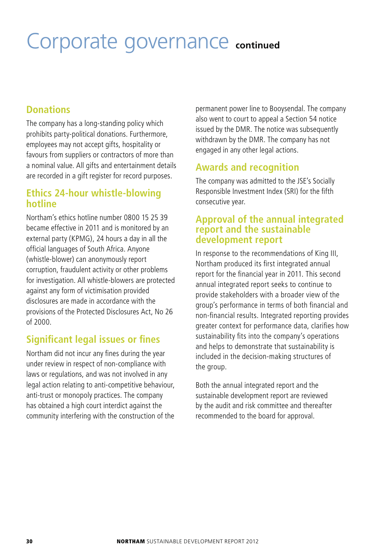## Corporate governance **continued**

#### **Donations**

The company has a long-standing policy which prohibits party-political donations. Furthermore, employees may not accept gifts, hospitality or favours from suppliers or contractors of more than a nominal value. All gifts and entertainment details are recorded in a gift register for record purposes.

#### **Ethics 24-hour whistle-blowing hotline**

Northam's ethics hotline number 0800 15 25 39 became effective in 2011 and is monitored by an external party (KPMG), 24 hours a day in all the official languages of South Africa. Anyone (whistle-blower) can anonymously report corruption, fraudulent activity or other problems for investigation. All whistle-blowers are protected against any form of victimisation provided disclosures are made in accordance with the provisions of the Protected Disclosures Act, No 26 of 2000.

## **Significant legal issues or fines**

Northam did not incur any fines during the year under review in respect of non-compliance with laws or regulations, and was not involved in any legal action relating to anti-competitive behaviour, anti-trust or monopoly practices. The company has obtained a high court interdict against the community interfering with the construction of the

permanent power line to Booysendal. The company also went to court to appeal a Section 54 notice issued by the DMR. The notice was subsequently withdrawn by the DMR. The company has not engaged in any other legal actions.

### **Awards and recognition**

The company was admitted to the JSE's Socially Responsible Investment Index (SRI) for the fifth consecutive year.

#### **Approval of the annual integrated report and the sustainable development report**

In response to the recommendations of King III, Northam produced its first integrated annual report for the financial year in 2011. This second annual integrated report seeks to continue to provide stakeholders with a broader view of the group's performance in terms of both financial and non-financial results. Integrated reporting provides greater context for performance data, clarifies how sustainability fits into the company's operations and helps to demonstrate that sustainability is included in the decision-making structures of the group.

Both the annual integrated report and the sustainable development report are reviewed by the audit and risk committee and thereafter recommended to the board for approval.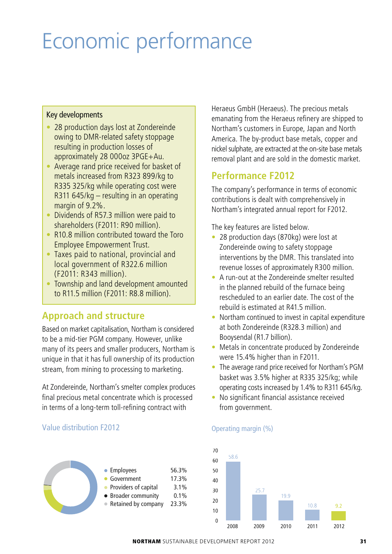# Economic performance

#### Key developments

- 28 production days lost at Zondereinde owing to DMR-related safety stoppage resulting in production losses of approximately 28 000oz 3PGE+Au.
- Average rand price received for basket of metals increased from R323 899/kg to R335 325/kg while operating cost were R311 645/kg – resulting in an operating margin of 9.2%.
- Dividends of R57.3 million were paid to shareholders (F2011: R90 million).
- R10.8 million contributed toward the Toro Employee Empowerment Trust.
- Taxes paid to national, provincial and local government of R322.6 million (F2011: R343 million).
- Township and land development amounted to R11.5 million (F2011: R8.8 million).

#### **Approach and structure**

Based on market capitalisation, Northam is considered to be a mid-tier PGM company. However, unlike many of its peers and smaller producers, Northam is unique in that it has full ownership of its production stream, from mining to processing to marketing.

At Zondereinde, Northam's smelter complex produces final precious metal concentrate which is processed in terms of a long-term toll-refining contract with

Value distribution F2012

Employees 56.3% Government 17.3% • Providers of capital 3.1% Broader community 0.1% Retained by company 23.3% Heraeus GmbH (Heraeus). The precious metals emanating from the Heraeus refinery are shipped to Northam's customers in Europe, Japan and North America. The by-product base metals, copper and nickel sulphate, are extracted at the on-site base metals removal plant and are sold in the domestic market.

### **Performance F2012**

The company's performance in terms of economic contributions is dealt with comprehensively in Northam's integrated annual report for F2012.

The key features are listed below.

- 28 production days (870kg) were lost at Zondereinde owing to safety stoppage interventions by the DMR. This translated into revenue losses of approximately R300 million.
- A run-out at the Zondereinde smelter resulted in the planned rebuild of the furnace being rescheduled to an earlier date. The cost of the rebuild is estimated at R41.5 million.
- $\bullet$  Northam continued to invest in capital expenditure at both Zondereinde (R328.3 million) and Booysendal (R1.7 billion).
- Metals in concentrate produced by Zondereinde were 15.4% higher than in F2011.
- The average rand price received for Northam's PGM basket was 3.5% higher at R335 325/kg; while operating costs increased by 1.4% to R311 645/kg.
- No significant financial assistance received from government.



#### Operating margin (%)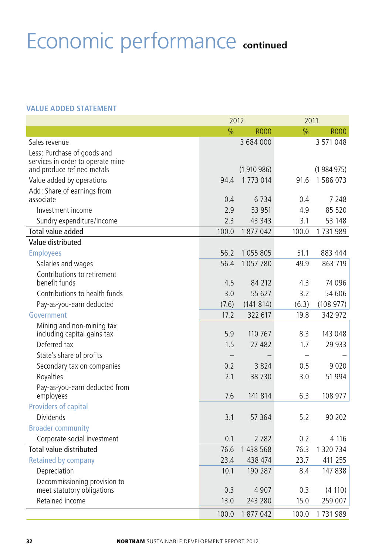# Economic performance **continued**

#### **VALUE ADDED STATEMENT**

|                                              | 2012                     |                | 2011          |           |
|----------------------------------------------|--------------------------|----------------|---------------|-----------|
|                                              | $\frac{0}{0}$            | <b>ROO0</b>    | $\frac{9}{6}$ | R000      |
| Sales revenue                                |                          | 3 684 000      |               | 3 571 048 |
| Less: Purchase of goods and                  |                          |                |               |           |
| services in order to operate mine            |                          |                |               |           |
| and produce refined metals                   |                          | (1910986)      |               | (1984975) |
| Value added by operations                    | 94.4                     | 1 773 014      | 91.6          | 1 586 073 |
| Add: Share of earnings from                  | 0.4                      |                |               | 7 2 4 8   |
| associate<br>Investment income               | 2.9                      | 6734<br>53 951 | 0.4<br>4.9    | 85 520    |
|                                              |                          |                |               |           |
| Sundry expenditure/income                    | 2.3                      | 43 3 43        | 3.1           | 53 148    |
| Total value added                            | 100.0                    | 1877042        | 100.0         | 1731989   |
| Value distributed                            |                          |                |               |           |
| <b>Employees</b>                             | 56.2                     | 1055805        | 51.1          | 883 444   |
| Salaries and wages                           | 56.4                     | 1 057 780      | 49.9          | 863 719   |
| Contributions to retirement<br>benefit funds | 4.5                      | 84 212         | 4.3           | 74 096    |
| Contributions to health funds                | 3.0                      | 55 627         | 3.2           | 54 606    |
| Pay-as-you-earn deducted                     | (7.6)                    | (141814)       | (6.3)         | (108977)  |
| Government                                   | 17.2                     | 322 617        | 19.8          | 342 972   |
| Mining and non-mining tax                    |                          |                |               |           |
| including capital gains tax                  | 5.9                      | 110 767        | 8.3           | 143 048   |
| Deferred tax                                 | 1.5                      | 27 482         | 1.7           | 29 933    |
| State's share of profits                     | $\overline{\phantom{0}}$ |                |               |           |
| Secondary tax on companies                   | 0.2                      | 3824           | 0.5           | 9 0 2 0   |
| Royalties                                    | 2.1                      | 38 7 30        | 3.0           | 51 994    |
| Pay-as-you-earn deducted from                |                          |                |               |           |
| employees                                    | 7.6                      | 141 814        | 6.3           | 108 977   |
| Providers of capital                         |                          |                |               |           |
| <b>Dividends</b>                             | 3.1                      | 57 364         | 5.2           | 90 202    |
| <b>Broader community</b>                     |                          |                |               |           |
| Corporate social investment                  | 0.1                      | 2782           | 0.2           | 4 1 1 6   |
| Total value distributed                      | 76.6                     | 1 438 568      | 76.3          | 1 320 734 |
| <b>Retained by company</b>                   | 23.4                     | 438 474        | 23.7          | 411 255   |
| Depreciation                                 | 10.1                     | 190 287        | 8.4           | 147838    |
| Decommissioning provision to                 |                          |                |               |           |
| meet statutory obligations                   | 0.3                      | 4 9 0 7        | 0.3           | (4 110)   |
| Retained income                              | 13.0                     | 243 280        | 15.0          | 259 007   |
|                                              | 100.0                    | 1877042        | 100.0         | 1731989   |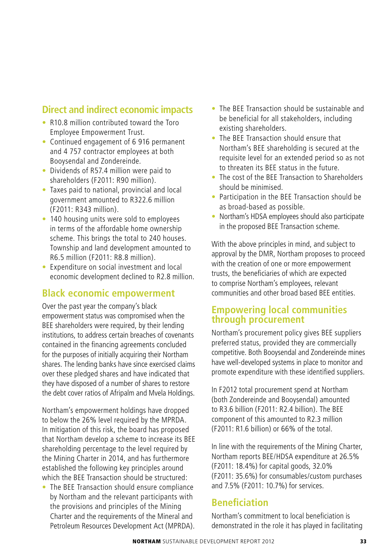### **Direct and indirect economic impacts**

- R10.8 million contributed toward the Toro Employee Empowerment Trust.
- s Continued engagement of 6 916 permanent and 4 757 contractor employees at both Booysendal and Zondereinde.
- Dividends of R57.4 million were paid to shareholders (F2011: R90 million).
- Taxes paid to national, provincial and local government amounted to R322.6 million (F2011: R343 million).
- 140 housing units were sold to employees in terms of the affordable home ownership scheme. This brings the total to 240 houses. Township and land development amounted to R6.5 million (F2011: R8.8 million).
- Expenditure on social investment and local economic development declined to R2.8 million.

#### **Black economic empowerment**

Over the past year the company's black empowerment status was compromised when the BEE shareholders were required, by their lending institutions, to address certain breaches of covenants contained in the financing agreements concluded for the purposes of initially acquiring their Northam shares. The lending banks have since exercised claims over these pledged shares and have indicated that they have disposed of a number of shares to restore the debt cover ratios of Afripalm and Mvela Holdings.

Northam's empowerment holdings have dropped to below the 26% level required by the MPRDA. In mitigation of this risk, the board has proposed that Northam develop a scheme to increase its BEE shareholding percentage to the level required by the Mining Charter in 2014, and has furthermore established the following key principles around which the BEE Transaction should be structured:

• The BEE Transaction should ensure compliance by Northam and the relevant participants with the provisions and principles of the Mining Charter and the requirements of the Mineral and Petroleum Resources Development Act (MPRDA).

- The BEE Transaction should be sustainable and be beneficial for all stakeholders, including existing shareholders.
- The BEE Transaction should ensure that Northam's BEE shareholding is secured at the requisite level for an extended period so as not to threaten its BEE status in the future.
- The cost of the BEE Transaction to Shareholders should be minimised.
- Participation in the BEE Transaction should be as broad-based as possible.
- Northam's HDSA employees should also participate in the proposed BEE Transaction scheme.

With the above principles in mind, and subject to approval by the DMR, Northam proposes to proceed with the creation of one or more empowerment trusts, the beneficiaries of which are expected to comprise Northam's employees, relevant communities and other broad based BEE entities.

#### **Empowering local communities through procurement**

Northam's procurement policy gives BEE suppliers preferred status, provided they are commercially competitive. Both Booysendal and Zondereinde mines have well-developed systems in place to monitor and promote expenditure with these identified suppliers.

In F2012 total procurement spend at Northam (both Zondereinde and Booysendal) amounted to R3.6 billion (F2011: R2.4 billion). The BEE component of this amounted to R2.3 million (F2011: R1.6 billion) or 66% of the total.

In line with the requirements of the Mining Charter, Northam reports BEE/HDSA expenditure at 26.5% (F2011: 18.4%) for capital goods, 32.0% (F2011: 35.6%) for consumables/custom purchases and 7.5% (F2011: 10.7%) for services.

#### **Beneficiation**

Northam's commitment to local beneficiation is demonstrated in the role it has played in facilitating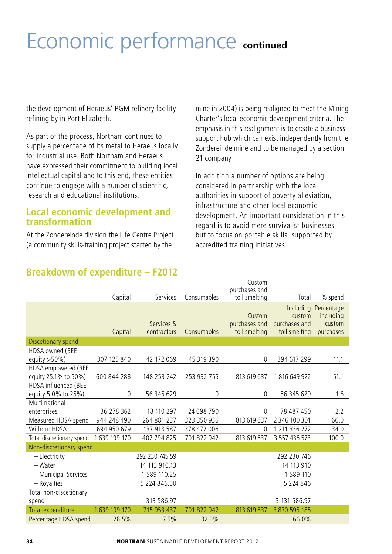# Economic performance **continued**

the development of Heraeus' PGM refinery facility refining by in Port Elizabeth.

As part of the process, Northam continues to supply a percentage of its metal to Heraeus locally for industrial use. Both Northam and Heraeus have expressed their commitment to building local intellectual capital and to this end, these entities continue to engage with a number of scientific, research and educational institutions.

#### **Local economic development and transformation**

At the Zondereinde division the Life Centre Project (a community skills-training project started by the

mine in 2004) is being realigned to meet the Mining Charter's local economic development criteria. The emphasis in this realignment is to create a business support hub which can exist independently from the Zondereinde mine and to be managed by a section 21 company.

In addition a number of options are being considered in partnership with the local authorities in support of poverty alleviation, infrastructure and other local economic development. An important consideration in this regard is to avoid mere survivalist businesses but to focus on portable skills, supported by accredited training initiatives.

|                                             | Capital      | Services                  | Consumables | Custom<br>purchases and<br>toll smelting | Total                                    | % spend                                                  |
|---------------------------------------------|--------------|---------------------------|-------------|------------------------------------------|------------------------------------------|----------------------------------------------------------|
|                                             | Capital      | Services &<br>contractors | Consumables | Custom<br>purchases and<br>toll smelting | custom<br>purchases and<br>toll smelting | Including Percentage<br>including<br>custom<br>purchases |
| Discetionary spend                          |              |                           |             |                                          |                                          |                                                          |
| HDSA owned (BEE<br>equity $>50\%$ )         | 307 125 840  | 42 172 069                | 45 319 390  | $\theta$                                 | 394 617 299                              | 11.1                                                     |
| HDSA empowered (BEE<br>equity 25.1% to 50%) | 600 844 288  | 148 253 242               | 253 932 755 | 813 619 637                              | 1816649922                               | 51.1                                                     |
| HDSA influenced (BEE<br>equity 5.0% to 25%) | 0            | 56 345 629                | 0           | $\theta$                                 | 56 345 629                               | 1.6                                                      |
| Multi national                              |              |                           |             |                                          |                                          |                                                          |
| enterprises                                 | 36 278 362   | 18 110 297                | 24 098 790  | $\theta$                                 | 78 487 450                               | 2.2                                                      |
| Measured HDSA spend                         | 944 248 490  | 264 881 237               | 323 350 936 | 813 619 637                              | 2 346 100 301                            | 66.0                                                     |
| Without HDSA                                | 694 950 679  | 137 913 587               | 378 472 006 | $\theta$                                 | 1 211 336 272                            | 34.0                                                     |
| Total discretionary spend                   | 1639 199 170 | 402 794 825               | 701 822 942 | 813 619 637                              | 3 557 436 573                            | 100.0                                                    |
| Non-discretionary spend                     |              |                           |             |                                          |                                          |                                                          |
| - Electricity                               |              | 292 230 745.59            |             |                                          | 292 230 746                              |                                                          |
| - Water                                     |              | 14 113 910.13             |             |                                          | 14 113 910                               |                                                          |
| - Municipal Services                        |              | 1 589 110.25              |             |                                          | 1589 110                                 |                                                          |
| - Royalties                                 |              | 5 224 846.00              |             |                                          | 5 224 846                                |                                                          |
| Total non-discetionary                      |              |                           |             |                                          |                                          |                                                          |
| spend                                       |              | 313 586.97                |             |                                          | 3 131 586.97                             |                                                          |
| Total expenditure                           | 1639 199 170 | 715 953 437               | 701 822 942 | 813 619 637                              | 3 870 595 185                            |                                                          |
| Percentage HDSA spend                       | 26.5%        | 7.5%                      | 32.0%       |                                          | 66.0%                                    |                                                          |

## **Breakdown of expenditure – F2012**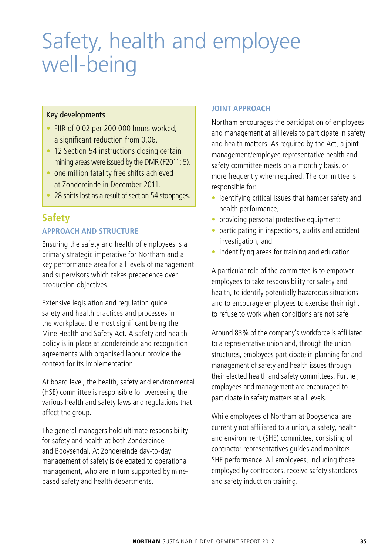# Safety, health and employee well-being

### Key developments

- FIIR of 0.02 per 200 000 hours worked. a significant reduction from 0.06.
- 12 Section 54 instructions closing certain mining areas were issued by the DMR (F2011: 5).
- one million fatality free shifts achieved at Zondereinde in December 2011.
- 28 shifts lost as a result of section 54 stoppages.

# **Safety**

### **APPROACH AND STRUCTURE**

Ensuring the safety and health of employees is a primary strategic imperative for Northam and a key performance area for all levels of management and supervisors which takes precedence over production objectives.

Extensive legislation and regulation guide safety and health practices and processes in the workplace, the most significant being the Mine Health and Safety Act. A safety and health policy is in place at Zondereinde and recognition agreements with organised labour provide the context for its implementation.

At board level, the health, safety and environmental (HSE) committee is responsible for overseeing the various health and safety laws and regulations that affect the group.

The general managers hold ultimate responsibility for safety and health at both Zondereinde and Booysendal. At Zondereinde day-to-day management of safety is delegated to operational management, who are in turn supported by minebased safety and health departments.

#### **JOINT APPROACH**

Northam encourages the participation of employees and management at all levels to participate in safety and health matters. As required by the Act, a joint management/employee representative health and safety committee meets on a monthly basis, or more frequently when required. The committee is responsible for:

- $\bullet$  identifying critical issues that hamper safety and health performance;
- providing personal protective equipment;
- $\bullet$  participating in inspections, audits and accident investigation; and
- $\bullet$  indentifying areas for training and education.

A particular role of the committee is to empower employees to take responsibility for safety and health, to identify potentially hazardous situations and to encourage employees to exercise their right to refuse to work when conditions are not safe.

Around 83% of the company's workforce is affiliated to a representative union and, through the union structures, employees participate in planning for and management of safety and health issues through their elected health and safety committees. Further, employees and management are encouraged to participate in safety matters at all levels.

While employees of Northam at Booysendal are currently not affiliated to a union, a safety, health and environment (SHE) committee, consisting of contractor representatives guides and monitors SHE performance. All employees, including those employed by contractors, receive safety standards and safety induction training.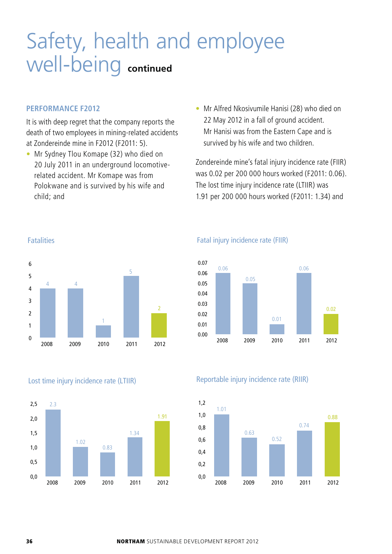# Safety, health and employee well-being **continued**

#### **PERFORMANCE F2012**

It is with deep regret that the company reports the death of two employees in mining-related accidents at Zondereinde mine in F2012 (F2011: 5).

- Mr Sydney Tlou Komape (32) who died on 20 July 2011 in an underground locomotiverelated accident. Mr Komape was from Polokwane and is survived by his wife and child; and
- Mr Alfred Nkosivumile Hanisi (28) who died on 22 May 2012 in a fall of ground accident. Mr Hanisi was from the Eastern Cape and is survived by his wife and two children.

Zondereinde mine's fatal injury incidence rate (FIIR) was 0.02 per 200 000 hours worked (F2011: 0.06). The lost time injury incidence rate (LTIIR) was 1.91 per 200 000 hours worked (F2011: 1.34) and



#### Fatalities





#### Fatal injury incidence rate (FIIR)



#### Reportable injury incidence rate (RIIR)

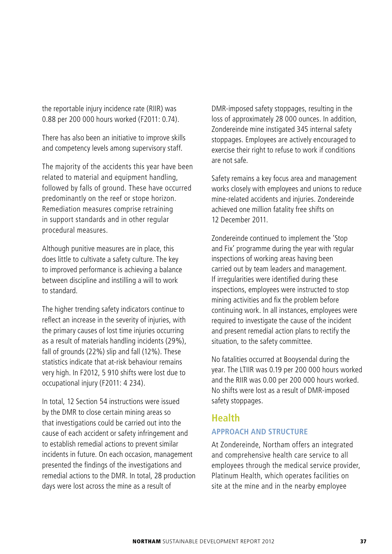the reportable injury incidence rate (RIIR) was 0.88 per 200 000 hours worked (F2011: 0.74).

There has also been an initiative to improve skills and competency levels among supervisory staff.

The majority of the accidents this year have been related to material and equipment handling, followed by falls of ground. These have occurred predominantly on the reef or stope horizon. Remediation measures comprise retraining in support standards and in other regular procedural measures.

Although punitive measures are in place, this does little to cultivate a safety culture. The key to improved performance is achieving a balance between discipline and instilling a will to work to standard.

The higher trending safety indicators continue to reflect an increase in the severity of injuries, with the primary causes of lost time injuries occurring as a result of materials handling incidents (29%), fall of grounds (22%) slip and fall (12%). These statistics indicate that at-risk behaviour remains very high. In F2012, 5 910 shifts were lost due to occupational injury (F2011: 4 234).

In total, 12 Section 54 instructions were issued by the DMR to close certain mining areas so that investigations could be carried out into the cause of each accident or safety infringement and to establish remedial actions to prevent similar incidents in future. On each occasion, management presented the findings of the investigations and remedial actions to the DMR. In total, 28 production days were lost across the mine as a result of

DMR-imposed safety stoppages, resulting in the loss of approximately 28 000 ounces. In addition, Zondereinde mine instigated 345 internal safety stoppages. Employees are actively encouraged to exercise their right to refuse to work if conditions are not safe.

Safety remains a key focus area and management works closely with employees and unions to reduce mine-related accidents and injuries. Zondereinde achieved one million fatality free shifts on 12 December 2011.

Zondereinde continued to implement the 'Stop and Fix' programme during the year with regular inspections of working areas having been carried out by team leaders and management. If irregularities were identified during these inspections, employees were instructed to stop mining activities and fix the problem before continuing work. In all instances, employees were required to investigate the cause of the incident and present remedial action plans to rectify the situation, to the safety committee.

No fatalities occurred at Booysendal during the year. The LTIIR was 0.19 per 200 000 hours worked and the RIIR was 0.00 per 200 000 hours worked. No shifts were lost as a result of DMR-imposed safety stoppages.

### **Health**

### **APPROACH AND STRUCTURE**

At Zondereinde, Northam offers an integrated and comprehensive health care service to all employees through the medical service provider, Platinum Health, which operates facilities on site at the mine and in the nearby employee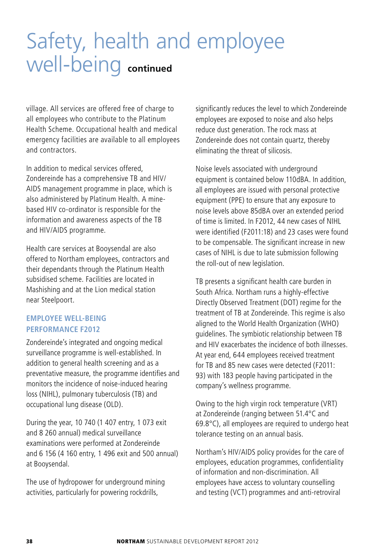# Safety, health and employee well-being **continued**

village. All services are offered free of charge to all employees who contribute to the Platinum Health Scheme. Occupational health and medical emergency facilities are available to all employees and contractors.

In addition to medical services offered, Zondereinde has a comprehensive TB and HIV/ AIDS management programme in place, which is also administered by Platinum Health. A minebased HIV co-ordinator is responsible for the information and awareness aspects of the TB and HIV/AIDS programme.

Health care services at Booysendal are also offered to Northam employees, contractors and their dependants through the Platinum Health subsidised scheme. Facilities are located in Mashishing and at the Lion medical station near Steelpoort.

#### **EMPLOYEE WELL-BEING PERFORMANCE F2012**

Zondereinde's integrated and ongoing medical surveillance programme is well-established. In addition to general health screening and as a preventative measure, the programme identifies and monitors the incidence of noise-induced hearing loss (NIHL), pulmonary tuberculosis (TB) and occupational lung disease (OLD).

During the year, 10 740 (1 407 entry, 1 073 exit and 8 260 annual) medical surveillance examinations were performed at Zondereinde and 6 156 (4 160 entry, 1 496 exit and 500 annual) at Booysendal.

The use of hydropower for underground mining activities, particularly for powering rockdrills,

significantly reduces the level to which Zondereinde employees are exposed to noise and also helps reduce dust generation. The rock mass at Zondereinde does not contain quartz, thereby eliminating the threat of silicosis.

Noise levels associated with underground equipment is contained below 110dBA. In addition, all employees are issued with personal protective equipment (PPE) to ensure that any exposure to noise levels above 85dBA over an extended period of time is limited. In F2012, 44 new cases of NIHL were identified (F2011:18) and 23 cases were found to be compensable. The significant increase in new cases of NIHL is due to late submission following the roll-out of new legislation.

TB presents a significant health care burden in South Africa. Northam runs a highly-effective Directly Observed Treatment (DOT) regime for the treatment of TB at Zondereinde. This regime is also aligned to the World Health Organization (WHO) guidelines. The symbiotic relationship between TB and HIV exacerbates the incidence of both illnesses. At year end, 644 employees received treatment for TB and 85 new cases were detected (F2011: 93) with 183 people having participated in the company's wellness programme.

Owing to the high virgin rock temperature (VRT) at Zondereinde (ranging between 51.4°C and 69.8°C), all employees are required to undergo heat tolerance testing on an annual basis.

Northam's HIV/AIDS policy provides for the care of employees, education programmes, confidentiality of information and non-discrimination. All employees have access to voluntary counselling and testing (VCT) programmes and anti-retroviral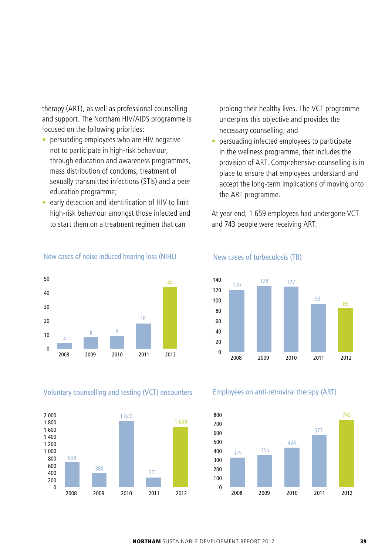therapy (ART), as well as professional counselling and support. The Northam HIV/AIDS programme is focused on the following priorities:

- persuading employees who are HIV negative not to participate in high-risk behaviour, through education and awareness programmes, mass distribution of condoms, treatment of sexually transmitted infections (STIs) and a peer education programme;
- early detection and identification of HIV to limit high-risk behaviour amongst those infected and to start them on a treatment regimen that can

#### 4 8 <u>9</u> 18 44 2008 2009 2010 2011 2012  $\overline{0}$ 10  $20$ 30  $40$ 50

New cases of noise induced hearing loss (NIHL)

Voluntary counselling and testing (VCT) encounters



prolong their healthy lives. The VCT programme underpins this objective and provides the necessary counselling; and

• persuading infected employees to participate in the wellness programme, that includes the provision of ART. Comprehensive counselling is in place to ensure that employees understand and accept the long-term implications of moving onto the ART programme.

At year end, 1 659 employees had undergone VCT and 743 people were receiving ART.



#### New cases of turbeculosis (TB)

Employees on anti-retroviral therapy (ART)

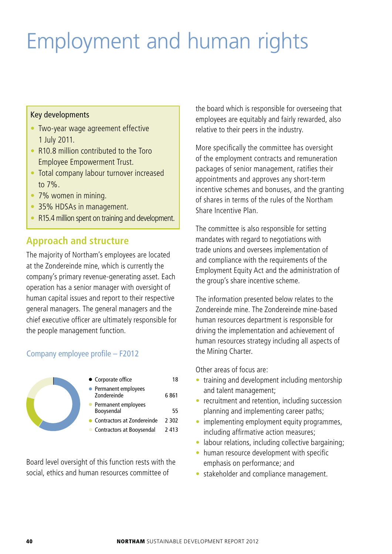# Employment and human rights

#### Key developments

- Two-year wage agreement effective 1 July 2011.
- R10.8 million contributed to the Toro Employee Empowerment Trust.
- Total company labour turnover increased to 7%.
- 7% women in mining.
- 35% HDSAs in management.
- R15.4 million spent on training and development.

# **Approach and structure**

The majority of Northam's employees are located at the Zondereinde mine, which is currently the company's primary revenue-generating asset. Each operation has a senior manager with oversight of human capital issues and report to their respective general managers. The general managers and the chief executive officer are ultimately responsible for the people management function.

### Company employee profile – F2012



Board level oversight of this function rests with the social, ethics and human resources committee of

the board which is responsible for overseeing that employees are equitably and fairly rewarded, also relative to their peers in the industry.

More specifically the committee has oversight of the employment contracts and remuneration packages of senior management, ratifies their appointments and approves any short-term incentive schemes and bonuses, and the granting of shares in terms of the rules of the Northam Share Incentive Plan.

The committee is also responsible for setting mandates with regard to negotiations with trade unions and oversees implementation of and compliance with the requirements of the Employment Equity Act and the administration of the group's share incentive scheme.

The information presented below relates to the Zondereinde mine. The Zondereinde mine-based human resources department is responsible for driving the implementation and achievement of human resources strategy including all aspects of the Mining Charter.

Other areas of focus are:

- training and development including mentorship and talent management;
- $\bullet$  recruitment and retention, including succession planning and implementing career paths;
- implementing employment equity programmes, including affirmative action measures;
- labour relations, including collective bargaining;
- human resource development with specific emphasis on performance; and
- stakeholder and compliance management.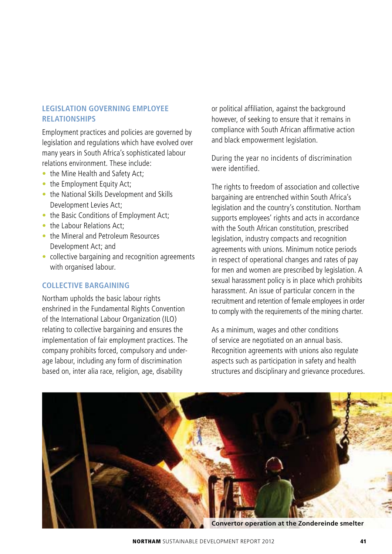#### **LEGISLATION GOVERNING EMPLOYEE RELATIONSHIPS**

Employment practices and policies are governed by legislation and regulations which have evolved over many years in South Africa's sophisticated labour relations environment. These include:

- the Mine Health and Safety Act:
- the Employment Equity Act;
- the National Skills Development and Skills Development Levies Act;
- the Basic Conditions of Employment Act;
- the Labour Relations Act:
- s the Mineral and Petroleum Resources Development Act; and
- collective bargaining and recognition agreements with organised labour.

### **COLLECTIVE BARGAINING**

Northam upholds the basic labour rights enshrined in the Fundamental Rights Convention of the International Labour Organization (ILO) relating to collective bargaining and ensures the implementation of fair employment practices. The company prohibits forced, compulsory and underage labour, including any form of discrimination based on, inter alia race, religion, age, disability

or political affiliation, against the background however, of seeking to ensure that it remains in compliance with South African affirmative action and black empowerment legislation.

During the year no incidents of discrimination were identified.

The rights to freedom of association and collective bargaining are entrenched within South Africa's legislation and the country's constitution. Northam supports employees' rights and acts in accordance with the South African constitution, prescribed legislation, industry compacts and recognition agreements with unions. Minimum notice periods in respect of operational changes and rates of pay for men and women are prescribed by legislation. A sexual harassment policy is in place which prohibits harassment. An issue of particular concern in the recruitment and retention of female employees in order to comply with the requirements of the mining charter.

As a minimum, wages and other conditions of service are negotiated on an annual basis. Recognition agreements with unions also regulate aspects such as participation in safety and health structures and disciplinary and grievance procedures.



**Convertor operation at the Zondereinde smelter**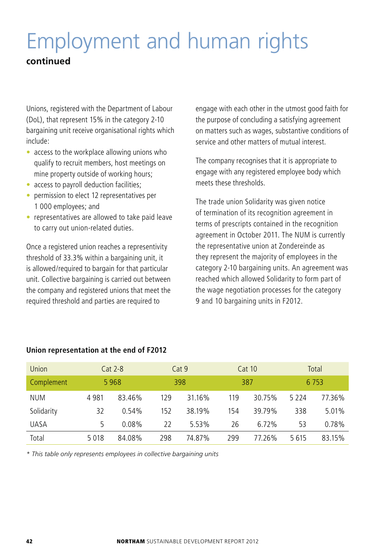# Employment and human rights

# **continued**

Unions, registered with the Department of Labour (DoL), that represent 15% in the category 2-10 bargaining unit receive organisational rights which include:

- $\bullet$  access to the workplace allowing unions who qualify to recruit members, host meetings on mine property outside of working hours;
- access to payroll deduction facilities;
- permission to elect 12 representatives per 1 000 employees; and
- representatives are allowed to take paid leave to carry out union-related duties.

Once a registered union reaches a representivity threshold of 33.3% within a bargaining unit, it is allowed/required to bargain for that particular unit. Collective bargaining is carried out between the company and registered unions that meet the required threshold and parties are required to

engage with each other in the utmost good faith for the purpose of concluding a satisfying agreement on matters such as wages, substantive conditions of service and other matters of mutual interest.

The company recognises that it is appropriate to engage with any registered employee body which meets these thresholds.

The trade union Solidarity was given notice of termination of its recognition agreement in terms of prescripts contained in the recognition agreement in October 2011. The NUM is currently the representative union at Zondereinde as they represent the majority of employees in the category 2-10 bargaining units. An agreement was reached which allowed Solidarity to form part of the wage negotiation processes for the category 9 and 10 bargaining units in F2012.

| <b>Union</b> |      | $Cat 2-8$ |     | Cat 9  |     | <b>Cat 10</b> |         | Total   |
|--------------|------|-----------|-----|--------|-----|---------------|---------|---------|
| Complement   |      | 5968      |     | 398    |     | 387           |         | 6 7 5 3 |
| <b>NUM</b>   | 4981 | 83.46%    | 129 | 31.16% | 119 | 30.75%        | 5 2 2 4 | 77.36%  |
| Solidarity   | 32   | 0.54%     | 152 | 38.19% | 154 | 39.79%        | 338     | 5.01%   |
| <b>UASA</b>  | 5    | $0.08\%$  | 22  | 5.53%  | 26  | 6.72%         | 53      | 0.78%   |
| Total        | 5018 | 84.08%    | 298 | 74.87% | 299 | 77.26%        | 5615    | 83.15%  |

### **Union representation at the end of F2012**

*\* This table only represents employees in collective bargaining units*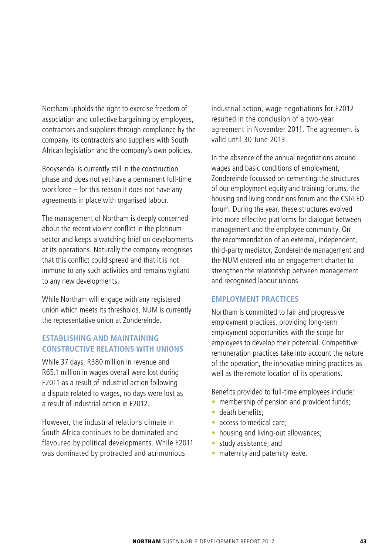Northam upholds the right to exercise freedom of association and collective bargaining by employees, contractors and suppliers through compliance by the company, its contractors and suppliers with South African legislation and the company's own policies.

Booysendal is currently still in the construction phase and does not yet have a permanent full-time workforce – for this reason it does not have any agreements in place with organised labour.

The management of Northam is deeply concerned about the recent violent conflict in the platinum sector and keeps a watching brief on developments at its operations. Naturally the company recognises that this conflict could spread and that it is not immune to any such activities and remains vigilant to any new developments.

While Northam will engage with any registered union which meets its thresholds, NUM is currently the representative union at Zondereinde.

### **ESTABLISHING AND MAINTAINING CONSTRUCTIVE RELATIONS WITH UNIONS**

While 37 days, R380 million in revenue and R65.1 million in wages overall were lost during F2011 as a result of industrial action following a dispute related to wages, no days were lost as a result of industrial action in F2012.

However, the industrial relations climate in South Africa continues to be dominated and flavoured by political developments. While F2011 was dominated by protracted and acrimonious

industrial action, wage negotiations for F2012 resulted in the conclusion of a two-year agreement in November 2011. The agreement is valid until 30 June 2013.

In the absence of the annual negotiations around wages and basic conditions of employment, Zondereinde focussed on cementing the structures of our employment equity and training forums, the housing and living conditions forum and the CSI/LED forum. During the year, these structures evolved into more effective platforms for dialogue between management and the employee community. On the recommendation of an external, independent, third-party mediator, Zondereinde management and the NUM entered into an engagement charter to strengthen the relationship between management and recognised labour unions.

#### **EMPLOYMENT PRACTICES**

Northam is committed to fair and progressive employment practices, providing long-term employment opportunities with the scope for employees to develop their potential. Competitive remuneration practices take into account the nature of the operation, the innovative mining practices as well as the remote location of its operations.

Benefits provided to full-time employees include:

- membership of pension and provident funds;
- · death benefits;
- access to medical care:
- housing and living-out allowances;
- study assistance; and
- maternity and paternity leave.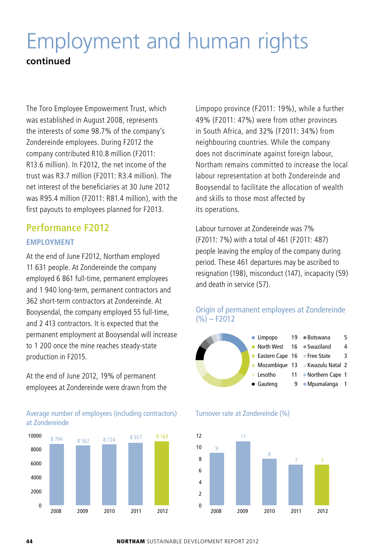# Employment and human rights **continued**

The Toro Employee Empowerment Trust, which was established in August 2008, represents the interests of some 98.7% of the company's Zondereinde employees. During F2012 the company contributed R10.8 million (F2011: R13.6 million). In F2012, the net income of the trust was R3.7 million (F2011: R3.4 million). The net interest of the beneficiaries at 30 June 2012 was R95.4 million (F2011: R81.4 million), with the first payouts to employees planned for F2013.

# **Performance F2012 EMPLOYMENT**

At the end of June F2012, Northam employed 11 631 people. At Zondereinde the company employed 6 861 full-time, permanent employees and 1 940 long-term, permanent contractors and 362 short-term contractors at Zondereinde. At Booysendal, the company employed 55 full-time, and 2 413 contractors. It is expected that the permanent employment at Booysendal will increase to 1 200 once the mine reaches steady-state production in F2015.

At the end of June 2012, 19% of permanent employees at Zondereinde were drawn from the

Average number of employees (including contractors) at Zondereinde



Limpopo province (F2011: 19%), while a further 49% (F2011: 47%) were from other provinces in South Africa, and 32% (F2011: 34%) from neighbouring countries. While the company does not discriminate against foreign labour, Northam remains committed to increase the local labour representation at both Zondereinde and Booysendal to facilitate the allocation of wealth and skills to those most affected by its operations.

Labour turnover at Zondereinde was 7% (F2011: 7%) with a total of 461 (F2011: 487) people leaving the employ of the company during period. These 461 departures may be ascribed to resignation (198), misconduct (147), incapacity (59) and death in service (57).







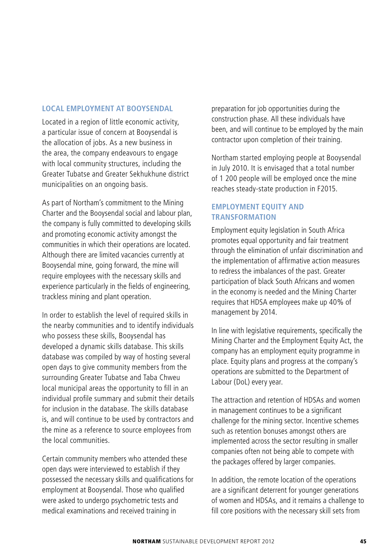#### **LOCAL EMPLOYMENT AT BOOYSENDAL**

Located in a region of little economic activity, a particular issue of concern at Booysendal is the allocation of jobs. As a new business in the area, the company endeavours to engage with local community structures, including the Greater Tubatse and Greater Sekhukhune district municipalities on an ongoing basis.

As part of Northam's commitment to the Mining Charter and the Booysendal social and labour plan, the company is fully committed to developing skills and promoting economic activity amongst the communities in which their operations are located. Although there are limited vacancies currently at Booysendal mine, going forward, the mine will require employees with the necessary skills and experience particularly in the fields of engineering, trackless mining and plant operation.

In order to establish the level of required skills in the nearby communities and to identify individuals who possess these skills, Booysendal has developed a dynamic skills database. This skills database was compiled by way of hosting several open days to give community members from the surrounding Greater Tubatse and Taba Chweu local municipal areas the opportunity to fill in an individual profile summary and submit their details for inclusion in the database. The skills database is, and will continue to be used by contractors and the mine as a reference to source employees from the local communities.

Certain community members who attended these open days were interviewed to establish if they possessed the necessary skills and qualifications for employment at Booysendal. Those who qualified were asked to undergo psychometric tests and medical examinations and received training in

preparation for job opportunities during the construction phase. All these individuals have been, and will continue to be employed by the main contractor upon completion of their training.

Northam started employing people at Booysendal in July 2010. It is envisaged that a total number of 1 200 people will be employed once the mine reaches steady-state production in F2015.

### **EMPLOYMENT EQUITY AND TRANSFORMATION**

Employment equity legislation in South Africa promotes equal opportunity and fair treatment through the elimination of unfair discrimination and the implementation of affirmative action measures to redress the imbalances of the past. Greater participation of black South Africans and women in the economy is needed and the Mining Charter requires that HDSA employees make up 40% of management by 2014.

In line with legislative requirements, specifically the Mining Charter and the Employment Equity Act, the company has an employment equity programme in place. Equity plans and progress at the company's operations are submitted to the Department of Labour (DoL) every year.

The attraction and retention of HDSAs and women in management continues to be a significant challenge for the mining sector. Incentive schemes such as retention bonuses amongst others are implemented across the sector resulting in smaller companies often not being able to compete with the packages offered by larger companies.

In addition, the remote location of the operations are a significant deterrent for younger generations of women and HDSAs, and it remains a challenge to fill core positions with the necessary skill sets from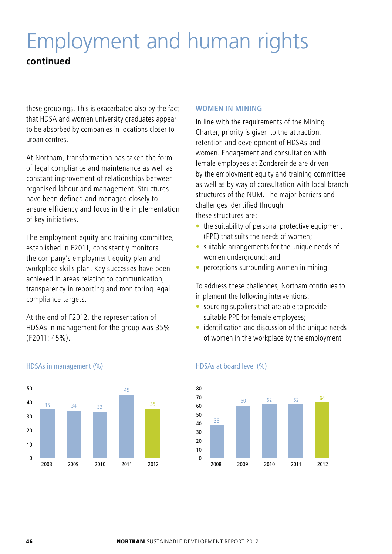# Employment and human rights

# **continued**

these groupings. This is exacerbated also by the fact that HDSA and women university graduates appear to be absorbed by companies in locations closer to urban centres.

At Northam, transformation has taken the form of legal compliance and maintenance as well as constant improvement of relationships between organised labour and management. Structures have been defined and managed closely to ensure efficiency and focus in the implementation of key initiatives.

The employment equity and training committee, established in F2011, consistently monitors the company's employment equity plan and workplace skills plan. Key successes have been achieved in areas relating to communication, transparency in reporting and monitoring legal compliance targets.

At the end of F2012, the representation of HDSAs in management for the group was 35% (F2011: 45%).



#### HDSAs in management (%)

#### **WOMEN IN MINING**

In line with the requirements of the Mining Charter, priority is given to the attraction, retention and development of HDSAs and women. Engagement and consultation with female employees at Zondereinde are driven by the employment equity and training committee as well as by way of consultation with local branch structures of the NUM. The major barriers and challenges identified through these structures are:

- $\bullet$  the suitability of personal protective equipment (PPE) that suits the needs of women;
- suitable arrangements for the unique needs of women underground; and
- perceptions surrounding women in mining.

To address these challenges, Northam continues to implement the following interventions:

- sourcing suppliers that are able to provide suitable PPE for female employees;
- $\bullet$  identification and discussion of the unique needs of women in the workplace by the employment



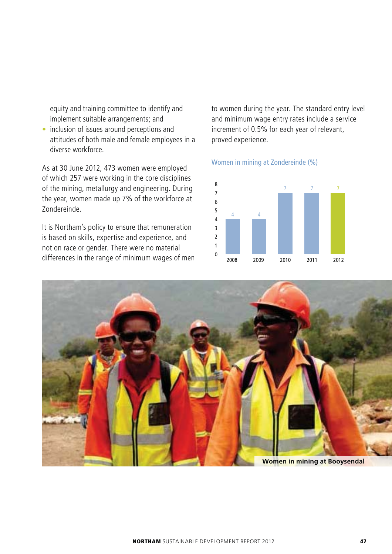equity and training committee to identify and implement suitable arrangements; and

• inclusion of issues around perceptions and attitudes of both male and female employees in a diverse workforce.

As at 30 June 2012, 473 women were employed of which 257 were working in the core disciplines of the mining, metallurgy and engineering. During the year, women made up 7% of the workforce at Zondereinde.

It is Northam's policy to ensure that remuneration is based on skills, expertise and experience, and not on race or gender. There were no material differences in the range of minimum wages of men

to women during the year. The standard entry level and minimum wage entry rates include a service increment of 0.5% for each year of relevant, proved experience.

#### Women in mining at Zondereinde (%)





**Women in mining at Booysendal**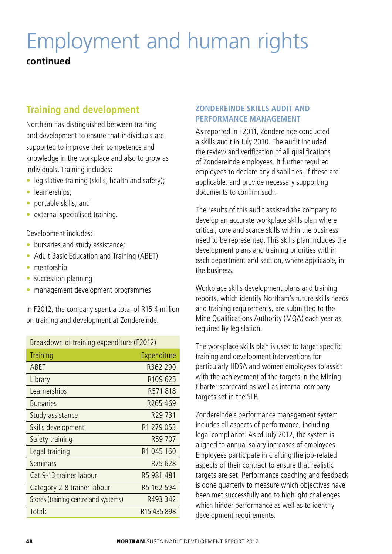# Employment and human rights

# **continued**

# **Training and development**

Northam has distinguished between training and development to ensure that individuals are supported to improve their competence and knowledge in the workplace and also to grow as individuals. Training includes:

- $\bullet$  legislative training (skills, health and safety);
- learnerships;
- portable skills; and
- $\bullet$  external specialised training.

Development includes:

- bursaries and study assistance;
- Adult Basic Education and Training (ABET)
- $\bullet$  mentorship
- $\bullet$  succession planning
- management development programmes

In F2012, the company spent a total of R15.4 million on training and development at Zondereinde.

| Breakdown of training expenditure (F2012) |                         |  |  |
|-------------------------------------------|-------------------------|--|--|
| Training                                  | Expenditure             |  |  |
| ABET                                      | R362 290                |  |  |
| Library                                   | R <sub>109</sub> 625    |  |  |
| Learnerships                              | R571818                 |  |  |
| <b>Bursaries</b>                          | R <sub>265</sub> 469    |  |  |
| Study assistance                          | R <sub>29</sub> 731     |  |  |
| Skills development                        | R <sub>1</sub> 279 053  |  |  |
| Safety training                           | R59 707                 |  |  |
| Legal training                            | R <sub>1</sub> 045 160  |  |  |
| Seminars                                  | R75628                  |  |  |
| Cat 9-13 trainer labour                   | R5 981 481              |  |  |
| Category 2-8 trainer labour               | R5 162 594              |  |  |
| Stores (training centre and systems)      | R493 342                |  |  |
| Total:                                    | R <sub>15</sub> 435 898 |  |  |

#### **ZONDEREINDE SKILLS AUDIT AND PERFORMANCE MANAGEMENT**

As reported in F2011, Zondereinde conducted a skills audit in July 2010. The audit included the review and verification of all qualifications of Zondereinde employees. It further required employees to declare any disabilities, if these are applicable, and provide necessary supporting documents to confirm such.

The results of this audit assisted the company to develop an accurate workplace skills plan where critical, core and scarce skills within the business need to be represented. This skills plan includes the development plans and training priorities within each department and section, where applicable, in the business.

Workplace skills development plans and training reports, which identify Northam's future skills needs and training requirements, are submitted to the Mine Qualifications Authority (MQA) each year as required by legislation.

The workplace skills plan is used to target specific training and development interventions for particularly HDSA and women employees to assist with the achievement of the targets in the Mining Charter scorecard as well as internal company targets set in the SLP.

Zondereinde's performance management system includes all aspects of performance, including legal compliance. As of July 2012, the system is aligned to annual salary increases of employees. Employees participate in crafting the job-related aspects of their contract to ensure that realistic targets are set. Performance coaching and feedback is done quarterly to measure which objectives have been met successfully and to highlight challenges which hinder performance as well as to identify development requirements.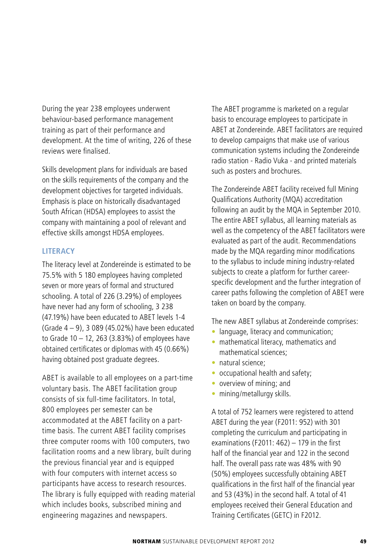During the year 238 employees underwent behaviour-based performance management training as part of their performance and development. At the time of writing, 226 of these reviews were finalised.

Skills development plans for individuals are based on the skills requirements of the company and the development objectives for targeted individuals. Emphasis is place on historically disadvantaged South African (HDSA) employees to assist the company with maintaining a pool of relevant and effective skills amongst HDSA employees.

#### **LITERACY**

The literacy level at Zondereinde is estimated to be 75.5% with 5 180 employees having completed seven or more years of formal and structured schooling. A total of 226 (3.29%) of employees have never had any form of schooling, 3 238 (47.19%) have been educated to ABET levels 1-4 (Grade 4 – 9), 3 089 (45.02%) have been educated to Grade  $10 - 12$ , 263 (3.83%) of employees have obtained certificates or diplomas with 45 (0.66%) having obtained post graduate degrees.

ABET is available to all employees on a part-time voluntary basis. The ABET facilitation group consists of six full-time facilitators. In total, 800 employees per semester can be accommodated at the ABET facility on a parttime basis. The current ABET facility comprises three computer rooms with 100 computers, two facilitation rooms and a new library, built during the previous financial year and is equipped with four computers with internet access so participants have access to research resources. The library is fully equipped with reading material which includes books, subscribed mining and engineering magazines and newspapers.

The ABET programme is marketed on a regular basis to encourage employees to participate in ABET at Zondereinde. ABET facilitators are required to develop campaigns that make use of various communication systems including the Zondereinde radio station - Radio Vuka - and printed materials such as posters and brochures.

The Zondereinde ABET facility received full Mining Qualifications Authority (MQA) accreditation following an audit by the MQA in September 2010. The entire ABET syllabus, all learning materials as well as the competency of the ABET facilitators were evaluated as part of the audit. Recommendations made by the MQA regarding minor modifications to the syllabus to include mining industry-related subjects to create a platform for further careerspecific development and the further integration of career paths following the completion of ABET were taken on board by the company.

The new ABET syllabus at Zondereinde comprises:

- language, literacy and communication;
- mathematical literacy, mathematics and mathematical sciences;
- natural science;
- occupational health and safety;
- overview of mining; and
- mining/metallurgy skills.

A total of 752 learners were registered to attend ABET during the year (F2011: 952) with 301 completing the curriculum and participating in examinations (F2011: 462) – 179 in the first half of the financial year and 122 in the second half. The overall pass rate was 48% with 90 (50%) employees successfully obtaining ABET qualifications in the first half of the financial year and 53 (43%) in the second half. A total of 41 employees received their General Education and Training Certificates (GETC) in F2012.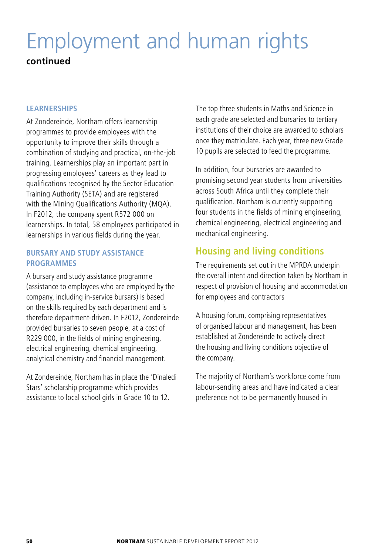# Employment and human rights **continued**

#### **LEARNERSHIPS**

At Zondereinde, Northam offers learnership programmes to provide employees with the opportunity to improve their skills through a combination of studying and practical, on-the-job training. Learnerships play an important part in progressing employees' careers as they lead to qualifications recognised by the Sector Education Training Authority (SETA) and are registered with the Mining Qualifications Authority (MQA). In F2012, the company spent R572 000 on learnerships. In total, 58 employees participated in learnerships in various fields during the year.

### **BURSARY AND STUDY ASSISTANCE PROGRAMMES**

A bursary and study assistance programme (assistance to employees who are employed by the company, including in-service bursars) is based on the skills required by each department and is therefore department-driven. In F2012, Zondereinde provided bursaries to seven people, at a cost of R229 000, in the fields of mining engineering, electrical engineering, chemical engineering, analytical chemistry and financial management.

At Zondereinde, Northam has in place the 'Dinaledi Stars' scholarship programme which provides assistance to local school girls in Grade 10 to 12.

The top three students in Maths and Science in each grade are selected and bursaries to tertiary institutions of their choice are awarded to scholars once they matriculate. Each year, three new Grade 10 pupils are selected to feed the programme.

In addition, four bursaries are awarded to promising second year students from universities across South Africa until they complete their qualification. Northam is currently supporting four students in the fields of mining engineering, chemical engineering, electrical engineering and mechanical engineering.

# **Housing and living conditions**

The requirements set out in the MPRDA underpin the overall intent and direction taken by Northam in respect of provision of housing and accommodation for employees and contractors

A housing forum, comprising representatives of organised labour and management, has been established at Zondereinde to actively direct the housing and living conditions objective of the company.

The majority of Northam's workforce come from labour-sending areas and have indicated a clear preference not to be permanently housed in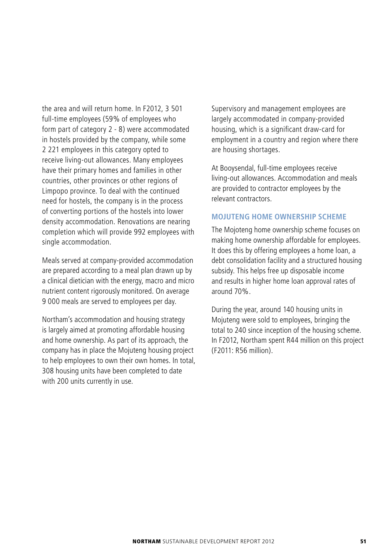the area and will return home. In F2012, 3 501 full-time employees (59% of employees who form part of category 2 - 8) were accommodated in hostels provided by the company, while some 2 221 employees in this category opted to receive living-out allowances. Many employees have their primary homes and families in other countries, other provinces or other regions of Limpopo province. To deal with the continued need for hostels, the company is in the process of converting portions of the hostels into lower density accommodation. Renovations are nearing completion which will provide 992 employees with single accommodation.

Meals served at company-provided accommodation are prepared according to a meal plan drawn up by a clinical dietician with the energy, macro and micro nutrient content rigorously monitored. On average 9 000 meals are served to employees per day.

Northam's accommodation and housing strategy is largely aimed at promoting affordable housing and home ownership. As part of its approach, the company has in place the Mojuteng housing project to help employees to own their own homes. In total, 308 housing units have been completed to date with 200 units currently in use.

Supervisory and management employees are largely accommodated in company-provided housing, which is a significant draw-card for employment in a country and region where there are housing shortages.

At Booysendal, full-time employees receive living-out allowances. Accommodation and meals are provided to contractor employees by the relevant contractors.

#### **MOJUTENG HOME OWNERSHIP SCHEME**

The Mojoteng home ownership scheme focuses on making home ownership affordable for employees. It does this by offering employees a home loan, a debt consolidation facility and a structured housing subsidy. This helps free up disposable income and results in higher home loan approval rates of around 70%.

During the year, around 140 housing units in Mojuteng were sold to employees, bringing the total to 240 since inception of the housing scheme. In F2012, Northam spent R44 million on this project (F2011: R56 million).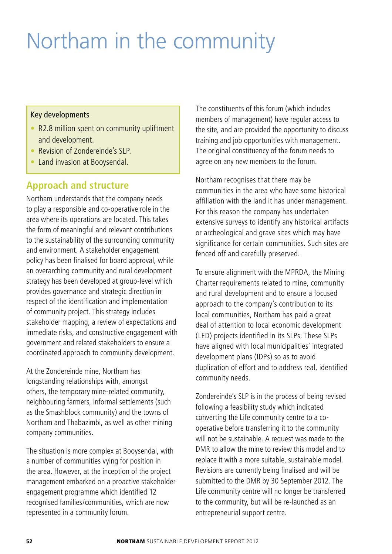# Northam in the community

#### Key developments

- R2.8 million spent on community upliftment and development.
- Revision of Zondereinde's SLP.
- Land invasion at Booysendal.

# **Approach and structure**

Northam understands that the company needs to play a responsible and co-operative role in the area where its operations are located. This takes the form of meaningful and relevant contributions to the sustainability of the surrounding community and environment. A stakeholder engagement policy has been finalised for board approval, while an overarching community and rural development strategy has been developed at group-level which provides governance and strategic direction in respect of the identification and implementation of community project. This strategy includes stakeholder mapping, a review of expectations and immediate risks, and constructive engagement with government and related stakeholders to ensure a coordinated approach to community development.

At the Zondereinde mine, Northam has longstanding relationships with, amongst others, the temporary mine-related community, neighbouring farmers, informal settlements (such as the Smashblock community) and the towns of Northam and Thabazimbi, as well as other mining company communities.

The situation is more complex at Booysendal, with a number of communities vying for position in the area. However, at the inception of the project management embarked on a proactive stakeholder engagement programme which identified 12 recognised families/communities, which are now represented in a community forum.

The constituents of this forum (which includes members of management) have regular access to the site, and are provided the opportunity to discuss training and job opportunities with management. The original constituency of the forum needs to agree on any new members to the forum.

Northam recognises that there may be communities in the area who have some historical affiliation with the land it has under management. For this reason the company has undertaken extensive surveys to identify any historical artifacts or archeological and grave sites which may have significance for certain communities. Such sites are fenced off and carefully preserved.

To ensure alignment with the MPRDA, the Mining Charter requirements related to mine, community and rural development and to ensure a focused approach to the company's contribution to its local communities, Northam has paid a great deal of attention to local economic development (LED) projects identified in its SLPs. These SLPs have aligned with local municipalities' integrated development plans (IDPs) so as to avoid duplication of effort and to address real, identified community needs.

Zondereinde's SLP is in the process of being revised following a feasibility study which indicated converting the Life community centre to a cooperative before transferring it to the community will not be sustainable. A request was made to the DMR to allow the mine to review this model and to replace it with a more suitable, sustainable model. Revisions are currently being finalised and will be submitted to the DMR by 30 September 2012. The Life community centre will no longer be transferred to the community, but will be re-launched as an entrepreneurial support centre.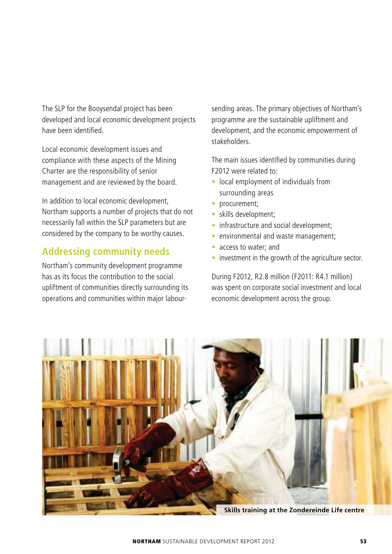The SLP for the Booysendal project has been developed and local economic development projects have been identified.

Local economic development issues and compliance with these aspects of the Mining Charter are the responsibility of senior management and are reviewed by the board.

In addition to local economic development, Northam supports a number of projects that do not necessarily fall within the SLP parameters but are considered by the company to be worthy causes.

# **Addressing community needs**

Northam's community development programme has as its focus the contribution to the social upliftment of communities directly surrounding its operations and communities within major labour-

sending areas. The primary objectives of Northam's programme are the sustainable upliftment and development, and the economic empowerment of stakeholders.

The main issues identified by communities during F2012 were related to:

- local employment of individuals from surrounding areas
- procurement;
- skills development:
- infrastructure and social development;
- $\bullet$  environmental and waste management:
- $\bullet$  access to water; and
- investment in the growth of the agriculture sector.

During F2012, R2.8 million (F2011: R4.1 million) was spent on corporate social investment and local economic development across the group.



**NORTHAM** SUSTAINABLE DEVELOPMENT REPORT 2012 **53**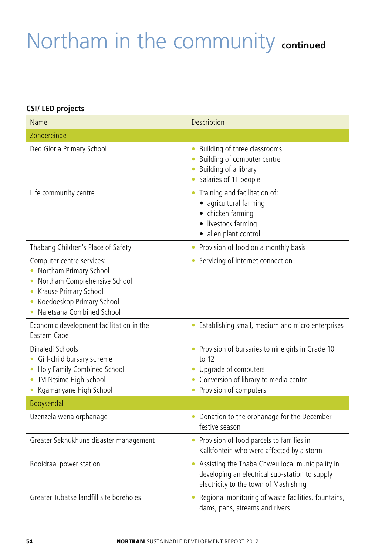# Northam in the community **continued**

### **CSI/ LED projects**

| Name                                                                                                                                                                        | Description                                                                                                                                                  |
|-----------------------------------------------------------------------------------------------------------------------------------------------------------------------------|--------------------------------------------------------------------------------------------------------------------------------------------------------------|
| Zondereinde                                                                                                                                                                 |                                                                                                                                                              |
| Deo Gloria Primary School                                                                                                                                                   | Building of three classrooms<br>$\bullet$<br>Building of computer centre<br>Building of a library<br>• Salaries of 11 people                                 |
| Life community centre                                                                                                                                                       | • Training and facilitation of:<br>· agricultural farming<br>• chicken farming<br>· livestock farming<br>· alien plant control                               |
| Thabang Children's Place of Safety                                                                                                                                          | Provision of food on a monthly basis<br>۰                                                                                                                    |
| Computer centre services:<br>Northam Primary School<br>٠<br>Northam Comprehensive School<br>Krause Primary School<br>Koedoeskop Primary School<br>Naletsana Combined School | • Servicing of internet connection                                                                                                                           |
| Economic development facilitation in the<br>Eastern Cape                                                                                                                    | • Establishing small, medium and micro enterprises                                                                                                           |
| Dinaledi Schools<br>Girl-child bursary scheme<br>۰<br>Holy Family Combined School<br>JM Ntsime High School<br>Kgamanyane High School                                        | • Provision of bursaries to nine girls in Grade 10<br>to 12<br>• Upgrade of computers<br>• Conversion of library to media centre<br>• Provision of computers |
| Booysendal                                                                                                                                                                  |                                                                                                                                                              |
| Uzenzela wena orphanage                                                                                                                                                     | • Donation to the orphanage for the December<br>festive season                                                                                               |
| Greater Sekhukhune disaster management                                                                                                                                      | • Provision of food parcels to families in<br>Kalkfontein who were affected by a storm                                                                       |
| Rooidraai power station                                                                                                                                                     | • Assisting the Thaba Chweu local municipality in<br>developing an electrical sub-station to supply<br>electricity to the town of Mashishing                 |
| Greater Tubatse landfill site boreholes                                                                                                                                     | Regional monitoring of waste facilities, fountains,<br>dams, pans, streams and rivers                                                                        |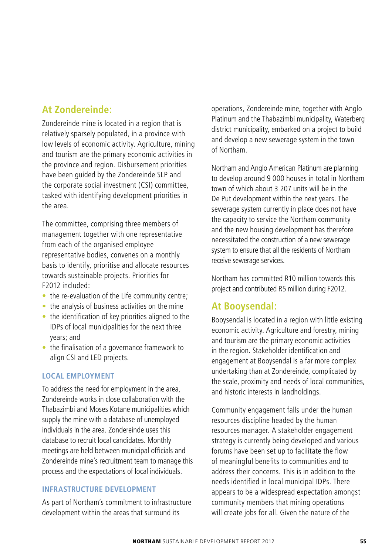# **At Zondereinde:**

Zondereinde mine is located in a region that is relatively sparsely populated, in a province with low levels of economic activity. Agriculture, mining and tourism are the primary economic activities in the province and region. Disbursement priorities have been guided by the Zondereinde SLP and the corporate social investment (CSI) committee, tasked with identifying development priorities in the area.

The committee, comprising three members of management together with one representative from each of the organised employee representative bodies, convenes on a monthly basis to identify, prioritise and allocate resources towards sustainable projects. Priorities for F2012 included:

- $\bullet$  the re-evaluation of the Life community centre:
- $\bullet$  the analysis of business activities on the mine
- $\bullet$  the identification of key priorities aligned to the IDPs of local municipalities for the next three years; and
- $\bullet$  the finalisation of a governance framework to align CSI and LED projects.

#### **LOCAL EMPLOYMENT**

To address the need for employment in the area, Zondereinde works in close collaboration with the Thabazimbi and Moses Kotane municipalities which supply the mine with a database of unemployed individuals in the area. Zondereinde uses this database to recruit local candidates. Monthly meetings are held between municipal officials and Zondereinde mine's recruitment team to manage this process and the expectations of local individuals.

#### **INFRASTRUCTURE DEVELOPMENT**

As part of Northam's commitment to infrastructure development within the areas that surround its

operations, Zondereinde mine, together with Anglo Platinum and the Thabazimbi municipality, Waterberg district municipality, embarked on a project to build and develop a new sewerage system in the town of Northam.

Northam and Anglo American Platinum are planning to develop around 9 000 houses in total in Northam town of which about 3 207 units will be in the De Put development within the next years. The sewerage system currently in place does not have the capacity to service the Northam community and the new housing development has therefore necessitated the construction of a new sewerage system to ensure that all the residents of Northam receive sewerage services.

Northam has committed R10 million towards this project and contributed R5 million during F2012.

# **At Booysendal:**

Booysendal is located in a region with little existing economic activity. Agriculture and forestry, mining and tourism are the primary economic activities in the region. Stakeholder identification and engagement at Booysendal is a far more complex undertaking than at Zondereinde, complicated by the scale, proximity and needs of local communities, and historic interests in landholdings.

Community engagement falls under the human resources discipline headed by the human resources manager. A stakeholder engagement strategy is currently being developed and various forums have been set up to facilitate the flow of meaningful benefits to communities and to address their concerns. This is in addition to the needs identified in local municipal IDPs. There appears to be a widespread expectation amongst community members that mining operations will create jobs for all. Given the nature of the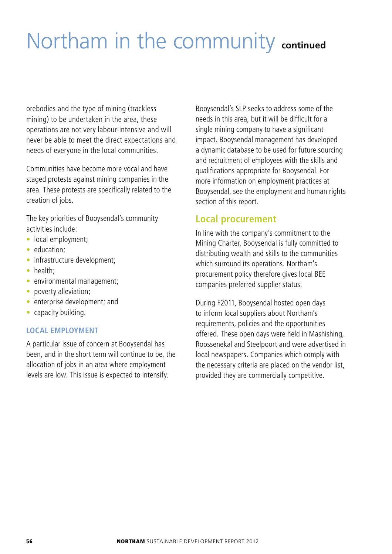# Northam in the community **continued**

orebodies and the type of mining (trackless mining) to be undertaken in the area, these operations are not very labour-intensive and will never be able to meet the direct expectations and needs of everyone in the local communities.

Communities have become more vocal and have staged protests against mining companies in the area. These protests are specifically related to the creation of jobs.

The key priorities of Booysendal's community activities include:

- local employment:
- education:
- infrastructure development;
- health:
- environmental management;
- poverty alleviation;
- enterprise development; and
- $\bullet$  capacity building.

#### **LOCAL EMPLOYMENT**

A particular issue of concern at Booysendal has been, and in the short term will continue to be, the allocation of jobs in an area where employment levels are low. This issue is expected to intensify.

Booysendal's SLP seeks to address some of the needs in this area, but it will be difficult for a single mining company to have a significant impact. Booysendal management has developed a dynamic database to be used for future sourcing and recruitment of employees with the skills and qualifications appropriate for Booysendal. For more information on employment practices at Booysendal, see the employment and human rights section of this report.

### **Local procurement**

In line with the company's commitment to the Mining Charter, Booysendal is fully committed to distributing wealth and skills to the communities which surround its operations. Northam's procurement policy therefore gives local BEE companies preferred supplier status.

During F2011, Booysendal hosted open days to inform local suppliers about Northam's requirements, policies and the opportunities offered. These open days were held in Mashishing, Roossenekal and Steelpoort and were advertised in local newspapers. Companies which comply with the necessary criteria are placed on the vendor list, provided they are commercially competitive.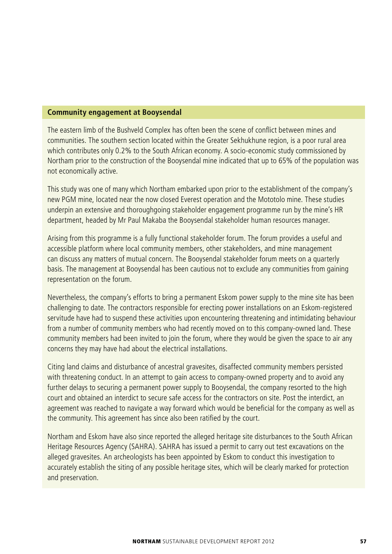#### **Community engagement at Booysendal**

The eastern limb of the Bushveld Complex has often been the scene of conflict between mines and communities. The southern section located within the Greater Sekhukhune region, is a poor rural area which contributes only 0.2% to the South African economy. A socio-economic study commissioned by Northam prior to the construction of the Booysendal mine indicated that up to 65% of the population was not economically active.

This study was one of many which Northam embarked upon prior to the establishment of the company's new PGM mine, located near the now closed Everest operation and the Mototolo mine. These studies underpin an extensive and thoroughgoing stakeholder engagement programme run by the mine's HR department, headed by Mr Paul Makaba the Booysendal stakeholder human resources manager.

Arising from this programme is a fully functional stakeholder forum. The forum provides a useful and accessible platform where local community members, other stakeholders, and mine management can discuss any matters of mutual concern. The Booysendal stakeholder forum meets on a quarterly basis. The management at Booysendal has been cautious not to exclude any communities from gaining representation on the forum.

Nevertheless, the company's efforts to bring a permanent Eskom power supply to the mine site has been challenging to date. The contractors responsible for erecting power installations on an Eskom-registered servitude have had to suspend these activities upon encountering threatening and intimidating behaviour from a number of community members who had recently moved on to this company-owned land. These community members had been invited to join the forum, where they would be given the space to air any concerns they may have had about the electrical installations.

Citing land claims and disturbance of ancestral gravesites, disaffected community members persisted with threatening conduct. In an attempt to gain access to company-owned property and to avoid any further delays to securing a permanent power supply to Booysendal, the company resorted to the high court and obtained an interdict to secure safe access for the contractors on site. Post the interdict, an agreement was reached to navigate a way forward which would be beneficial for the company as well as the community. This agreement has since also been ratified by the court.

Northam and Eskom have also since reported the alleged heritage site disturbances to the South African Heritage Resources Agency (SAHRA). SAHRA has issued a permit to carry out test excavations on the alleged gravesites. An archeologists has been appointed by Eskom to conduct this investigation to accurately establish the siting of any possible heritage sites, which will be clearly marked for protection and preservation.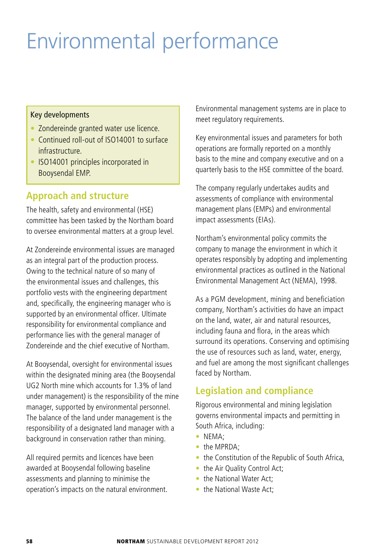# Environmental performance

#### Key developments

- Zondereinde granted water use licence.
- Continued roll-out of ISO14001 to surface infrastructure.
- ISO14001 principles incorporated in Booysendal EMP.

# **Approach and structure**

The health, safety and environmental (HSE) committee has been tasked by the Northam board to oversee environmental matters at a group level.

At Zondereinde environmental issues are managed as an integral part of the production process. Owing to the technical nature of so many of the environmental issues and challenges, this portfolio vests with the engineering department and, specifically, the engineering manager who is supported by an environmental officer. Ultimate responsibility for environmental compliance and performance lies with the general manager of Zondereinde and the chief executive of Northam.

At Booysendal, oversight for environmental issues within the designated mining area (the Booysendal UG2 North mine which accounts for 1.3% of land under management) is the responsibility of the mine manager, supported by environmental personnel. The balance of the land under management is the responsibility of a designated land manager with a background in conservation rather than mining.

All required permits and licences have been awarded at Booysendal following baseline assessments and planning to minimise the operation's impacts on the natural environment. Environmental management systems are in place to meet regulatory requirements.

Key environmental issues and parameters for both operations are formally reported on a monthly basis to the mine and company executive and on a quarterly basis to the HSE committee of the board.

The company regularly undertakes audits and assessments of compliance with environmental management plans (EMPs) and environmental impact assessments (EIAs).

Northam's environmental policy commits the company to manage the environment in which it operates responsibly by adopting and implementing environmental practices as outlined in the National Environmental Management Act (NEMA), 1998.

As a PGM development, mining and beneficiation company, Northam's activities do have an impact on the land, water, air and natural resources, including fauna and flora, in the areas which surround its operations. Conserving and optimising the use of resources such as land, water, energy, and fuel are among the most significant challenges faced by Northam.

# **Legislation and compliance**

Rigorous environmental and mining legislation governs environmental impacts and permitting in South Africa, including:

- NEMA:
- the MPRDA:
- the Constitution of the Republic of South Africa,
- the Air Quality Control Act;
- the National Water Act:
- the National Waste Act: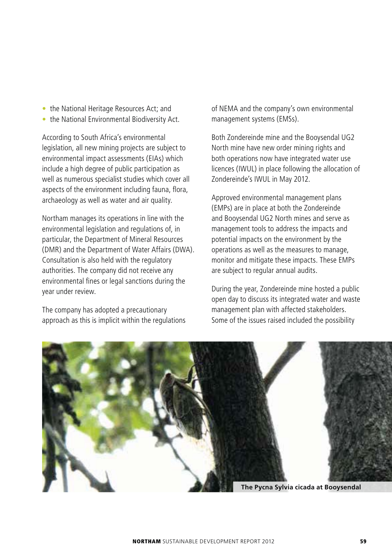- the National Heritage Resources Act; and
- $\bullet$  the National Environmental Biodiversity Act.

According to South Africa's environmental legislation, all new mining projects are subject to environmental impact assessments (EIAs) which include a high degree of public participation as well as numerous specialist studies which cover all aspects of the environment including fauna, flora, archaeology as well as water and air quality.

Northam manages its operations in line with the environmental legislation and regulations of, in particular, the Department of Mineral Resources (DMR) and the Department of Water Affairs (DWA). Consultation is also held with the regulatory authorities. The company did not receive any environmental fines or legal sanctions during the year under review.

The company has adopted a precautionary approach as this is implicit within the regulations of NEMA and the company's own environmental management systems (EMSs).

Both Zondereinde mine and the Booysendal UG2 North mine have new order mining rights and both operations now have integrated water use licences (IWUL) in place following the allocation of Zondereinde's IWUL in May 2012.

Approved environmental management plans (EMPs) are in place at both the Zondereinde and Booysendal UG2 North mines and serve as management tools to address the impacts and potential impacts on the environment by the operations as well as the measures to manage, monitor and mitigate these impacts. These EMPs are subject to regular annual audits.

During the year, Zondereinde mine hosted a public open day to discuss its integrated water and waste management plan with affected stakeholders. Some of the issues raised included the possibility



**NORTHAM** SUSTAINABLE DEVELOPMENT REPORT 2012 **59**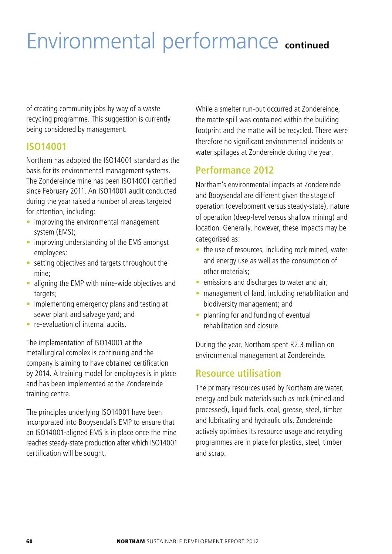# Environmental performance **continued**

of creating community jobs by way of a waste recycling programme. This suggestion is currently being considered by management.

# **ISO14001**

Northam has adopted the ISO14001 standard as the basis for its environmental management systems. The Zondereinde mine has been ISO14001 certified since February 2011. An ISO14001 audit conducted during the year raised a number of areas targeted for attention, including:

- improving the environmental management system (EMS);
- improving understanding of the EMS amongst employees;
- $\bullet$  setting objectives and targets throughout the mine;
- aligning the EMP with mine-wide objectives and targets:
- implementing emergency plans and testing at sewer plant and salvage yard; and
- s re-evaluation of internal audits.

The implementation of ISO14001 at the metallurgical complex is continuing and the company is aiming to have obtained certification by 2014. A training model for employees is in place and has been implemented at the Zondereinde training centre.

The principles underlying ISO14001 have been incorporated into Booysendal's EMP to ensure that an ISO14001-aligned EMS is in place once the mine reaches steady-state production after which ISO14001 certification will be sought.

While a smelter run-out occurred at Zondereinde, the matte spill was contained within the building footprint and the matte will be recycled. There were therefore no significant environmental incidents or water spillages at Zondereinde during the year.

# **Performance 2012**

Northam's environmental impacts at Zondereinde and Booysendal are different given the stage of operation (development versus steady-state), nature of operation (deep-level versus shallow mining) and location. Generally, however, these impacts may be categorised as:

- $\bullet$  the use of resources, including rock mined, water and energy use as well as the consumption of other materials;
- emissions and discharges to water and air;
- management of land, including rehabilitation and biodiversity management; and
- $\bullet$  planning for and funding of eventual rehabilitation and closure.

During the year, Northam spent R2.3 million on environmental management at Zondereinde.

# **Resource utilisation**

The primary resources used by Northam are water, energy and bulk materials such as rock (mined and processed), liquid fuels, coal, grease, steel, timber and lubricating and hydraulic oils. Zondereinde actively optimises its resource usage and recycling programmes are in place for plastics, steel, timber and scrap.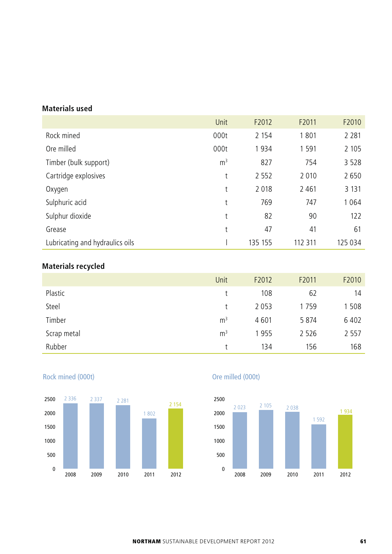### **Materials used**

|                                 | Unit           | F2012   | F2011   | F2010   |
|---------------------------------|----------------|---------|---------|---------|
| Rock mined                      | 000t           | 2 1 5 4 | 1801    | 2 2 8 1 |
| Ore milled                      | 000t           | 1934    | 1 5 9 1 | 2 1 0 5 |
| Timber (bulk support)           | m <sup>3</sup> | 827     | 754     | 3 5 2 8 |
| Cartridge explosives            | t              | 2 5 5 2 | 2 0 1 0 | 2650    |
| Oxygen                          | t              | 2018    | 2461    | 3 1 3 1 |
| Sulphuric acid                  | t              | 769     | 747     | 1 0 6 4 |
| Sulphur dioxide                 | t              | 82      | 90      | 122     |
| Grease                          | t              | 47      | 41      | 61      |
| Lubricating and hydraulics oils |                | 135 155 | 112 311 | 125 034 |

# **Materials recycled**

|             | Unit           | F2012 | F2011   | F2010   |
|-------------|----------------|-------|---------|---------|
| Plastic     |                | 108   | 62      | 14      |
| Steel       |                | 2053  | 1759    | 1 5 0 8 |
| Timber      | m <sup>3</sup> | 4601  | 5 8 7 4 | 6402    |
| Scrap metal | m <sup>3</sup> | 1955  | 2 5 2 6 | 2 5 5 7 |
| Rubber      |                | 134   | 156     | 168     |



## Rock mined (000t)

## Ore milled (000t)

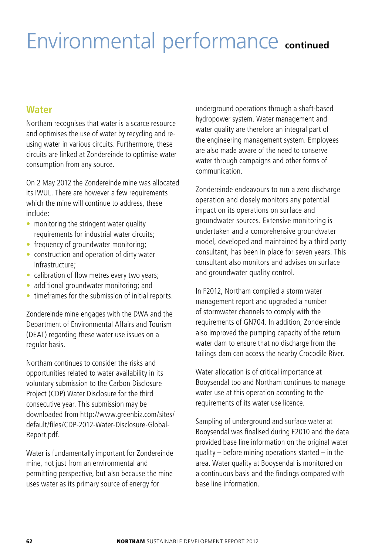# Environmental performance **continued**

# **Water**

Northam recognises that water is a scarce resource and optimises the use of water by recycling and reusing water in various circuits. Furthermore, these circuits are linked at Zondereinde to optimise water consumption from any source.

On 2 May 2012 the Zondereinde mine was allocated its IWUL. There are however a few requirements which the mine will continue to address, these include:

- $\bullet$  monitoring the stringent water quality requirements for industrial water circuits;
- frequency of groundwater monitoring;
- $\bullet$  construction and operation of dirty water infrastructure;
- calibration of flow metres every two years;
- additional groundwater monitoring; and
- timeframes for the submission of initial reports.

Zondereinde mine engages with the DWA and the Department of Environmental Affairs and Tourism (DEAT) regarding these water use issues on a regular basis.

Northam continues to consider the risks and opportunities related to water availability in its voluntary submission to the Carbon Disclosure Project (CDP) Water Disclosure for the third consecutive year. This submission may be downloaded from http://www.greenbiz.com/sites/ default/files/CDP-2012-Water-Disclosure-Global-Report.pdf.

Water is fundamentally important for Zondereinde mine, not just from an environmental and permitting perspective, but also because the mine uses water as its primary source of energy for

underground operations through a shaft-based hydropower system. Water management and water quality are therefore an integral part of the engineering management system. Employees are also made aware of the need to conserve water through campaigns and other forms of communication.

Zondereinde endeavours to run a zero discharge operation and closely monitors any potential impact on its operations on surface and groundwater sources. Extensive monitoring is undertaken and a comprehensive groundwater model, developed and maintained by a third party consultant, has been in place for seven years. This consultant also monitors and advises on surface and groundwater quality control.

In F2012, Northam compiled a storm water management report and upgraded a number of stormwater channels to comply with the requirements of GN704. In addition, Zondereinde also improved the pumping capacity of the return water dam to ensure that no discharge from the tailings dam can access the nearby Crocodile River.

Water allocation is of critical importance at Booysendal too and Northam continues to manage water use at this operation according to the requirements of its water use licence.

Sampling of underground and surface water at Booysendal was finalised during F2010 and the data provided base line information on the original water quality – before mining operations started – in the area. Water quality at Booysendal is monitored on a continuous basis and the findings compared with base line information.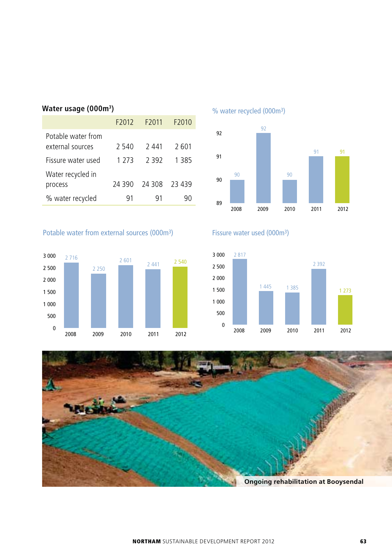| Water usage (000m <sup>3</sup> ) |  |
|----------------------------------|--|
|----------------------------------|--|

| F2012  | F <sub>2011</sub> | F2010   |
|--------|-------------------|---------|
| 2 540  | 2 441             | 2 601   |
| 1 273  | 2392              | 1 3 8 5 |
|        |                   |         |
| 24 390 | 24 308            | 23 439  |
| 91     | 91                | 90      |
|        |                   |         |

### Potable water from external sources (000m3)



% water recycled (000m3)



# Fissure water used (000m3)



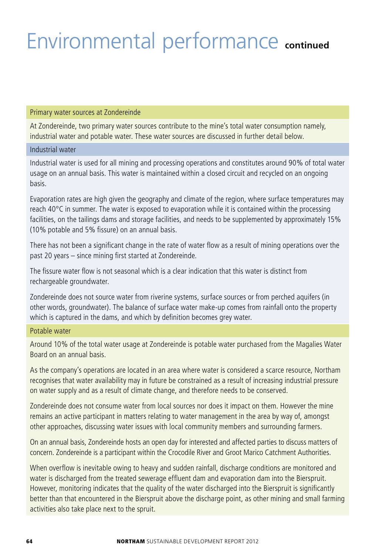# Environmental performance **continued**

#### Primary water sources at Zondereinde

At Zondereinde, two primary water sources contribute to the mine's total water consumption namely, industrial water and potable water. These water sources are discussed in further detail below.

#### Industrial water

Industrial water is used for all mining and processing operations and constitutes around 90% of total water usage on an annual basis. This water is maintained within a closed circuit and recycled on an ongoing basis.

Evaporation rates are high given the geography and climate of the region, where surface temperatures may reach 40°C in summer. The water is exposed to evaporation while it is contained within the processing facilities, on the tailings dams and storage facilities, and needs to be supplemented by approximately 15% (10% potable and 5% fissure) on an annual basis.

There has not been a significant change in the rate of water flow as a result of mining operations over the past 20 years – since mining first started at Zondereinde.

The fissure water flow is not seasonal which is a clear indication that this water is distinct from rechargeable groundwater.

Zondereinde does not source water from riverine systems, surface sources or from perched aquifers (in other words, groundwater). The balance of surface water make-up comes from rainfall onto the property which is captured in the dams, and which by definition becomes grey water.

#### Potable water

Around 10% of the total water usage at Zondereinde is potable water purchased from the Magalies Water Board on an annual basis.

As the company's operations are located in an area where water is considered a scarce resource, Northam recognises that water availability may in future be constrained as a result of increasing industrial pressure on water supply and as a result of climate change, and therefore needs to be conserved.

Zondereinde does not consume water from local sources nor does it impact on them. However the mine remains an active participant in matters relating to water management in the area by way of, amongst other approaches, discussing water issues with local community members and surrounding farmers.

On an annual basis, Zondereinde hosts an open day for interested and affected parties to discuss matters of concern. Zondereinde is a participant within the Crocodile River and Groot Marico Catchment Authorities.

When overflow is inevitable owing to heavy and sudden rainfall, discharge conditions are monitored and water is discharged from the treated sewerage effluent dam and evaporation dam into the Bierspruit. However, monitoring indicates that the quality of the water discharged into the Bierspruit is significantly better than that encountered in the Bierspruit above the discharge point, as other mining and small farming activities also take place next to the spruit.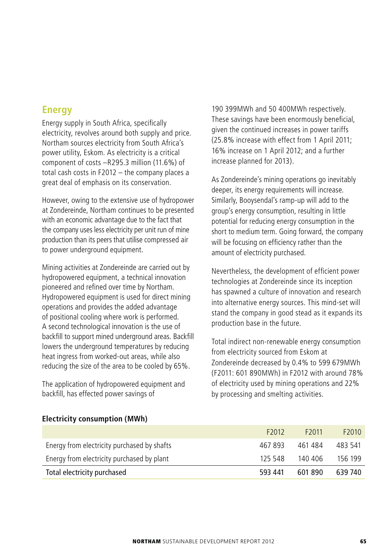# **Energy**

Energy supply in South Africa, specifically electricity, revolves around both supply and price. Northam sources electricity from South Africa's power utility, Eskom. As electricity is a critical component of costs –R295.3 million (11.6%) of total cash costs in F2012 – the company places a great deal of emphasis on its conservation.

However, owing to the extensive use of hydropower at Zondereinde, Northam continues to be presented with an economic advantage due to the fact that the company uses less electricity per unit run of mine production than its peers that utilise compressed air to power underground equipment.

Mining activities at Zondereinde are carried out by hydropowered equipment, a technical innovation pioneered and refined over time by Northam. Hydropowered equipment is used for direct mining operations and provides the added advantage of positional cooling where work is performed. A second technological innovation is the use of backfill to support mined underground areas. Backfill lowers the underground temperatures by reducing heat ingress from worked-out areas, while also reducing the size of the area to be cooled by 65%.

The application of hydropowered equipment and backfill, has effected power savings of

190 399MWh and 50 400MWh respectively. These savings have been enormously beneficial, given the continued increases in power tariffs (25.8% increase with effect from 1 April 2011; 16% increase on 1 April 2012; and a further increase planned for 2013).

As Zondereinde's mining operations go inevitably deeper, its energy requirements will increase. Similarly, Booysendal's ramp-up will add to the group's energy consumption, resulting in little potential for reducing energy consumption in the short to medium term. Going forward, the company will be focusing on efficiency rather than the amount of electricity purchased.

Nevertheless, the development of efficient power technologies at Zondereinde since its inception has spawned a culture of innovation and research into alternative energy sources. This mind-set will stand the company in good stead as it expands its production base in the future.

Total indirect non-renewable energy consumption from electricity sourced from Eskom at Zondereinde decreased by 0.4% to 599 679MWh (F2011: 601 890MWh) in F2012 with around 78% of electricity used by mining operations and 22% by processing and smelting activities.

| Total electricity purchased                 | 593 441           | 601890            | 639 740           |
|---------------------------------------------|-------------------|-------------------|-------------------|
| Energy from electricity purchased by plant  | 125 548           | 140 406           | 156 199           |
| Energy from electricity purchased by shafts | 467 893           | 461 484           | 483 541           |
|                                             | F <sub>2012</sub> | F <sub>2011</sub> | F <sub>2010</sub> |
|                                             |                   |                   |                   |

### **Electricity consumption (MWh)**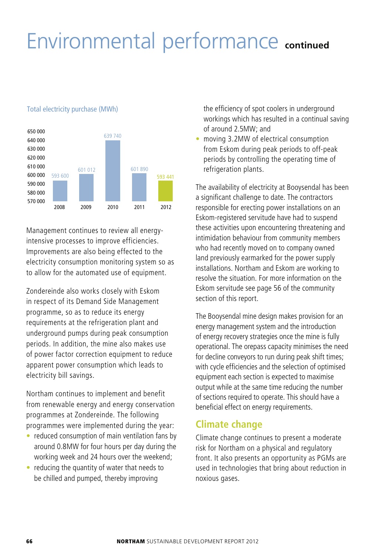# Environmental performance **continued**



#### Total electricity purchase (MWh)

Management continues to review all energyintensive processes to improve efficiencies. Improvements are also being effected to the electricity consumption monitoring system so as to allow for the automated use of equipment.

Zondereinde also works closely with Eskom in respect of its Demand Side Management programme, so as to reduce its energy requirements at the refrigeration plant and underground pumps during peak consumption periods. In addition, the mine also makes use of power factor correction equipment to reduce apparent power consumption which leads to electricity bill savings.

Northam continues to implement and benefit from renewable energy and energy conservation programmes at Zondereinde. The following programmes were implemented during the year:

- $\bullet$  reduced consumption of main ventilation fans by around 0.8MW for four hours per day during the working week and 24 hours over the weekend;
- $\bullet$  reducing the quantity of water that needs to be chilled and pumped, thereby improving

the efficiency of spot coolers in underground workings which has resulted in a continual saving of around 2.5MW; and

moving 3.2MW of electrical consumption from Eskom during peak periods to off-peak periods by controlling the operating time of refrigeration plants.

The availability of electricity at Booysendal has been a significant challenge to date. The contractors responsible for erecting power installations on an Eskom-registered servitude have had to suspend these activities upon encountering threatening and intimidation behaviour from community members who had recently moved on to company owned land previously earmarked for the power supply installations. Northam and Eskom are working to resolve the situation. For more information on the Eskom servitude see page 56 of the community section of this report.

The Booysendal mine design makes provision for an energy management system and the introduction of energy recovery strategies once the mine is fully operational. The orepass capacity minimises the need for decline conveyors to run during peak shift times; with cycle efficiencies and the selection of optimised equipment each section is expected to maximise output while at the same time reducing the number of sections required to operate. This should have a beneficial effect on energy requirements.

# **Climate change**

Climate change continues to present a moderate risk for Northam on a physical and regulatory front. It also presents an opportunity as PGMs are used in technologies that bring about reduction in noxious gases.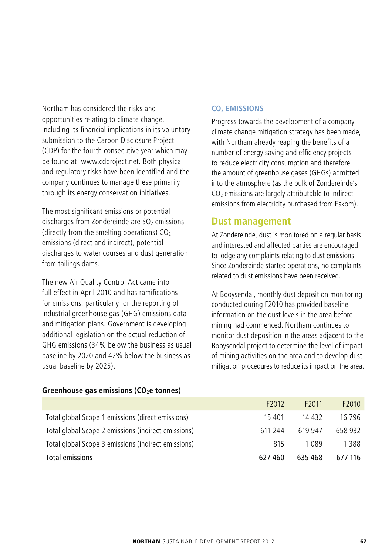Northam has considered the risks and opportunities relating to climate change, including its financial implications in its voluntary submission to the Carbon Disclosure Project (CDP) for the fourth consecutive year which may be found at: www.cdproject.net. Both physical and regulatory risks have been identified and the company continues to manage these primarily through its energy conservation initiatives.

The most significant emissions or potential discharges from Zondereinde are  $SO<sub>2</sub>$  emissions (directly from the smelting operations)  $CO<sub>2</sub>$ emissions (direct and indirect), potential discharges to water courses and dust generation from tailings dams.

The new Air Quality Control Act came into full effect in April 2010 and has ramifications for emissions, particularly for the reporting of industrial greenhouse gas (GHG) emissions data and mitigation plans. Government is developing additional legislation on the actual reduction of GHG emissions (34% below the business as usual baseline by 2020 and 42% below the business as usual baseline by 2025).

#### **CO2 EMISSIONS**

Progress towards the development of a company climate change mitigation strategy has been made, with Northam already reaping the benefits of a number of energy saving and efficiency projects to reduce electricity consumption and therefore the amount of greenhouse gases (GHGs) admitted into the atmosphere (as the bulk of Zondereinde's  $CO<sub>2</sub>$  emissions are largely attributable to indirect emissions from electricity purchased from Eskom).

# **Dust management**

At Zondereinde, dust is monitored on a regular basis and interested and affected parties are encouraged to lodge any complaints relating to dust emissions. Since Zondereinde started operations, no complaints related to dust emissions have been received.

At Booysendal, monthly dust deposition monitoring conducted during F2010 has provided baseline information on the dust levels in the area before mining had commenced. Northam continues to monitor dust deposition in the areas adjacent to the Booysendal project to determine the level of impact of mining activities on the area and to develop dust mitigation procedures to reduce its impact on the area.

| Total emissions                                     | 627 460           | 635 468           | 677 116           |
|-----------------------------------------------------|-------------------|-------------------|-------------------|
| Total global Scope 3 emissions (indirect emissions) | 815               | 1 089             | 1 388             |
| Total global Scope 2 emissions (indirect emissions) | 611 244           | 619 947           | 658 932           |
| Total global Scope 1 emissions (direct emissions)   | 15 4 0 1          | 14 432            | 16 796            |
|                                                     | F <sub>2012</sub> | F <sub>2011</sub> | F <sub>2010</sub> |

#### Greenhouse gas emissions (CO<sub>2</sub>e tonnes)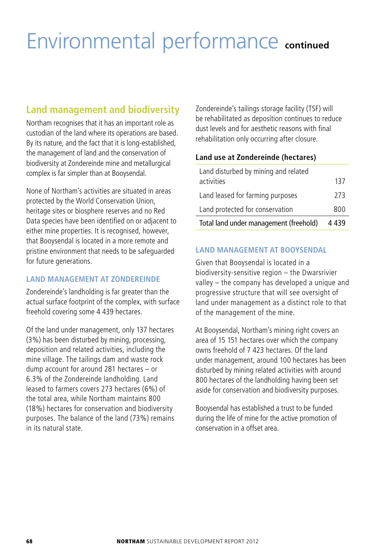# Environmental performance **continued**

# **Land management and biodiversity**

Northam recognises that it has an important role as custodian of the land where its operations are based. By its nature, and the fact that it is long-established, the management of land and the conservation of biodiversity at Zondereinde mine and metallurgical complex is far simpler than at Booysendal.

None of Northam's activities are situated in areas protected by the World Conservation Union, heritage sites or biosphere reserves and no Red Data species have been identified on or adjacent to either mine properties. It is recognised, however, that Booysendal is located in a more remote and pristine environment that needs to be safeguarded for future generations.

### **LAND MANAGEMENT AT ZONDEREINDE**

Zondereinde's landholding is far greater than the actual surface footprint of the complex, with surface freehold covering some 4 439 hectares.

Of the land under management, only 137 hectares (3%) has been disturbed by mining, processing, deposition and related activities, including the mine village. The tailings dam and waste rock dump account for around 281 hectares – or 6.3% of the Zondereinde landholding. Land leased to farmers covers 273 hectares (6%) of the total area, while Northam maintains 800 (18%) hectares for conservation and biodiversity purposes. The balance of the land (73%) remains in its natural state.

Zondereinde's tailings storage facility (TSF) will be rehabilitated as deposition continues to reduce dust levels and for aesthetic reasons with final rehabilitation only occurring after closure.

### **Land use at Zondereinde (hectares)**

| Land disturbed by mining and related<br>activities | 137     |
|----------------------------------------------------|---------|
| Land leased for farming purposes                   | 273     |
| Land protected for conservation                    | 800     |
| Total land under management (freehold)             | 4 4 3 9 |

### **LAND MANAGEMENT AT BOOYSENDAL**

Given that Booysendal is located in a biodiversity-sensitive region – the Dwarsrivier valley – the company has developed a unique and progressive structure that will see oversight of land under management as a distinct role to that of the management of the mine.

At Booysendal, Northam's mining right covers an area of 15 151 hectares over which the company owns freehold of 7 423 hectares. Of the land under management, around 100 hectares has been disturbed by mining related activities with around 800 hectares of the landholding having been set aside for conservation and biodiversity purposes.

Booysendal has established a trust to be funded during the life of mine for the active promotion of conservation in a offset area.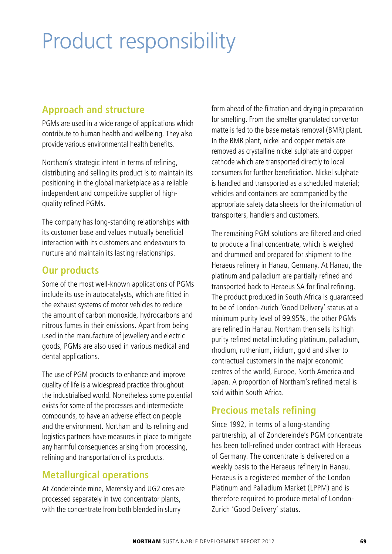# Product responsibility

# **Approach and structure**

PGMs are used in a wide range of applications which contribute to human health and wellbeing. They also provide various environmental health benefits.

Northam's strategic intent in terms of refining, distributing and selling its product is to maintain its positioning in the global marketplace as a reliable independent and competitive supplier of highquality refined PGMs.

The company has long-standing relationships with its customer base and values mutually beneficial interaction with its customers and endeavours to nurture and maintain its lasting relationships.

# **Our products**

Some of the most well-known applications of PGMs include its use in autocatalysts, which are fitted in the exhaust systems of motor vehicles to reduce the amount of carbon monoxide, hydrocarbons and nitrous fumes in their emissions. Apart from being used in the manufacture of jewellery and electric goods, PGMs are also used in various medical and dental applications.

The use of PGM products to enhance and improve quality of life is a widespread practice throughout the industrialised world. Nonetheless some potential exists for some of the processes and intermediate compounds, to have an adverse effect on people and the environment. Northam and its refining and logistics partners have measures in place to mitigate any harmful consequences arising from processing, refining and transportation of its products.

# **Metallurgical operations**

At Zondereinde mine, Merensky and UG2 ores are processed separately in two concentrator plants, with the concentrate from both blended in slurry

form ahead of the filtration and drying in preparation for smelting. From the smelter granulated convertor matte is fed to the base metals removal (BMR) plant. In the BMR plant, nickel and copper metals are removed as crystalline nickel sulphate and copper cathode which are transported directly to local consumers for further beneficiation. Nickel sulphate is handled and transported as a scheduled material; vehicles and containers are accompanied by the appropriate safety data sheets for the information of transporters, handlers and customers.

The remaining PGM solutions are filtered and dried to produce a final concentrate, which is weighed and drummed and prepared for shipment to the Heraeus refinery in Hanau, Germany. At Hanau, the platinum and palladium are partially refined and transported back to Heraeus SA for final refining. The product produced in South Africa is guaranteed to be of London-Zurich 'Good Delivery' status at a minimum purity level of 99.95%, the other PGMs are refined in Hanau. Northam then sells its high purity refined metal including platinum, palladium, rhodium, ruthenium, iridium, gold and silver to contractual customers in the major economic centres of the world, Europe, North America and Japan. A proportion of Northam's refined metal is sold within South Africa.

# **Precious metals refining**

Since 1992, in terms of a long-standing partnership, all of Zondereinde's PGM concentrate has been toll-refined under contract with Heraeus of Germany. The concentrate is delivered on a weekly basis to the Heraeus refinery in Hanau. Heraeus is a registered member of the London Platinum and Palladium Market (LPPM) and is therefore required to produce metal of London-Zurich 'Good Delivery' status.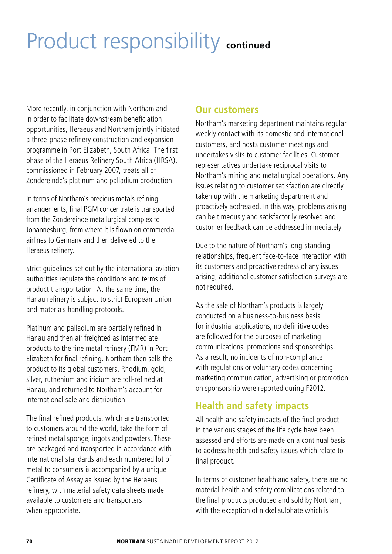# Product responsibility **continued**

More recently, in conjunction with Northam and in order to facilitate downstream beneficiation opportunities, Heraeus and Northam jointly initiated a three-phase refinery construction and expansion programme in Port Elizabeth, South Africa. The first phase of the Heraeus Refinery South Africa (HRSA), commissioned in February 2007, treats all of Zondereinde's platinum and palladium production.

In terms of Northam's precious metals refining arrangements, final PGM concentrate is transported from the Zondereinde metallurgical complex to Johannesburg, from where it is flown on commercial airlines to Germany and then delivered to the Heraeus refinery.

Strict guidelines set out by the international aviation authorities regulate the conditions and terms of product transportation. At the same time, the Hanau refinery is subject to strict European Union and materials handling protocols.

Platinum and palladium are partially refined in Hanau and then air freighted as intermediate products to the fine metal refinery (FMR) in Port Elizabeth for final refining. Northam then sells the product to its global customers. Rhodium, gold, silver, ruthenium and iridium are toll-refined at Hanau, and returned to Northam's account for international sale and distribution.

The final refined products, which are transported to customers around the world, take the form of refined metal sponge, ingots and powders. These are packaged and transported in accordance with international standards and each numbered lot of metal to consumers is accompanied by a unique Certificate of Assay as issued by the Heraeus refinery, with material safety data sheets made available to customers and transporters when appropriate.

# **Our customers**

Northam's marketing department maintains regular weekly contact with its domestic and international customers, and hosts customer meetings and undertakes visits to customer facilities. Customer representatives undertake reciprocal visits to Northam's mining and metallurgical operations. Any issues relating to customer satisfaction are directly taken up with the marketing department and proactively addressed. In this way, problems arising can be timeously and satisfactorily resolved and customer feedback can be addressed immediately.

Due to the nature of Northam's long-standing relationships, frequent face-to-face interaction with its customers and proactive redress of any issues arising, additional customer satisfaction surveys are not required.

As the sale of Northam's products is largely conducted on a business-to-business basis for industrial applications, no definitive codes are followed for the purposes of marketing communications, promotions and sponsorships. As a result, no incidents of non-compliance with regulations or voluntary codes concerning marketing communication, advertising or promotion on sponsorship were reported during F2012.

# **Health and safety impacts**

All health and safety impacts of the final product in the various stages of the life cycle have been assessed and efforts are made on a continual basis to address health and safety issues which relate to final product.

In terms of customer health and safety, there are no material health and safety complications related to the final products produced and sold by Northam, with the exception of nickel sulphate which is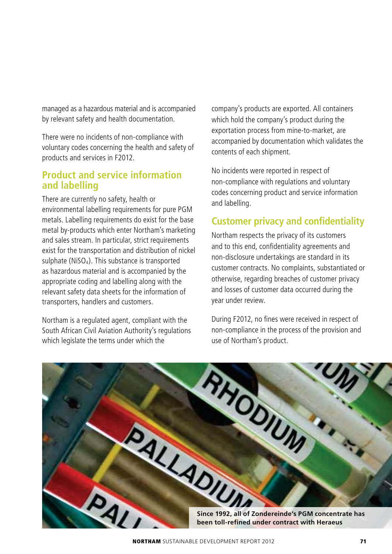managed as a hazardous material and is accompanied by relevant safety and health documentation.

There were no incidents of non-compliance with voluntary codes concerning the health and safety of products and services in F2012.

### **Product and service information and labelling**

There are currently no safety, health or environmental labelling requirements for pure PGM metals. Labelling requirements do exist for the base metal by-products which enter Northam's marketing and sales stream. In particular, strict requirements exist for the transportation and distribution of nickel sulphate ( $NISO<sub>4</sub>$ ). This substance is transported as hazardous material and is accompanied by the appropriate coding and labelling along with the relevant safety data sheets for the information of transporters, handlers and customers.

Northam is a regulated agent, compliant with the South African Civil Aviation Authority's regulations which legislate the terms under which the

company's products are exported. All containers which hold the company's product during the exportation process from mine-to-market, are accompanied by documentation which validates the contents of each shipment.

No incidents were reported in respect of non-compliance with regulations and voluntary codes concerning product and service information and labelling.

### **Customer privacy and confidentiality**

Northam respects the privacy of its customers and to this end, confidentiality agreements and non-disclosure undertakings are standard in its customer contracts. No complaints, substantiated or otherwise, regarding breaches of customer privacy and losses of customer data occurred during the year under review.

During F2012, no fines were received in respect of non-compliance in the process of the provision and use of Northam's product.

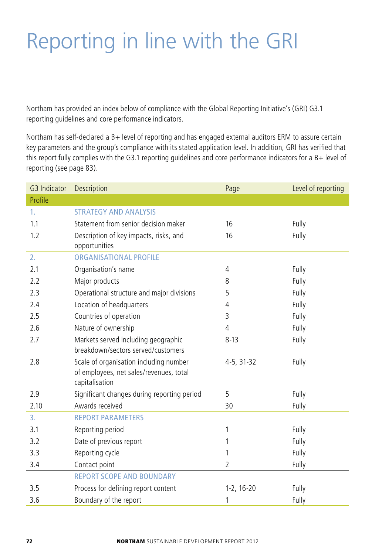# Reporting in line with the GRI

Northam has provided an index below of compliance with the Global Reporting Initiative's (GRI) G3.1 reporting guidelines and core performance indicators.

Northam has self-declared a B+ level of reporting and has engaged external auditors ERM to assure certain key parameters and the group's compliance with its stated application level. In addition, GRI has verified that this report fully complies with the G3.1 reporting guidelines and core performance indicators for a B+ level of reporting (see page 83).

| G3 Indicator | Description<br>Page                                                                                 |                | Level of reporting |
|--------------|-----------------------------------------------------------------------------------------------------|----------------|--------------------|
| Profile      |                                                                                                     |                |                    |
| 1.           | <b>STRATEGY AND ANALYSIS</b>                                                                        |                |                    |
| 1.1          | Statement from senior decision maker                                                                | 16             | Fully              |
| 1.2          | Description of key impacts, risks, and<br>opportunities                                             | 16             | Fully              |
| 2.           | <b>ORGANISATIONAL PROFILE</b>                                                                       |                |                    |
| 2.1          | Organisation's name                                                                                 | 4              | Fully              |
| 2.2          | Major products                                                                                      | 8              | Fully              |
| 2.3          | Operational structure and major divisions                                                           | 5              | Fully              |
| 2.4          | Location of headquarters                                                                            | 4              | Fully              |
| 2.5          | Countries of operation                                                                              | 3              | Fully              |
| 2.6          | Nature of ownership                                                                                 | $\overline{4}$ | Fully              |
| 2.7          | Markets served including geographic<br>breakdown/sectors served/customers                           | $8 - 13$       | Fully              |
| 2.8          | Scale of organisation including number<br>of employees, net sales/revenues, total<br>capitalisation | 4-5, 31-32     | Fully              |
| 2.9          | Significant changes during reporting period                                                         | 5              | Fully              |
| 2.10         | Awards received                                                                                     | 30             | Fully              |
| 3.           | <b>REPORT PARAMETERS</b>                                                                            |                |                    |
| 3.1          | Reporting period                                                                                    | 1              | Fully              |
| 3.2          | Date of previous report                                                                             | 1              | Fully              |
| 3.3          | Reporting cycle                                                                                     | 1              | Fully              |
| 3.4          | Contact point                                                                                       | $\overline{2}$ | Fully              |
|              | <b>REPORT SCOPE AND BOUNDARY</b>                                                                    |                |                    |
| 3.5          | Process for defining report content                                                                 | $1-2, 16-20$   | Fully              |
| 3.6          | Boundary of the report                                                                              | 1              | Fully              |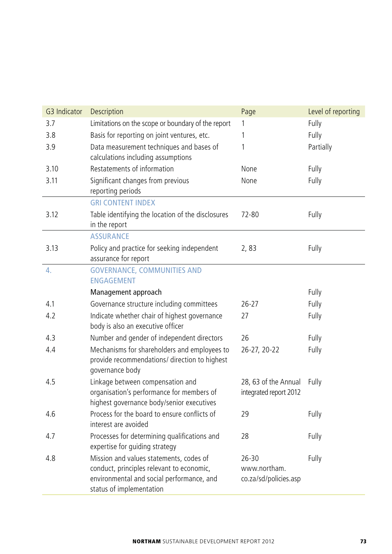| G3 Indicator | Description                                                                                                                                                   | Page                                               | Level of reporting |
|--------------|---------------------------------------------------------------------------------------------------------------------------------------------------------------|----------------------------------------------------|--------------------|
| 3.7          | Limitations on the scope or boundary of the report                                                                                                            | 1                                                  | Fully              |
| 3.8          | Basis for reporting on joint ventures, etc.                                                                                                                   | 1                                                  | Fully              |
| 3.9          | Data measurement techniques and bases of                                                                                                                      | 1                                                  | Partially          |
|              | calculations including assumptions                                                                                                                            |                                                    |                    |
| 3.10         | Restatements of information                                                                                                                                   | None                                               | Fully              |
| 3.11         | Significant changes from previous<br>reporting periods                                                                                                        | None                                               | Fully              |
|              | <b>GRI CONTENT INDEX</b>                                                                                                                                      |                                                    |                    |
| 3.12         | Table identifying the location of the disclosures<br>in the report                                                                                            | 72-80                                              | Fully              |
|              | <b>ASSURANCE</b>                                                                                                                                              |                                                    |                    |
| 3.13         | Policy and practice for seeking independent<br>assurance for report                                                                                           | 2,83                                               | Fully              |
| 4.           | <b>GOVERNANCE, COMMUNITIES AND</b><br><b>FNGAGEMENT</b>                                                                                                       |                                                    |                    |
|              | Management approach                                                                                                                                           |                                                    | Fully              |
| 4.1          | Governance structure including committees                                                                                                                     | $26 - 27$                                          | Fully              |
| 4.2          | Indicate whether chair of highest governance                                                                                                                  | 27                                                 | Fully              |
|              | body is also an executive officer                                                                                                                             |                                                    |                    |
| 4.3          | Number and gender of independent directors                                                                                                                    | 26                                                 | Fully              |
| 4.4          | Mechanisms for shareholders and employees to<br>provide recommendations/ direction to highest<br>governance body                                              | 26-27, 20-22                                       | Fully              |
| 4.5          | Linkage between compensation and<br>organisation's performance for members of<br>highest governance body/senior executives                                    | 28, 63 of the Annual<br>integrated report 2012     | Fully              |
| 4.6          | Process for the board to ensure conflicts of<br>interest are avoided                                                                                          | 29                                                 | Fully              |
| 4.7          | Processes for determining qualifications and<br>expertise for guiding strategy                                                                                | 28                                                 | Fully              |
| 4.8          | Mission and values statements, codes of<br>conduct, principles relevant to economic,<br>environmental and social performance, and<br>status of implementation | $26 - 30$<br>www.northam.<br>co.za/sd/policies.asp | Fully              |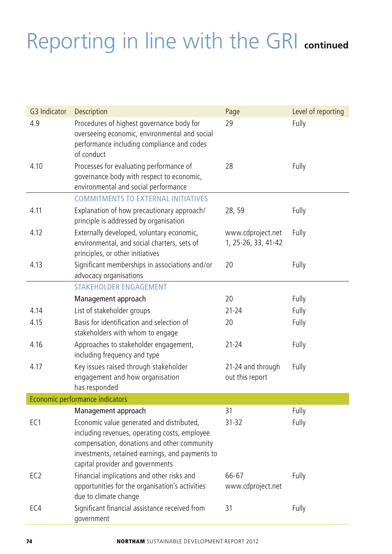| G3 Indicator    | Description<br>Page                                                                                                                                                                                                              |                                          | Level of reporting |
|-----------------|----------------------------------------------------------------------------------------------------------------------------------------------------------------------------------------------------------------------------------|------------------------------------------|--------------------|
| 4.9             | Procedures of highest governance body for<br>overseeing economic, environmental and social<br>performance including compliance and codes<br>of conduct                                                                           | 29                                       | Fully              |
| 4.10            | Processes for evaluating performance of<br>governance body with respect to economic,<br>environmental and social performance                                                                                                     | 28                                       | Fully              |
|                 | <b>COMMITMENTS TO EXTERNAL INITIATIVES</b>                                                                                                                                                                                       |                                          |                    |
| 4.11            | Explanation of how precautionary approach/<br>principle is addressed by organisation                                                                                                                                             | 28, 59                                   | Fully              |
| 4.12            | Externally developed, voluntary economic,<br>environmental, and social charters, sets of<br>principles, or other initiatives                                                                                                     | www.cdproject.net<br>1, 25-26, 33, 41-42 | Fully              |
| 4.13            | Significant memberships in associations and/or<br>advocacy organisations                                                                                                                                                         | 20                                       | Fully              |
|                 | <b>STAKEHOLDER ENGAGEMENT</b>                                                                                                                                                                                                    |                                          |                    |
|                 | Management approach                                                                                                                                                                                                              | 20                                       | Fully              |
| 4.14            | List of stakeholder groups                                                                                                                                                                                                       | $21 - 24$                                | Fully              |
| 4.15            | Basis for identification and selection of<br>stakeholders with whom to engage                                                                                                                                                    | 20                                       | Fully              |
| 4.16            | Approaches to stakeholder engagement,<br>including frequency and type                                                                                                                                                            | $21 - 24$                                | Fully              |
| 4.17            | Key issues raised through stakeholder<br>engagement and how organisation<br>has responded                                                                                                                                        | 21-24 and through<br>out this report     | Fully              |
|                 | Economic performance indicators                                                                                                                                                                                                  |                                          |                    |
|                 | Management approach                                                                                                                                                                                                              | 31                                       | Fully              |
| EC <sub>1</sub> | Economic value generated and distributed,<br>including revenues, operating costs, employee<br>compensation, donations and other community<br>investments, retained earnings, and payments to<br>capital provider and governments | 31-32                                    | Fully              |
| EC <sub>2</sub> | Financial implications and other risks and<br>opportunities for the organisation's activities<br>due to climate change                                                                                                           | 66-67<br>www.cdproject.net               | Fully              |
| EC4             | Significant financial assistance received from<br>government                                                                                                                                                                     | 31                                       | Fully              |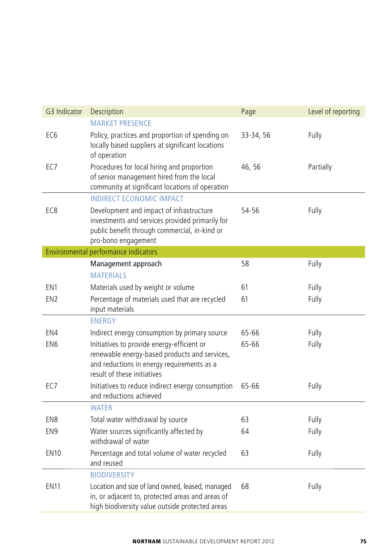| G3 Indicator    | Description                                                                                                                                                                           | Level of reporting<br>Page |           |  |  |  |
|-----------------|---------------------------------------------------------------------------------------------------------------------------------------------------------------------------------------|----------------------------|-----------|--|--|--|
|                 | <b>MARKET PRESENCE</b>                                                                                                                                                                |                            |           |  |  |  |
| EC <sub>6</sub> | Policy, practices and proportion of spending on<br>locally based suppliers at significant locations<br>of operation                                                                   | 33-34, 56                  | Fully     |  |  |  |
| EC <sub>7</sub> | Procedures for local hiring and proportion<br>of senior management hired from the local<br>community at significant locations of operation                                            | 46, 56                     | Partially |  |  |  |
|                 | <b>INDIRECT ECONOMIC IMPACT</b>                                                                                                                                                       |                            |           |  |  |  |
| EC <sub>8</sub> | Development and impact of infrastructure<br>54-56<br>Fully<br>investments and services provided primarily for<br>public benefit through commercial, in-kind or<br>pro-bono engagement |                            |           |  |  |  |
|                 | Environmental performance indicators                                                                                                                                                  |                            |           |  |  |  |
|                 | Management approach                                                                                                                                                                   | 58                         | Fully     |  |  |  |
|                 | <b>MATFRIALS</b>                                                                                                                                                                      |                            |           |  |  |  |
| EN1             | Materials used by weight or volume                                                                                                                                                    | 61                         | Fully     |  |  |  |
| EN <sub>2</sub> | Percentage of materials used that are recycled<br>input materials                                                                                                                     | 61                         | Fully     |  |  |  |
|                 | <b>ENERGY</b>                                                                                                                                                                         |                            |           |  |  |  |
| EN4             | Indirect energy consumption by primary source                                                                                                                                         | 65-66                      | Fully     |  |  |  |
| EN <sub>6</sub> | Initiatives to provide energy-efficient or<br>renewable energy-based products and services,<br>and reductions in energy requirements as a<br>result of these initiatives              | 65-66                      | Fully     |  |  |  |
| EC7             | Initiatives to reduce indirect energy consumption<br>and reductions achieved                                                                                                          | 65-66                      | Fully     |  |  |  |
|                 | <b>WATER</b>                                                                                                                                                                          |                            |           |  |  |  |
| EN8             | Total water withdrawal by source                                                                                                                                                      | 63                         | Fully     |  |  |  |
| EN <sub>9</sub> | Water sources significantly affected by<br>withdrawal of water                                                                                                                        | 64                         | Fully     |  |  |  |
| <b>EN10</b>     | Percentage and total volume of water recycled<br>and reused                                                                                                                           | 63                         | Fully     |  |  |  |
|                 | <b>BIODIVERSITY</b>                                                                                                                                                                   |                            |           |  |  |  |
| <b>EN11</b>     | Location and size of land owned, leased, managed<br>in, or adjacent to, protected areas and areas of<br>high biodiversity value outside protected areas                               | 68                         | Fully     |  |  |  |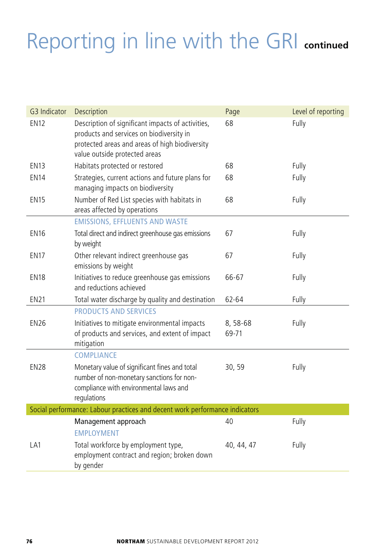| G3 Indicator | Description                                                                                                                                                                      | Page              | Level of reporting |
|--------------|----------------------------------------------------------------------------------------------------------------------------------------------------------------------------------|-------------------|--------------------|
| <b>EN12</b>  | Description of significant impacts of activities,<br>products and services on biodiversity in<br>protected areas and areas of high biodiversity<br>value outside protected areas | 68                | Fully              |
| <b>EN13</b>  | Habitats protected or restored                                                                                                                                                   | 68                | Fully              |
| <b>EN14</b>  | Strategies, current actions and future plans for                                                                                                                                 | 68                | Fully              |
|              | managing impacts on biodiversity                                                                                                                                                 |                   |                    |
| <b>EN15</b>  | Number of Red List species with habitats in                                                                                                                                      | 68                | Fully              |
|              | areas affected by operations                                                                                                                                                     |                   |                    |
|              | <b>EMISSIONS, EFFLUENTS AND WASTE</b>                                                                                                                                            |                   |                    |
| <b>EN16</b>  | Total direct and indirect greenhouse gas emissions<br>by weight                                                                                                                  | 67                | Fully              |
| <b>EN17</b>  | Other relevant indirect greenhouse gas<br>emissions by weight                                                                                                                    | 67                | Fully              |
| <b>EN18</b>  | Initiatives to reduce greenhouse gas emissions<br>and reductions achieved                                                                                                        | 66-67             | Fully              |
| <b>EN21</b>  | Total water discharge by quality and destination                                                                                                                                 | 62-64             | Fully              |
|              | <b>PRODUCTS AND SERVICES</b>                                                                                                                                                     |                   |                    |
| <b>EN26</b>  | Initiatives to mitigate environmental impacts<br>of products and services, and extent of impact<br>mitigation                                                                    | 8, 58-68<br>69-71 | Fully              |
|              | COMPLIANCE                                                                                                                                                                       |                   |                    |
| <b>EN28</b>  | Monetary value of significant fines and total<br>number of non-monetary sanctions for non-<br>compliance with environmental laws and<br>regulations                              | 30, 59            | Fully              |
|              | Social performance: Labour practices and decent work performance indicators                                                                                                      |                   |                    |
|              | Management approach<br><b>FMPI OYMENT</b>                                                                                                                                        | 40                | Fully              |
| LA1          | Total workforce by employment type,<br>employment contract and region; broken down<br>by gender                                                                                  | 40, 44, 47        | Fully              |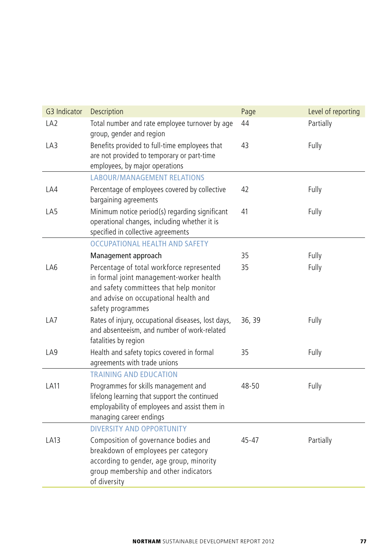| G3 Indicator    | Description                                                                                                                                                                                    | Page   | Level of reporting |
|-----------------|------------------------------------------------------------------------------------------------------------------------------------------------------------------------------------------------|--------|--------------------|
| LA <sub>2</sub> | Total number and rate employee turnover by age<br>group, gender and region                                                                                                                     | 44     | Partially          |
| LA3             | Benefits provided to full-time employees that<br>are not provided to temporary or part-time<br>employees, by major operations                                                                  | 43     | Fully              |
|                 | <b>LABOUR/MANAGEMENT RELATIONS</b>                                                                                                                                                             |        |                    |
| LA4             | Percentage of employees covered by collective<br>bargaining agreements                                                                                                                         | 42     | Fully              |
| LA5             | Minimum notice period(s) regarding significant<br>operational changes, including whether it is<br>specified in collective agreements                                                           | 41     | Fully              |
|                 | <b>OCCUPATIONAL HEALTH AND SAFETY</b>                                                                                                                                                          |        |                    |
|                 | Management approach                                                                                                                                                                            | 35     | Fully              |
| LA6             | Percentage of total workforce represented<br>in formal joint management-worker health<br>and safety committees that help monitor<br>and advise on occupational health and<br>safety programmes | 35     | Fully              |
| LA7             | Rates of injury, occupational diseases, lost days,<br>and absenteeism, and number of work-related<br>fatalities by region                                                                      | 36, 39 | Fully              |
| LA9             | Health and safety topics covered in formal<br>agreements with trade unions                                                                                                                     | 35     | Fully              |
|                 | <b>TRAINING AND EDUCATION</b>                                                                                                                                                                  |        |                    |
| <b>LA11</b>     | Programmes for skills management and<br>lifelong learning that support the continued<br>employability of employees and assist them in<br>managing career endings                               | 48-50  | Fully              |
|                 | <b>DIVERSITY AND OPPORTUNITY</b>                                                                                                                                                               |        |                    |
| LA13            | Composition of governance bodies and<br>breakdown of employees per category<br>according to gender, age group, minority<br>group membership and other indicators<br>of diversity               | 45-47  | Partially          |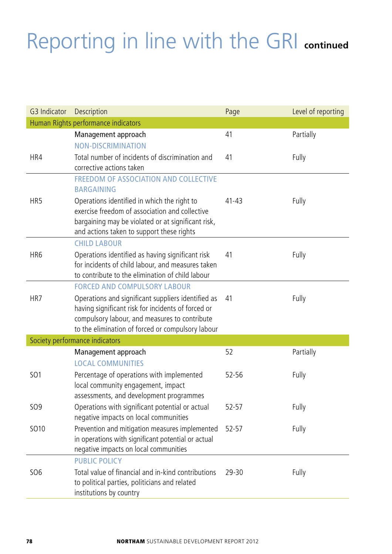| G3 Indicator                        | Description                                                                                        | Page      | Level of reporting |  |  |
|-------------------------------------|----------------------------------------------------------------------------------------------------|-----------|--------------------|--|--|
| Human Rights performance indicators |                                                                                                    |           |                    |  |  |
|                                     | Management approach                                                                                | 41        | Partially          |  |  |
|                                     | <b>NON-DISCRIMINATION</b>                                                                          |           |                    |  |  |
| HR4                                 | Total number of incidents of discrimination and                                                    | 41        | Fully              |  |  |
|                                     | corrective actions taken                                                                           |           |                    |  |  |
|                                     | <b>FREEDOM OF ASSOCIATION AND COLLECTIVE</b><br><b>BARGAINING</b>                                  |           |                    |  |  |
| HR <sub>5</sub>                     | Operations identified in which the right to                                                        | 41-43     | Fully              |  |  |
|                                     | exercise freedom of association and collective                                                     |           |                    |  |  |
|                                     | bargaining may be violated or at significant risk,<br>and actions taken to support these rights    |           |                    |  |  |
|                                     | <b>CHILD LABOUR</b>                                                                                |           |                    |  |  |
| HR <sub>6</sub>                     | Operations identified as having significant risk                                                   | 41        | Fully              |  |  |
|                                     | for incidents of child labour, and measures taken                                                  |           |                    |  |  |
|                                     | to contribute to the elimination of child labour                                                   |           |                    |  |  |
|                                     | <b>FORCED AND COMPULSORY LABOUR</b>                                                                |           |                    |  |  |
| HR7                                 | Operations and significant suppliers identified as                                                 | 41        | Fully              |  |  |
|                                     | having significant risk for incidents of forced or                                                 |           |                    |  |  |
|                                     | compulsory labour, and measures to contribute<br>to the elimination of forced or compulsory labour |           |                    |  |  |
|                                     | Society performance indicators                                                                     |           |                    |  |  |
|                                     | Management approach                                                                                | 52        | Partially          |  |  |
|                                     | <b>LOCAL COMMUNITIES</b>                                                                           |           |                    |  |  |
| <b>SO1</b>                          | Percentage of operations with implemented                                                          | 52-56     | Fully              |  |  |
|                                     | local community engagement, impact                                                                 |           |                    |  |  |
|                                     | assessments, and development programmes                                                            |           |                    |  |  |
| <b>SO9</b>                          | Operations with significant potential or actual                                                    | $52 - 57$ | Fully              |  |  |
|                                     | negative impacts on local communities                                                              |           |                    |  |  |
| SO10                                | Prevention and mitigation measures implemented                                                     | $52 - 57$ | Fully              |  |  |
|                                     | in operations with significant potential or actual                                                 |           |                    |  |  |
|                                     | negative impacts on local communities<br><b>PUBLIC POLICY</b>                                      |           |                    |  |  |
| <b>SO6</b>                          | Total value of financial and in-kind contributions                                                 | 29-30     | Fully              |  |  |
|                                     | to political parties, politicians and related                                                      |           |                    |  |  |
|                                     | institutions by country                                                                            |           |                    |  |  |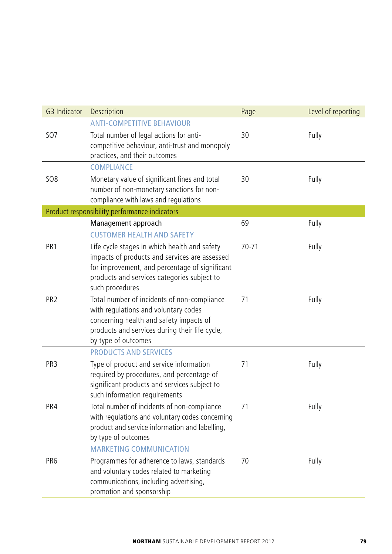| G3 Indicator    | Description                                                                                                                                                                                                       | Page      | Level of reporting |
|-----------------|-------------------------------------------------------------------------------------------------------------------------------------------------------------------------------------------------------------------|-----------|--------------------|
| <b>SO7</b>      | <b>ANTI-COMPETITIVE BEHAVIOUR</b><br>Total number of legal actions for anti-<br>competitive behaviour, anti-trust and monopoly<br>practices, and their outcomes                                                   | 30        | Fully              |
| <b>SO8</b>      | COMPLIANCE<br>Monetary value of significant fines and total<br>number of non-monetary sanctions for non-<br>compliance with laws and regulations                                                                  | 30        | Fully              |
|                 | Product responsibility performance indicators                                                                                                                                                                     |           |                    |
|                 | Management approach<br><b>CUSTOMER HEALTH AND SAFETY</b>                                                                                                                                                          | 69        | Fully              |
| PR <sub>1</sub> | Life cycle stages in which health and safety<br>impacts of products and services are assessed<br>for improvement, and percentage of significant<br>products and services categories subject to<br>such procedures | $70 - 71$ | Fully              |
| PR <sub>2</sub> | Total number of incidents of non-compliance<br>with regulations and voluntary codes<br>concerning health and safety impacts of<br>products and services during their life cycle,<br>by type of outcomes           | 71        | Fully              |
|                 | <b>PRODUCTS AND SERVICES</b>                                                                                                                                                                                      |           |                    |
| PR <sub>3</sub> | Type of product and service information<br>required by procedures, and percentage of<br>significant products and services subject to<br>such information requirements                                             | 71        | Fully              |
| PR4             | Total number of incidents of non-compliance<br>with regulations and voluntary codes concerning<br>product and service information and labelling,<br>by type of outcomes                                           | 71        | Fully              |
|                 | <b>MARKETING COMMUNICATION</b>                                                                                                                                                                                    |           |                    |
| PR <sub>6</sub> | Programmes for adherence to laws, standards<br>and voluntary codes related to marketing<br>communications, including advertising,<br>promotion and sponsorship                                                    | 70        | Fully              |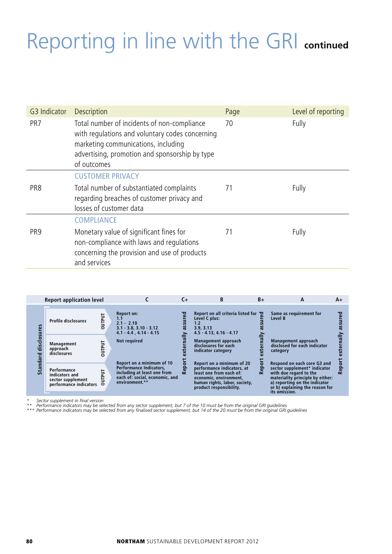| G3 Indicator    | <b>Description</b>                                                                                                                                                                                     | Page | Level of reporting |
|-----------------|--------------------------------------------------------------------------------------------------------------------------------------------------------------------------------------------------------|------|--------------------|
| PR <sub>7</sub> | Total number of incidents of non-compliance<br>with regulations and voluntary codes concerning<br>marketing communications, including<br>advertising, promotion and sponsorship by type<br>of outcomes | 70   | Fully              |
|                 | <b>CUSTOMER PRIVACY</b>                                                                                                                                                                                |      |                    |
| PR8             | Total number of substantiated complaints<br>regarding breaches of customer privacy and<br>losses of customer data                                                                                      | 71   | Fully              |
|                 | <b>COMPLIANCE</b>                                                                                                                                                                                      |      |                    |
| PR <sub>9</sub> | Monetary value of significant fines for<br>non-compliance with laws and regulations<br>concerning the provision and use of products<br>and services                                                    | 71   | Fully              |

|                  | <b>Report application level</b>                                              |        |                                                                                                                                                | C+     | B                                                                                                                                                                        | $B+$ | А                                                                                                                                                                                                              | A+ |
|------------------|------------------------------------------------------------------------------|--------|------------------------------------------------------------------------------------------------------------------------------------------------|--------|--------------------------------------------------------------------------------------------------------------------------------------------------------------------------|------|----------------------------------------------------------------------------------------------------------------------------------------------------------------------------------------------------------------|----|
| 쏣                | <b>Profile disclosures</b>                                                   | DUTPUT | <b>Report on:</b><br>1.1<br>$2.1 - 2.10$<br>$3.1 - 3.8$ , $3.10 - 3.12$<br>$4.1 - 4.4$ , $4.14 - 4.15$                                         | ន្ល    | Report on all criteria listed for $\overline{Q}$<br>Level C plus:<br>1.2<br>3.9.3.13<br>$4.5 - 4.13$ , $4.16 - 4.17$                                                     |      | Same as requirement for<br>Level B                                                                                                                                                                             |    |
| ö<br>discl<br>짇  | Management<br>approach<br>disclosures                                        | DUTPUT | <b>Not required</b>                                                                                                                            |        | Management approach<br>disclosures for each<br>indicator category                                                                                                        |      | Management approach<br>disclosed for each indicator<br>category                                                                                                                                                |    |
| ndal<br>ر<br>آها | Performance<br>indicators and<br>sector supplement<br>performance indicators | UTPUT  | Report on a minimum of 10<br><b>Performance Indicators.</b><br>including at least one from<br>each of: social, economic, and<br>environment.** | ິ<br>ē | Report on a minimum of 20<br>performance indicators, at<br>least one from each of:<br>economic, environment,<br>human rights, labor, society,<br>product responsibility. | œ    | Respond on each core G3 and<br>sector supplement* indicator<br>with due regard to the<br>materiality principle by either:<br>a) reporting on the indicator<br>or b) explaining the reason for<br>its omission. |    |

\* Sector supplement in final version<br>\*\* Performance indicators may be selected from any sector supplement, but 7 of the 10 must be from the original GRI guidelines<br>\*\*\* Performance indicators may be selected from any finali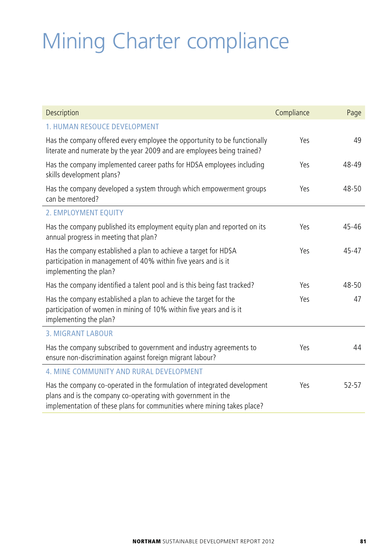# Mining Charter compliance

| Description                                                                                                                                                                                                         | Compliance | Page      |
|---------------------------------------------------------------------------------------------------------------------------------------------------------------------------------------------------------------------|------------|-----------|
| <b>1. HUMAN RESOUCE DEVELOPMENT</b>                                                                                                                                                                                 |            |           |
| Has the company offered every employee the opportunity to be functionally<br>literate and numerate by the year 2009 and are employees being trained?                                                                | Yes        | 49        |
| Has the company implemented career paths for HDSA employees including<br>skills development plans?                                                                                                                  | Yes        | 48-49     |
| Has the company developed a system through which empowerment groups<br>can be mentored?                                                                                                                             | Yes        | 48-50     |
| 2. EMPLOYMENT EQUITY                                                                                                                                                                                                |            |           |
| Has the company published its employment equity plan and reported on its<br>annual progress in meeting that plan?                                                                                                   | Yes        | $45 - 46$ |
| Has the company established a plan to achieve a target for HDSA<br>participation in management of 40% within five years and is it<br>implementing the plan?                                                         | Yes        | $45 - 47$ |
| Has the company identified a talent pool and is this being fast tracked?                                                                                                                                            | Yes        | 48-50     |
| Has the company established a plan to achieve the target for the<br>participation of women in mining of 10% within five years and is it<br>implementing the plan?                                                   | Yes        | 47        |
| <b>3. MIGRANT LABOUR</b>                                                                                                                                                                                            |            |           |
| Has the company subscribed to government and industry agreements to<br>ensure non-discrimination against foreign migrant labour?                                                                                    | Yes        | 44        |
| 4. MINE COMMUNITY AND RURAL DEVELOPMENT                                                                                                                                                                             |            |           |
| Has the company co-operated in the formulation of integrated development<br>plans and is the company co-operating with government in the<br>implementation of these plans for communities where mining takes place? | Yes        | 52-57     |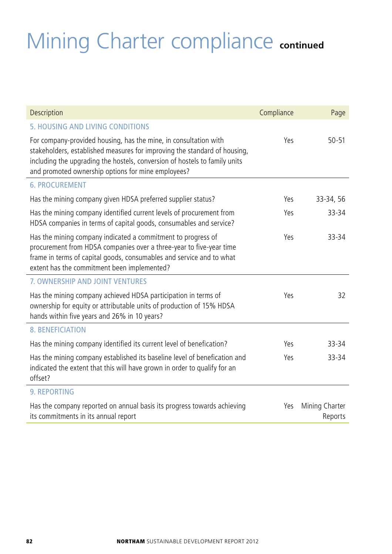# Mining Charter compliance **continued**

| Description                                                                                                                                                                                                                                                                       | Compliance | Page                      |
|-----------------------------------------------------------------------------------------------------------------------------------------------------------------------------------------------------------------------------------------------------------------------------------|------------|---------------------------|
| 5. HOUSING AND LIVING CONDITIONS                                                                                                                                                                                                                                                  |            |                           |
| For company-provided housing, has the mine, in consultation with<br>stakeholders, established measures for improving the standard of housing,<br>including the upgrading the hostels, conversion of hostels to family units<br>and promoted ownership options for mine employees? | Yes        | $50 - 51$                 |
| <b>6. PROCUREMENT</b>                                                                                                                                                                                                                                                             |            |                           |
| Has the mining company given HDSA preferred supplier status?                                                                                                                                                                                                                      | Yes        | 33-34, 56                 |
| Has the mining company identified current levels of procurement from<br>HDSA companies in terms of capital goods, consumables and service?                                                                                                                                        | Yes        | 33-34                     |
| Has the mining company indicated a commitment to progress of<br>procurement from HDSA companies over a three-year to five-year time<br>frame in terms of capital goods, consumables and service and to what<br>extent has the commitment been implemented?                        | Yes        | 33-34                     |
| 7. OWNERSHIP AND JOINT VENTURES                                                                                                                                                                                                                                                   |            |                           |
| Has the mining company achieved HDSA participation in terms of<br>ownership for equity or attributable units of production of 15% HDSA<br>hands within five years and 26% in 10 years?                                                                                            | Yes        | 32                        |
| <b>8. BENEFICIATION</b>                                                                                                                                                                                                                                                           |            |                           |
| Has the mining company identified its current level of benefication?                                                                                                                                                                                                              | Υρς        | 33-34                     |
| Has the mining company established its baseline level of benefication and<br>indicated the extent that this will have grown in order to qualify for an<br>offset?                                                                                                                 | Yes        | 33-34                     |
| <b>9. REPORTING</b>                                                                                                                                                                                                                                                               |            |                           |
| Has the company reported on annual basis its progress towards achieving<br>its commitments in its annual report                                                                                                                                                                   | Yes        | Mining Charter<br>Reports |

L

Ĭ.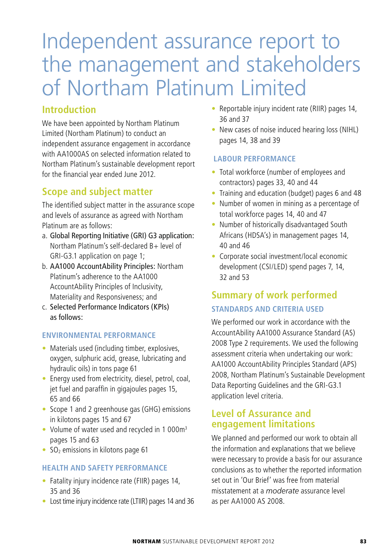# Independent assurance report to the management and stakeholders of Northam Platinum Limited

## **Introduction**

We have been appointed by Northam Platinum Limited (Northam Platinum) to conduct an independent assurance engagement in accordance with AA1000AS on selected information related to Northam Platinum's sustainable development report for the financial year ended June 2012.

# **Scope and subject matter**

The identified subject matter in the assurance scope and levels of assurance as agreed with Northam Platinum are as follows:

- a. Global Reporting Initiative (GRI) G3 application: Northam Platinum's self-declared B+ level of GRI-G3.1 application on page 1;
- b. AA1000 AccountAbility Principles: Northam Platinum's adherence to the AA1000 AccountAbility Principles of Inclusivity, Materiality and Responsiveness; and
- c. Selected Performance Indicators (KPIs) as follows:

#### **ENVIRONMENTAL PERFORMANCE**

- $\bullet$  Materials used (including timber, explosives, oxygen, sulphuric acid, grease, lubricating and hydraulic oils) in tons page 61
- Energy used from electricity, diesel, petrol, coal, jet fuel and paraffin in gigajoules pages 15, 65 and 66
- Scope 1 and 2 greenhouse gas (GHG) emissions in kilotons pages 15 and 67
- Volume of water used and recycled in 1 000 $m<sup>3</sup>$ pages 15 and 63
- $\bullet$  SO<sub>2</sub> emissions in kilotons page 61

#### **HEALTH AND SAFETY PERFORMANCE**

- $\bullet$  Fatality injury incidence rate (FIIR) pages 14, 35 and 36
- Lost time injury incidence rate (LTIIR) pages 14 and 36
- Reportable injury incident rate (RIIR) pages 14, 36 and 37
- New cases of noise induced hearing loss (NIHL) pages 14, 38 and 39

#### **LABOUR PERFORMANCE**

- Total workforce (number of employees and contractors) pages 33, 40 and 44
- Training and education (budget) pages 6 and 48
- Number of women in mining as a percentage of total workforce pages 14, 40 and 47
- Number of historically disadvantaged South Africans (HDSA's) in management pages 14, 40 and 46
- Corporate social investment/local economic development (CSI/LED) spend pages 7, 14, 32 and 53

# **Summary of work performed**

#### **STANDARDS AND CRITERIA USED**

We performed our work in accordance with the AccountAbility AA1000 Assurance Standard (AS) 2008 Type 2 requirements. We used the following assessment criteria when undertaking our work: AA1000 AccountAbility Principles Standard (APS) 2008, Northam Platinum's Sustainable Development Data Reporting Guidelines and the GRI-G3.1 application level criteria.

### **Level of Assurance and engagement limitations**

We planned and performed our work to obtain all the information and explanations that we believe were necessary to provide a basis for our assurance conclusions as to whether the reported information set out in 'Our Brief' was free from material misstatement at a *moderate* assurance level as per AA1000 AS 2008.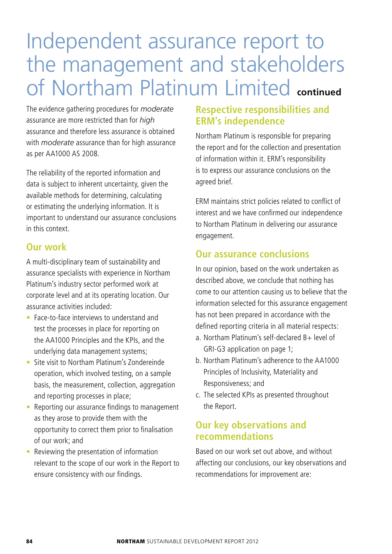# Independent assurance report to the management and stakeholders of Northam Platinum Limited **continued**

The evidence gathering procedures for *moderate*  assurance are more restricted than for *high* assurance and therefore less assurance is obtained with *moderate* assurance than for high assurance as per AA1000 AS 2008.

The reliability of the reported information and data is subject to inherent uncertainty, given the available methods for determining, calculating or estimating the underlying information. It is important to understand our assurance conclusions in this context.

### **Our work**

A multi-disciplinary team of sustainability and assurance specialists with experience in Northam Platinum's industry sector performed work at corporate level and at its operating location. Our assurance activities included:

- Face-to-face interviews to understand and test the processes in place for reporting on the AA1000 Principles and the KPIs, and the underlying data management systems;
- Site visit to Northam Platinum's Zondereinde operation, which involved testing, on a sample basis, the measurement, collection, aggregation and reporting processes in place;
- Reporting our assurance findings to management as they arose to provide them with the opportunity to correct them prior to finalisation of our work; and
- Reviewing the presentation of information relevant to the scope of our work in the Report to ensure consistency with our findings.

# **Respective responsibilities and ERM's independence**

Northam Platinum is responsible for preparing the report and for the collection and presentation of information within it. ERM's responsibility is to express our assurance conclusions on the agreed brief.

ERM maintains strict policies related to conflict of interest and we have confirmed our independence to Northam Platinum in delivering our assurance engagement.

### **Our assurance conclusions**

In our opinion, based on the work undertaken as described above, we conclude that nothing has come to our attention causing us to believe that the information selected for this assurance engagement has not been prepared in accordance with the defined reporting criteria in all material respects:

- a. Northam Platinum's self-declared B+ level of GRI-G3 application on page 1;
- b. Northam Platinum's adherence to the AA1000 Principles of Inclusivity, Materiality and Responsiveness; and
- c. The selected KPIs as presented throughout the Report.

## **Our key observations and recommendations**

Based on our work set out above, and without affecting our conclusions, our key observations and recommendations for improvement are: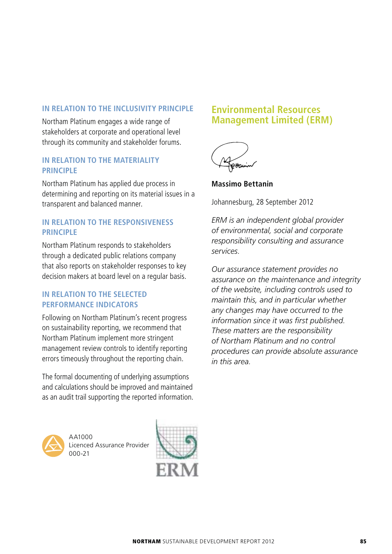#### **IN RELATION TO THE INCLUSIVITY PRINCIPLE**

Northam Platinum engages a wide range of stakeholders at corporate and operational level through its community and stakeholder forums.

#### **IN RELATION TO THE MATERIALITY PRINCIPLE**

Northam Platinum has applied due process in determining and reporting on its material issues in a transparent and balanced manner.

#### **IN RELATION TO THE RESPONSIVENESS PRINCIPLE**

Northam Platinum responds to stakeholders through a dedicated public relations company that also reports on stakeholder responses to key decision makers at board level on a regular basis.

#### **IN RELATION TO THE SELECTED PERFORMANCE INDICATORS**

Following on Northam Platinum's recent progress on sustainability reporting, we recommend that Northam Platinum implement more stringent management review controls to identify reporting errors timeously throughout the reporting chain.

The formal documenting of underlying assumptions and calculations should be improved and maintained as an audit trail supporting the reported information.



AA1000 Licenced Assurance Provider 000-21



### **Environmental Resources Management Limited (ERM)**



**Massimo Bettanin**

Johannesburg, 28 September 2012

*ERM is an independent global provider of environmental, social and corporate responsibility consulting and assurance services.* 

*Our assurance statement provides no assurance on the maintenance and integrity of the website, including controls used to maintain this, and in particular whether any changes may have occurred to the information since it was first published. These matters are the responsibility of Northam Platinum and no control procedures can provide absolute assurance in this area.*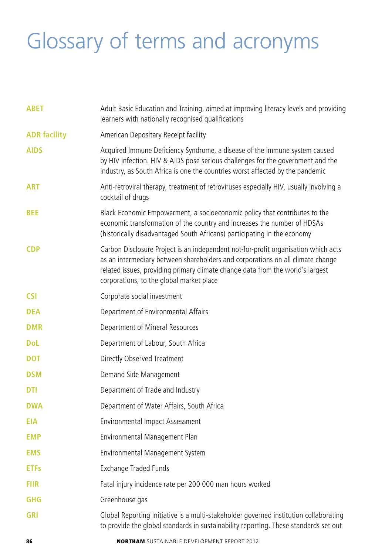# Glossary of terms and acronyms

| <b>ABET</b>         | Adult Basic Education and Training, aimed at improving literacy levels and providing<br>learners with nationally recognised qualifications                                                                                                                                                         |
|---------------------|----------------------------------------------------------------------------------------------------------------------------------------------------------------------------------------------------------------------------------------------------------------------------------------------------|
| <b>ADR facility</b> | American Depositary Receipt facility                                                                                                                                                                                                                                                               |
| <b>AIDS</b>         | Acquired Immune Deficiency Syndrome, a disease of the immune system caused<br>by HIV infection. HIV & AIDS pose serious challenges for the government and the<br>industry, as South Africa is one the countries worst affected by the pandemic                                                     |
| <b>ART</b>          | Anti-retroviral therapy, treatment of retroviruses especially HIV, usually involving a<br>cocktail of drugs                                                                                                                                                                                        |
| <b>BEE</b>          | Black Economic Empowerment, a socioeconomic policy that contributes to the<br>economic transformation of the country and increases the number of HDSAs<br>(historically disadvantaged South Africans) participating in the economy                                                                 |
| <b>CDP</b>          | Carbon Disclosure Project is an independent not-for-profit organisation which acts<br>as an intermediary between shareholders and corporations on all climate change<br>related issues, providing primary climate change data from the world's largest<br>corporations, to the global market place |
| <b>CSI</b>          | Corporate social investment                                                                                                                                                                                                                                                                        |
| <b>DEA</b>          | Department of Environmental Affairs                                                                                                                                                                                                                                                                |
| <b>DMR</b>          | Department of Mineral Resources                                                                                                                                                                                                                                                                    |
| <b>DoL</b>          | Department of Labour, South Africa                                                                                                                                                                                                                                                                 |
| <b>DOT</b>          | Directly Observed Treatment                                                                                                                                                                                                                                                                        |
| <b>DSM</b>          | Demand Side Management                                                                                                                                                                                                                                                                             |
| <b>DTI</b>          | Department of Trade and Industry                                                                                                                                                                                                                                                                   |
| <b>DWA</b>          | Department of Water Affairs, South Africa                                                                                                                                                                                                                                                          |
| <b>EIA</b>          | Environmental Impact Assessment                                                                                                                                                                                                                                                                    |
| <b>EMP</b>          | Environmental Management Plan                                                                                                                                                                                                                                                                      |
| <b>EMS</b>          | Environmental Management System                                                                                                                                                                                                                                                                    |
| <b>ETFs</b>         | Exchange Traded Funds                                                                                                                                                                                                                                                                              |
| <b>FIIR</b>         | Fatal injury incidence rate per 200 000 man hours worked                                                                                                                                                                                                                                           |
| <b>GHG</b>          | Greenhouse gas                                                                                                                                                                                                                                                                                     |
| <b>GRI</b>          | Global Reporting Initiative is a multi-stakeholder governed institution collaborating<br>to provide the global standards in sustainability reporting. These standards set out                                                                                                                      |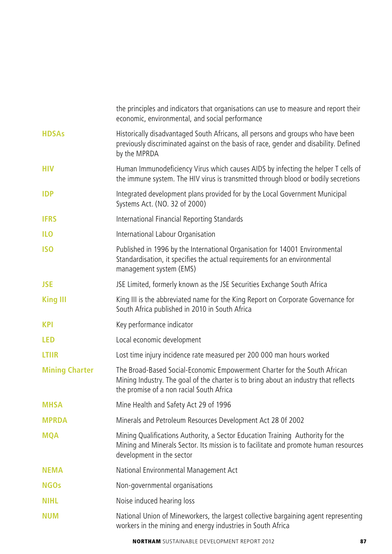|                       | the principles and indicators that organisations can use to measure and report their<br>economic, environmental, and social performance                                                                       |
|-----------------------|---------------------------------------------------------------------------------------------------------------------------------------------------------------------------------------------------------------|
| <b>HDSAs</b>          | Historically disadvantaged South Africans, all persons and groups who have been<br>previously discriminated against on the basis of race, gender and disability. Defined<br>by the MPRDA                      |
| нıv                   | Human Immunodeficiency Virus which causes AIDS by infecting the helper T cells of<br>the immune system. The HIV virus is transmitted through blood or bodily secretions                                       |
| <b>IDP</b>            | Integrated development plans provided for by the Local Government Municipal<br>Systems Act. (NO. 32 of 2000)                                                                                                  |
| <b>IFRS</b>           | International Financial Reporting Standards                                                                                                                                                                   |
| <b>ILO</b>            | International Labour Organisation                                                                                                                                                                             |
| <b>ISO</b>            | Published in 1996 by the International Organisation for 14001 Environmental<br>Standardisation, it specifies the actual requirements for an environmental<br>management system (EMS)                          |
| <b>JSE</b>            | JSE Limited, formerly known as the JSE Securities Exchange South Africa                                                                                                                                       |
| <b>King III</b>       | King III is the abbreviated name for the King Report on Corporate Governance for<br>South Africa published in 2010 in South Africa                                                                            |
| <b>KPI</b>            | Key performance indicator                                                                                                                                                                                     |
| <b>LED</b>            | Local economic development                                                                                                                                                                                    |
| <b>LTIIR</b>          | Lost time injury incidence rate measured per 200 000 man hours worked                                                                                                                                         |
| <b>Mining Charter</b> | The Broad-Based Social-Economic Empowerment Charter for the South African<br>Mining Industry. The goal of the charter is to bring about an industry that reflects<br>the promise of a non racial South Africa |
| <b>MHSA</b>           | Mine Health and Safety Act 29 of 1996                                                                                                                                                                         |
| <b>MPRDA</b>          | Minerals and Petroleum Resources Development Act 28 0f 2002                                                                                                                                                   |
| <b>MQA</b>            | Mining Qualifications Authority, a Sector Education Training Authority for the<br>Mining and Minerals Sector. Its mission is to facilitate and promote human resources<br>development in the sector           |
| <b>NEMA</b>           | National Environmental Management Act                                                                                                                                                                         |
| <b>NGOs</b>           | Non-governmental organisations                                                                                                                                                                                |
| <b>NIHL</b>           | Noise induced hearing loss                                                                                                                                                                                    |
| <b>NUM</b>            | National Union of Mineworkers, the largest collective bargaining agent representing<br>workers in the mining and energy industries in South Africa                                                            |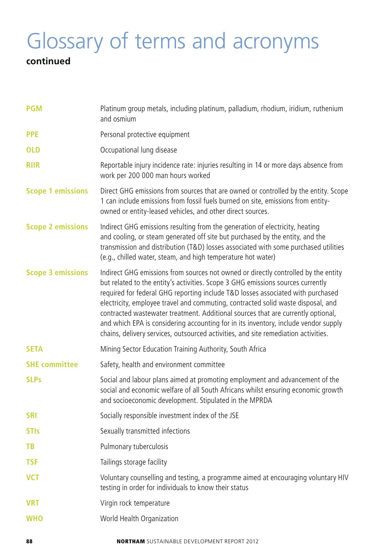# Glossary of terms and acronyms

# **continued**

| <b>PGM</b>               | Platinum group metals, including platinum, palladium, rhodium, iridium, ruthenium<br>and osmium                                                                                                                                                                                                                                                                                                                                                                                                                                                                                                               |
|--------------------------|---------------------------------------------------------------------------------------------------------------------------------------------------------------------------------------------------------------------------------------------------------------------------------------------------------------------------------------------------------------------------------------------------------------------------------------------------------------------------------------------------------------------------------------------------------------------------------------------------------------|
| <b>PPE</b>               | Personal protective equipment                                                                                                                                                                                                                                                                                                                                                                                                                                                                                                                                                                                 |
| <b>OLD</b>               | Occupational lung disease                                                                                                                                                                                                                                                                                                                                                                                                                                                                                                                                                                                     |
| <b>RIIR</b>              | Reportable injury incidence rate: injuries resulting in 14 or more days absence from<br>work per 200 000 man hours worked                                                                                                                                                                                                                                                                                                                                                                                                                                                                                     |
| <b>Scope 1 emissions</b> | Direct GHG emissions from sources that are owned or controlled by the entity. Scope<br>1 can include emissions from fossil fuels burned on site, emissions from entity-<br>owned or entity-leased vehicles, and other direct sources.                                                                                                                                                                                                                                                                                                                                                                         |
| <b>Scope 2 emissions</b> | Indirect GHG emissions resulting from the generation of electricity, heating<br>and cooling, or steam generated off site but purchased by the entity, and the<br>transmission and distribution (T&D) losses associated with some purchased utilities<br>(e.g., chilled water, steam, and high temperature hot water)                                                                                                                                                                                                                                                                                          |
| <b>Scope 3 emissions</b> | Indirect GHG emissions from sources not owned or directly controlled by the entity<br>but related to the entity's activities. Scope 3 GHG emissions sources currently<br>required for federal GHG reporting include T&D losses associated with purchased<br>electricity, employee travel and commuting, contracted solid waste disposal, and<br>contracted wastewater treatment. Additional sources that are currently optional,<br>and which EPA is considering accounting for in its inventory, include vendor supply<br>chains, delivery services, outsourced activities, and site remediation activities. |
| <b>SETA</b>              | Mining Sector Education Training Authority, South Africa                                                                                                                                                                                                                                                                                                                                                                                                                                                                                                                                                      |
| <b>SHE committee</b>     | Safety, health and environment committee                                                                                                                                                                                                                                                                                                                                                                                                                                                                                                                                                                      |
| <b>SLPs</b>              | Social and labour plans aimed at promoting employment and advancement of the<br>social and economic welfare of all South Africans whilst ensuring economic growth<br>and socioeconomic development. Stipulated in the MPRDA                                                                                                                                                                                                                                                                                                                                                                                   |
| <b>SRI</b>               | Socially responsible investment index of the JSE                                                                                                                                                                                                                                                                                                                                                                                                                                                                                                                                                              |
| <b>STIs</b>              | Sexually transmitted infections                                                                                                                                                                                                                                                                                                                                                                                                                                                                                                                                                                               |
| TВ                       | Pulmonary tuberculosis                                                                                                                                                                                                                                                                                                                                                                                                                                                                                                                                                                                        |
| <b>TSF</b>               | Tailings storage facility                                                                                                                                                                                                                                                                                                                                                                                                                                                                                                                                                                                     |
| <b>VCT</b>               | Voluntary counselling and testing, a programme aimed at encouraging voluntary HIV<br>testing in order for individuals to know their status                                                                                                                                                                                                                                                                                                                                                                                                                                                                    |
| <b>VRT</b>               | Virgin rock temperature                                                                                                                                                                                                                                                                                                                                                                                                                                                                                                                                                                                       |
| <b>WHO</b>               | World Health Organization                                                                                                                                                                                                                                                                                                                                                                                                                                                                                                                                                                                     |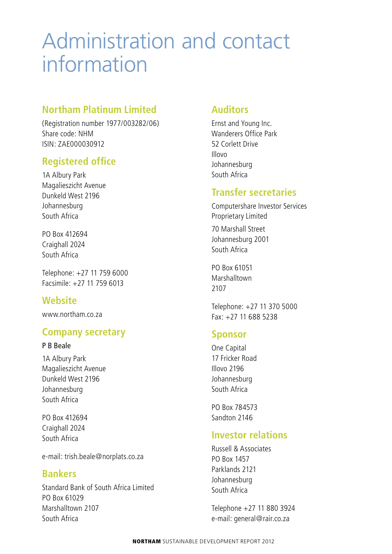# Administration and contact information

### **Northam Platinum Limited**

(Registration number 1977/003282/06) Share code: NHM ISIN: ZAE000030912

# **Registered office**

1A Albury Park Magalieszicht Avenue Dunkeld West 2196 Johannesburg South Africa

PO Box 412694 Craighall 2024 South Africa

Telephone: +27 11 759 6000 Facsimile: +27 11 759 6013

# **Website**

www.northam.co.za

### **Company secretary**

#### P B Beale

1A Albury Park Magalieszicht Avenue Dunkeld West 2196 Johannesburg South Africa

PO Box 412694 Craighall 2024 South Africa

e-mail: trish.beale@norplats.co.za

### **Bankers**

Standard Bank of South Africa Limited PO Box 61029 Marshalltown 2107 South Africa

### **Auditors**

Ernst and Young Inc. Wanderers Office Park 52 Corlett Drive Illovo Johannesburg South Africa

### **Transfer secretaries**

Computershare Investor Services Proprietary Limited

70 Marshall Street Johannesburg 2001 South Africa

PO Box 61051 Marshalltown 2107

Telephone: +27 11 370 5000 Fax: +27 11 688 5238

#### **Sponsor**

One Capital 17 Fricker Road Illovo 2196 Johannesburg South Africa

PO Box 784573 Sandton 2146

### **Investor relations**

Russell & Associates PO Box 1457 Parklands 2121 Johannesburg South Africa

Telephone +27 11 880 3924 e-mail: general@rair.co.za